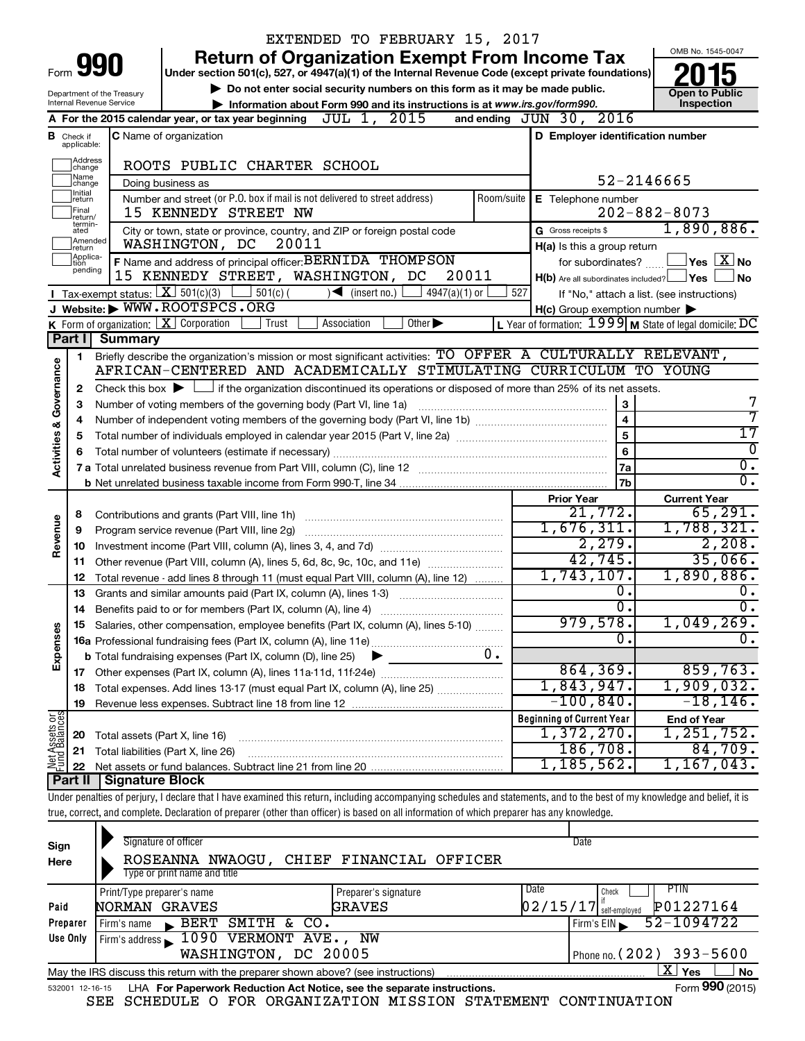|                                    |                                  |                                                 | EXTENDED TO FEBRUARY 15, 2017                                                                                                                                              |     |                                                     |                                                         |
|------------------------------------|----------------------------------|-------------------------------------------------|----------------------------------------------------------------------------------------------------------------------------------------------------------------------------|-----|-----------------------------------------------------|---------------------------------------------------------|
|                                    |                                  |                                                 | <b>Return of Organization Exempt From Income Tax</b>                                                                                                                       |     |                                                     | OMB No. 1545-0047                                       |
| 990<br>Form                        |                                  |                                                 | Under section 501(c), 527, or 4947(a)(1) of the Internal Revenue Code (except private foundations)                                                                         |     |                                                     |                                                         |
| Department of the Treasury         |                                  |                                                 | Do not enter social security numbers on this form as it may be made public.                                                                                                |     |                                                     | <b>Open to Public</b>                                   |
|                                    |                                  | Internal Revenue Service                        | Information about Form 990 and its instructions is at www.irs.gov/form990.                                                                                                 |     |                                                     | Inspection                                              |
|                                    |                                  |                                                 | A For the 2015 calendar year, or tax year beginning $JUL$ 1, $2015$                                                                                                        |     | and ending $JUN$ 30, $2016$                         |                                                         |
|                                    | <b>B</b> Check if<br>applicable: |                                                 | C Name of organization                                                                                                                                                     |     | D Employer identification number                    |                                                         |
|                                    | Address                          |                                                 |                                                                                                                                                                            |     |                                                     |                                                         |
|                                    | change<br>Name                   |                                                 | ROOTS PUBLIC CHARTER SCHOOL                                                                                                                                                |     | 52-2146665                                          |                                                         |
|                                    | change<br>Initial                |                                                 | Doing business as<br>Number and street (or P.O. box if mail is not delivered to street address)                                                                            |     |                                                     |                                                         |
|                                    | return<br>Final                  |                                                 | 15 KENNEDY STREET NW                                                                                                                                                       |     | Room/suite   E Telephone number                     | $202 - 882 - 8073$                                      |
|                                    | return/<br>termin-<br>ated       |                                                 | City or town, state or province, country, and ZIP or foreign postal code                                                                                                   |     | G Gross receipts \$                                 | 1,890,886.                                              |
|                                    | Amended<br>return                |                                                 | WASHINGTON, DC<br>20011                                                                                                                                                    |     | H(a) Is this a group return                         |                                                         |
|                                    | Applica-<br>tion                 |                                                 | F Name and address of principal officer: BERNIDA THOMPSON                                                                                                                  |     | for subordinates?                                   | $\Box$ Yes $[\overline{\mathrm{X}}]$ No                 |
|                                    | pending                          |                                                 | 15 KENNEDY STREET, WASHINGTON, DC<br>20011                                                                                                                                 |     | $H(b)$ Are all subordinates included? $\Box$ Yes    | No                                                      |
|                                    |                                  | <b>I</b> Tax-exempt status: $X \over 301(c)(3)$ | $\rfloor$ 501(c) (<br>$\sqrt{\frac{1}{1}}$ (insert no.)<br>$4947(a)(1)$ or                                                                                                 | 527 |                                                     | If "No," attach a list. (see instructions)              |
|                                    |                                  |                                                 | J Website: WWW.ROOTSPCS.ORG                                                                                                                                                |     | $H(c)$ Group exemption number $\blacktriangleright$ |                                                         |
|                                    |                                  |                                                 | <b>K</b> Form of organization: $\boxed{\mathbf{X}}$ Corporation<br>$\overline{Other}$<br>Trust<br>Association                                                              |     |                                                     | L Year of formation: 1999 M State of legal domicile: DC |
|                                    | Part I                           | <b>Summary</b>                                  |                                                                                                                                                                            |     |                                                     |                                                         |
|                                    | 1                                |                                                 | Briefly describe the organization's mission or most significant activities: TO OFFER A CULTURALLY RELEVANT,                                                                |     |                                                     |                                                         |
| <b>Activities &amp; Governance</b> |                                  |                                                 | AFRICAN-CENTERED AND ACADEMICALLY STIMULATING CURRICULUM TO YOUNG                                                                                                          |     |                                                     |                                                         |
|                                    | 2                                |                                                 | Check this box $\blacktriangleright$ $\Box$ if the organization discontinued its operations or disposed of more than 25% of its net assets.                                |     |                                                     |                                                         |
|                                    | з                                |                                                 | Number of voting members of the governing body (Part VI, line 1a)                                                                                                          |     |                                                     | 7<br>7                                                  |
|                                    | 4                                |                                                 |                                                                                                                                                                            |     | $\overline{4}$<br>5                                 | $\overline{17}$                                         |
|                                    | 5                                |                                                 |                                                                                                                                                                            |     | 6                                                   | $\Omega$                                                |
|                                    | 6                                |                                                 |                                                                                                                                                                            |     | 7a                                                  | $\overline{0}$ .                                        |
|                                    |                                  |                                                 |                                                                                                                                                                            |     | 7b                                                  | $\overline{\mathfrak{o}}$ .                             |
|                                    |                                  |                                                 |                                                                                                                                                                            |     | <b>Prior Year</b>                                   | <b>Current Year</b>                                     |
|                                    | 8                                |                                                 | Contributions and grants (Part VIII, line 1h)                                                                                                                              |     | 21,772.                                             | 65, 291.                                                |
| Revenue                            | 9                                |                                                 | Program service revenue (Part VIII, line 2g)                                                                                                                               |     | 1,676,311.                                          | 1,788,321.                                              |
|                                    | 10                               |                                                 |                                                                                                                                                                            |     | 2,279.                                              | 2,208.                                                  |
|                                    | 11                               |                                                 | Other revenue (Part VIII, column (A), lines 5, 6d, 8c, 9c, 10c, and 11e)                                                                                                   |     | 42,745.                                             | 35,066.                                                 |
|                                    | 12                               |                                                 | Total revenue - add lines 8 through 11 (must equal Part VIII, column (A), line 12)                                                                                         |     | 1,743,107.                                          | 1,890,886.                                              |
|                                    | 13                               |                                                 | Grants and similar amounts paid (Part IX, column (A), lines 1-3)                                                                                                           |     | $\overline{0}$ .                                    | О.                                                      |
|                                    | 14                               |                                                 | Benefits paid to or for members (Part IX, column (A), line 4)                                                                                                              |     | $\overline{0}$ .                                    | $\overline{\mathfrak{o}}$ .                             |
|                                    |                                  |                                                 | 15 Salaries, other compensation, employee benefits (Part IX, column (A), lines 5-10)                                                                                       |     | 979,578.                                            | 1,049,269.                                              |
| Expenses                           |                                  |                                                 |                                                                                                                                                                            |     | 0.                                                  | $\overline{0}$ .                                        |
|                                    |                                  |                                                 | 0.<br><b>b</b> Total fundraising expenses (Part IX, column (D), line 25)<br>▸                                                                                              |     |                                                     |                                                         |
|                                    |                                  |                                                 |                                                                                                                                                                            |     | 864, 369.<br>1,843,947.                             | 859,763.<br>1,909,032.                                  |
|                                    | 18                               |                                                 | Total expenses. Add lines 13-17 (must equal Part IX, column (A), line 25)                                                                                                  |     | $-100, 840$ .                                       | $-18, 146.$                                             |
|                                    | 19                               |                                                 |                                                                                                                                                                            |     | <b>Beginning of Current Year</b>                    |                                                         |
|                                    | 20                               |                                                 |                                                                                                                                                                            |     | 1,372,270.                                          | <b>End of Year</b><br>1,251,752.                        |
| Net Assets or                      | 21                               | Total assets (Part X, line 16)                  | Total liabilities (Part X, line 26)                                                                                                                                        |     | 186,708.                                            | 84,709.                                                 |
|                                    | 22                               |                                                 |                                                                                                                                                                            |     | 1, 185, 562.                                        | 1, 167, 043.                                            |
|                                    |                                  | Part II   Signature Block                       |                                                                                                                                                                            |     |                                                     |                                                         |
|                                    |                                  |                                                 | Under penalties of perjury, I declare that I have examined this return, including accompanying schedules and statements, and to the best of my knowledge and belief, it is |     |                                                     |                                                         |
|                                    |                                  |                                                 | true, correct, and complete. Declaration of preparer (other than officer) is based on all information of which preparer has any knowledge.                                 |     |                                                     |                                                         |
|                                    |                                  |                                                 |                                                                                                                                                                            |     |                                                     |                                                         |
| Sign                               |                                  |                                                 | Signature of officer                                                                                                                                                       |     | Date                                                |                                                         |
| Here                               |                                  |                                                 | ROSEANNA NWAOGU, CHIEF FINANCIAL OFFICER                                                                                                                                   |     |                                                     |                                                         |
|                                    |                                  |                                                 | Type or print name and title                                                                                                                                               |     |                                                     |                                                         |

|                                                                                                           | $\frac{1}{2}$ , $\frac{1}{2}$ , $\frac{1}{2}$ , $\frac{1}{2}$ , $\frac{1}{2}$ , $\frac{1}{2}$ , $\frac{1}{2}$ , $\frac{1}{2}$ , $\frac{1}{2}$ , $\frac{1}{2}$ , $\frac{1}{2}$ , $\frac{1}{2}$ , $\frac{1}{2}$ |                      |      |                                       |  |  |  |  |
|-----------------------------------------------------------------------------------------------------------|---------------------------------------------------------------------------------------------------------------------------------------------------------------------------------------------------------------|----------------------|------|---------------------------------------|--|--|--|--|
|                                                                                                           | Print/Type preparer's name                                                                                                                                                                                    | Preparer's signature | Date | PTIN<br>Check                         |  |  |  |  |
| Paid                                                                                                      | NORMAN GRAVES                                                                                                                                                                                                 | GRAVES               |      | P01227164<br>$02/15/17$ self-employed |  |  |  |  |
| Preparer                                                                                                  | BERT SMITH & CO.<br>  Firm's name                                                                                                                                                                             |                      |      | $1$ Firm's EIN $\sim 52 - 1094722$    |  |  |  |  |
| Use Only                                                                                                  | Firm's address 1090 VERMONT AVE., NW                                                                                                                                                                          |                      |      |                                       |  |  |  |  |
|                                                                                                           | WASHINGTON, DC 20005                                                                                                                                                                                          |                      |      | Phone no. $(202)$ 393-5600            |  |  |  |  |
|                                                                                                           | Yes<br><b>No</b><br>May the IRS discuss this return with the preparer shown above? (see instructions)                                                                                                         |                      |      |                                       |  |  |  |  |
| Form 990 (2015)<br>532001 12-16-15 LHA For Paperwork Reduction Act Notice, see the separate instructions. |                                                                                                                                                                                                               |                      |      |                                       |  |  |  |  |

| 32001 12-16-15 LHA For Paperwork Reduction Act Notice, see the separate instructions. | Form 990 (2015) |
|---------------------------------------------------------------------------------------|-----------------|
|                                                                                       |                 |

Form **990** (2015)

SEE SCHEDULE O FOR ORGANIZATION MISSION STATEMENT CONTINUATION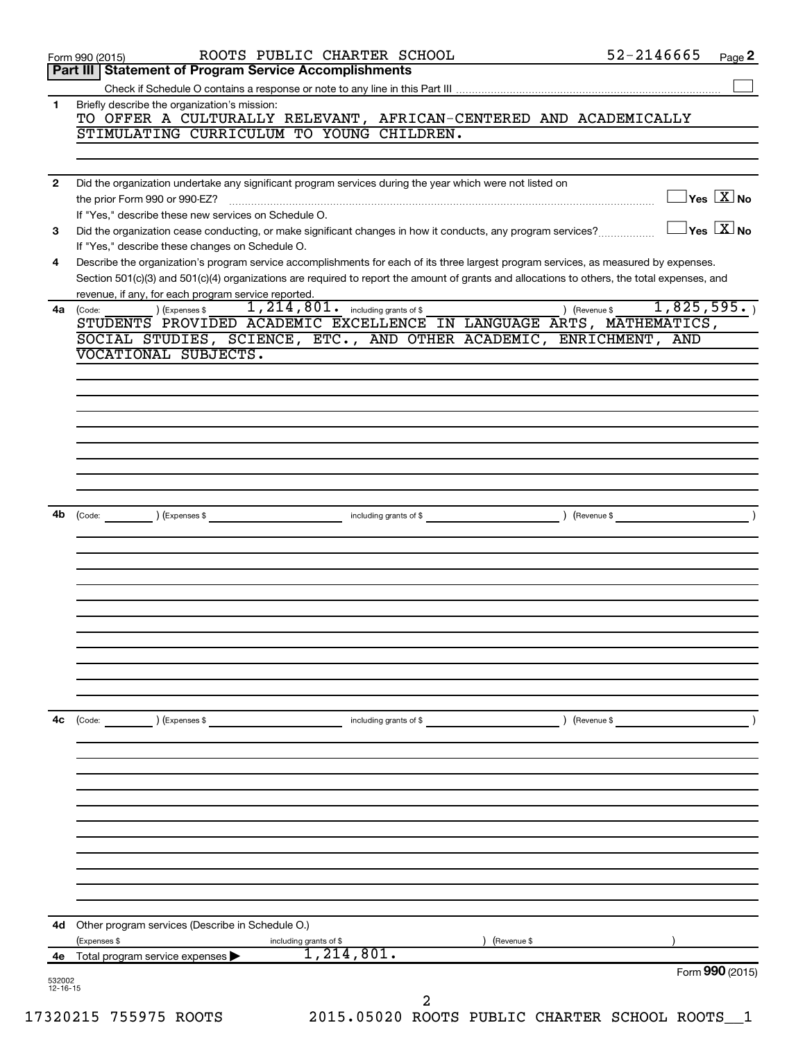|                          | ROOTS PUBLIC CHARTER SCHOOL<br>Form 990 (2015)                                                                                                    | 52-2146665<br>Page 2                    |
|--------------------------|---------------------------------------------------------------------------------------------------------------------------------------------------|-----------------------------------------|
|                          | Part III   Statement of Program Service Accomplishments                                                                                           |                                         |
| 1                        | Briefly describe the organization's mission:                                                                                                      |                                         |
|                          | TO OFFER A CULTURALLY RELEVANT, AFRICAN-CENTERED AND ACADEMICALLY                                                                                 |                                         |
|                          | STIMULATING CURRICULUM TO YOUNG CHILDREN.                                                                                                         |                                         |
|                          |                                                                                                                                                   |                                         |
|                          |                                                                                                                                                   |                                         |
| $\mathbf{2}$             | Did the organization undertake any significant program services during the year which were not listed on<br>the prior Form 990 or 990-EZ?         | $\Box$ Yes $[\overline{\mathrm{X}}]$ No |
|                          | If "Yes," describe these new services on Schedule O.                                                                                              |                                         |
| 3                        | Did the organization cease conducting, or make significant changes in how it conducts, any program services?                                      | $\Box$ Yes $[\overline{\mathrm{X}}]$ No |
|                          | If "Yes," describe these changes on Schedule O.                                                                                                   |                                         |
| 4                        | Describe the organization's program service accomplishments for each of its three largest program services, as measured by expenses.              |                                         |
|                          | Section 501(c)(3) and 501(c)(4) organizations are required to report the amount of grants and allocations to others, the total expenses, and      |                                         |
| 4a                       | revenue, if any, for each program service reported.<br>$\overline{1,214,801}$ including grants of \$<br>) (Revenue \$<br>) (Expenses \$<br>(Code: | 1,825,595.                              |
|                          | STUDENTS PROVIDED ACADEMIC EXCELLENCE IN LANGUAGE ARTS, MATHEMATICS,                                                                              |                                         |
|                          | SOCIAL STUDIES, SCIENCE, ETC., AND OTHER ACADEMIC, ENRICHMENT, AND                                                                                |                                         |
|                          | VOCATIONAL SUBJECTS.                                                                                                                              |                                         |
|                          |                                                                                                                                                   |                                         |
|                          |                                                                                                                                                   |                                         |
|                          |                                                                                                                                                   |                                         |
|                          |                                                                                                                                                   |                                         |
|                          |                                                                                                                                                   |                                         |
|                          |                                                                                                                                                   |                                         |
|                          |                                                                                                                                                   |                                         |
|                          |                                                                                                                                                   |                                         |
| 4b                       | $\overbrace{0}$ (Code: $\overbrace{0}$ ) (Expenses \$                                                                                             |                                         |
|                          |                                                                                                                                                   |                                         |
|                          |                                                                                                                                                   |                                         |
|                          |                                                                                                                                                   |                                         |
|                          |                                                                                                                                                   |                                         |
|                          |                                                                                                                                                   |                                         |
|                          |                                                                                                                                                   |                                         |
|                          |                                                                                                                                                   |                                         |
|                          |                                                                                                                                                   |                                         |
|                          |                                                                                                                                                   |                                         |
|                          |                                                                                                                                                   |                                         |
| 4с                       | (Code: ) (Expenses \$<br>) (Revenue \$<br>including grants of \$                                                                                  |                                         |
|                          |                                                                                                                                                   |                                         |
|                          |                                                                                                                                                   |                                         |
|                          |                                                                                                                                                   |                                         |
|                          |                                                                                                                                                   |                                         |
|                          |                                                                                                                                                   |                                         |
|                          |                                                                                                                                                   |                                         |
|                          |                                                                                                                                                   |                                         |
|                          |                                                                                                                                                   |                                         |
|                          |                                                                                                                                                   |                                         |
|                          |                                                                                                                                                   |                                         |
|                          |                                                                                                                                                   |                                         |
| 4d                       | Other program services (Describe in Schedule O.)                                                                                                  |                                         |
|                          | (Expenses \$<br>Revenue \$<br>including grants of \$                                                                                              |                                         |
| 4e                       | 1, 214, 801.<br>Total program service expenses                                                                                                    | Form 990 (2015)                         |
| 532002<br>$12 - 16 - 15$ |                                                                                                                                                   |                                         |
|                          |                                                                                                                                                   |                                         |
|                          | 17320215 755975 ROOTS<br>2015.05020 ROOTS PUBLIC CHARTER SCHOOL ROOTS                                                                             | $\mathbf{1}$                            |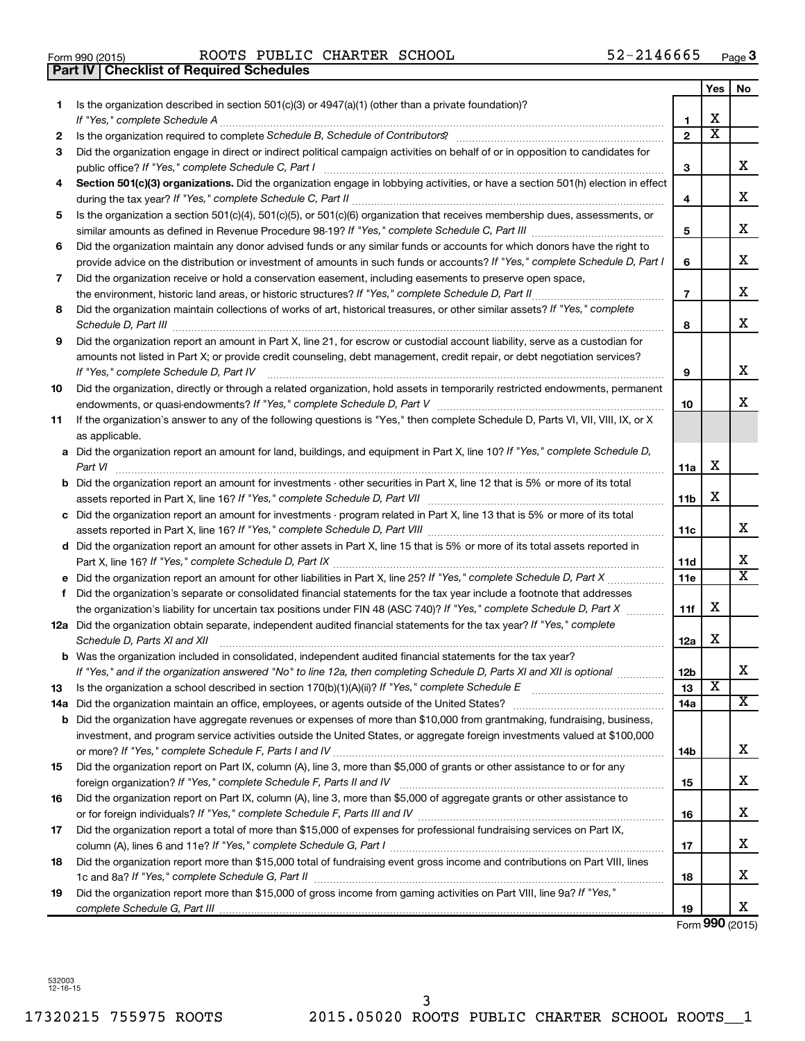| Form 990 (2015) |  |  |
|-----------------|--|--|

Form 990 (2015) Page ROOTS PUBLIC CHARTER SCHOOL 52-2146665

|     | <b>Part IV   Checklist of Required Schedules</b>                                                                                                                                                                                                                                                                                                                     |                 |                         |                         |
|-----|----------------------------------------------------------------------------------------------------------------------------------------------------------------------------------------------------------------------------------------------------------------------------------------------------------------------------------------------------------------------|-----------------|-------------------------|-------------------------|
|     |                                                                                                                                                                                                                                                                                                                                                                      |                 | Yes                     | No                      |
| 1.  | Is the organization described in section 501(c)(3) or 4947(a)(1) (other than a private foundation)?                                                                                                                                                                                                                                                                  |                 |                         |                         |
|     |                                                                                                                                                                                                                                                                                                                                                                      | 1               | X                       |                         |
| 2   | Is the organization required to complete Schedule B, Schedule of Contributors? [11] the organization required to complete Schedule B, Schedule of Contributors?                                                                                                                                                                                                      | $\mathbf{2}$    | $\overline{\mathbf{X}}$ |                         |
| З   | Did the organization engage in direct or indirect political campaign activities on behalf of or in opposition to candidates for                                                                                                                                                                                                                                      |                 |                         |                         |
|     |                                                                                                                                                                                                                                                                                                                                                                      | 3               |                         | x                       |
| 4   | Section 501(c)(3) organizations. Did the organization engage in lobbying activities, or have a section 501(h) election in effect                                                                                                                                                                                                                                     |                 |                         |                         |
|     |                                                                                                                                                                                                                                                                                                                                                                      | 4               |                         | X                       |
| 5   | Is the organization a section 501(c)(4), 501(c)(5), or 501(c)(6) organization that receives membership dues, assessments, or                                                                                                                                                                                                                                         |                 |                         |                         |
|     |                                                                                                                                                                                                                                                                                                                                                                      | 5               |                         | х                       |
| 6   | Did the organization maintain any donor advised funds or any similar funds or accounts for which donors have the right to                                                                                                                                                                                                                                            |                 |                         |                         |
|     | provide advice on the distribution or investment of amounts in such funds or accounts? If "Yes," complete Schedule D, Part I                                                                                                                                                                                                                                         | 6               |                         | х                       |
| 7   | Did the organization receive or hold a conservation easement, including easements to preserve open space,                                                                                                                                                                                                                                                            |                 |                         |                         |
|     |                                                                                                                                                                                                                                                                                                                                                                      | $\overline{7}$  |                         | х                       |
| 8   | Did the organization maintain collections of works of art, historical treasures, or other similar assets? If "Yes," complete                                                                                                                                                                                                                                         |                 |                         |                         |
|     |                                                                                                                                                                                                                                                                                                                                                                      | 8               |                         | X                       |
| 9   | Schedule D, Part III <b>Marting Community</b> Construction of the Construction of the Construction of the Construction of the Construction of the Construction of the Construction of the Construction of the Construction of the C<br>Did the organization report an amount in Part X, line 21, for escrow or custodial account liability, serve as a custodian for |                 |                         |                         |
|     | amounts not listed in Part X; or provide credit counseling, debt management, credit repair, or debt negotiation services?                                                                                                                                                                                                                                            |                 |                         |                         |
|     | If "Yes," complete Schedule D, Part IV                                                                                                                                                                                                                                                                                                                               | 9               |                         | х                       |
| 10  | Did the organization, directly or through a related organization, hold assets in temporarily restricted endowments, permanent                                                                                                                                                                                                                                        |                 |                         |                         |
|     |                                                                                                                                                                                                                                                                                                                                                                      | 10              |                         | х                       |
| 11  | If the organization's answer to any of the following questions is "Yes," then complete Schedule D, Parts VI, VII, VIII, IX, or X                                                                                                                                                                                                                                     |                 |                         |                         |
|     | as applicable.                                                                                                                                                                                                                                                                                                                                                       |                 |                         |                         |
|     | a Did the organization report an amount for land, buildings, and equipment in Part X, line 10? If "Yes," complete Schedule D,                                                                                                                                                                                                                                        |                 |                         |                         |
|     | Part VI                                                                                                                                                                                                                                                                                                                                                              | 11a             | х                       |                         |
|     | <b>b</b> Did the organization report an amount for investments - other securities in Part X, line 12 that is 5% or more of its total                                                                                                                                                                                                                                 |                 |                         |                         |
|     | assets reported in Part X, line 16? If "Yes," complete Schedule D, Part VII [11] [11] [12] [12] [12] [12] [12] [                                                                                                                                                                                                                                                     | 11 <sub>b</sub> | х                       |                         |
|     | c Did the organization report an amount for investments - program related in Part X, line 13 that is 5% or more of its total                                                                                                                                                                                                                                         |                 |                         |                         |
|     |                                                                                                                                                                                                                                                                                                                                                                      | 11c             |                         | х                       |
|     | d Did the organization report an amount for other assets in Part X, line 15 that is 5% or more of its total assets reported in                                                                                                                                                                                                                                       |                 |                         |                         |
|     |                                                                                                                                                                                                                                                                                                                                                                      | 11d             |                         | х                       |
|     | e Did the organization report an amount for other liabilities in Part X, line 25? If "Yes," complete Schedule D, Part X                                                                                                                                                                                                                                              | 11 <sub>c</sub> |                         | $\overline{\mathtt{x}}$ |
|     | f Did the organization's separate or consolidated financial statements for the tax year include a footnote that addresses                                                                                                                                                                                                                                            |                 |                         |                         |
|     | the organization's liability for uncertain tax positions under FIN 48 (ASC 740)? If "Yes," complete Schedule D, Part X                                                                                                                                                                                                                                               | 11f             | х                       |                         |
|     | 12a Did the organization obtain separate, independent audited financial statements for the tax year? If "Yes," complete                                                                                                                                                                                                                                              |                 |                         |                         |
|     | Schedule D, Parts XI and XII                                                                                                                                                                                                                                                                                                                                         | 12a             | х                       |                         |
|     | <b>b</b> Was the organization included in consolidated, independent audited financial statements for the tax year?                                                                                                                                                                                                                                                   |                 |                         |                         |
|     | If "Yes," and if the organization answered "No" to line 12a, then completing Schedule D, Parts XI and XII is optional <i>manum</i>                                                                                                                                                                                                                                   | 12 <sub>b</sub> |                         | х                       |
| 13  |                                                                                                                                                                                                                                                                                                                                                                      | 13              | X                       |                         |
| 14a |                                                                                                                                                                                                                                                                                                                                                                      | 14a             |                         | $\overline{\mathbf{x}}$ |
|     | <b>b</b> Did the organization have aggregate revenues or expenses of more than \$10,000 from grantmaking, fundraising, business,                                                                                                                                                                                                                                     |                 |                         |                         |
|     | investment, and program service activities outside the United States, or aggregate foreign investments valued at \$100,000                                                                                                                                                                                                                                           |                 |                         |                         |
|     |                                                                                                                                                                                                                                                                                                                                                                      | 14b             |                         | х                       |
| 15  | Did the organization report on Part IX, column (A), line 3, more than \$5,000 of grants or other assistance to or for any                                                                                                                                                                                                                                            |                 |                         |                         |
|     |                                                                                                                                                                                                                                                                                                                                                                      | 15              |                         | х                       |
| 16  | Did the organization report on Part IX, column (A), line 3, more than \$5,000 of aggregate grants or other assistance to                                                                                                                                                                                                                                             |                 |                         |                         |
|     |                                                                                                                                                                                                                                                                                                                                                                      | 16              |                         | х                       |
| 17  | Did the organization report a total of more than \$15,000 of expenses for professional fundraising services on Part IX,                                                                                                                                                                                                                                              |                 |                         |                         |
|     |                                                                                                                                                                                                                                                                                                                                                                      | 17              |                         | х                       |
| 18  | Did the organization report more than \$15,000 total of fundraising event gross income and contributions on Part VIII, lines                                                                                                                                                                                                                                         |                 |                         |                         |
|     |                                                                                                                                                                                                                                                                                                                                                                      | 18              |                         | х                       |
| 19  | Did the organization report more than \$15,000 of gross income from gaming activities on Part VIII, line 9a? If "Yes,"                                                                                                                                                                                                                                               |                 |                         |                         |
|     |                                                                                                                                                                                                                                                                                                                                                                      | 19              |                         | х                       |
|     |                                                                                                                                                                                                                                                                                                                                                                      |                 |                         |                         |

Form **990** (2015)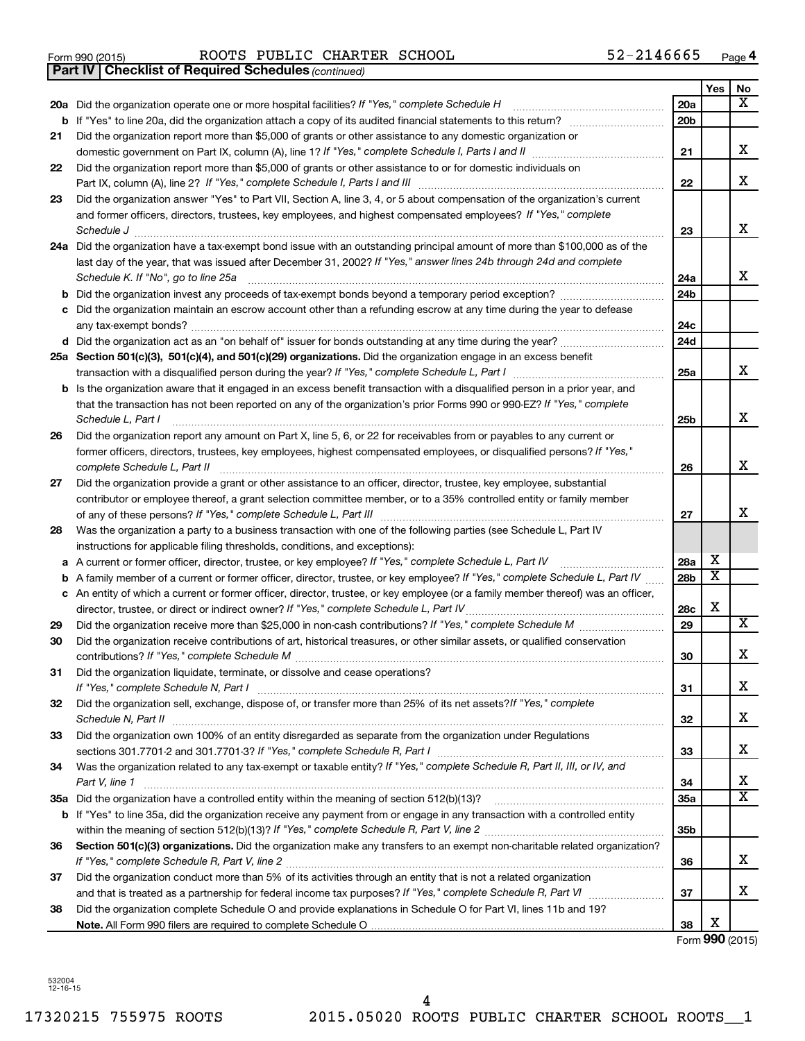|  | Form 990 (2015) |
|--|-----------------|

Form 990 (2015) Page ROOTS PUBLIC CHARTER SCHOOL 52-2146665

*(continued)* **Part IV Checklist of Required Schedules**

|     |                                                                                                                                     |                 | Yes                     | No                      |
|-----|-------------------------------------------------------------------------------------------------------------------------------------|-----------------|-------------------------|-------------------------|
| 20a | Did the organization operate one or more hospital facilities? If "Yes," complete Schedule H                                         | 20a             |                         | $\overline{\mathbf{X}}$ |
|     |                                                                                                                                     | 20 <sub>b</sub> |                         |                         |
| 21  | Did the organization report more than \$5,000 of grants or other assistance to any domestic organization or                         |                 |                         |                         |
|     |                                                                                                                                     | 21              |                         | х                       |
| 22  | Did the organization report more than \$5,000 of grants or other assistance to or for domestic individuals on                       |                 |                         |                         |
|     |                                                                                                                                     | 22              |                         | х                       |
| 23  | Did the organization answer "Yes" to Part VII, Section A, line 3, 4, or 5 about compensation of the organization's current          |                 |                         |                         |
|     | and former officers, directors, trustees, key employees, and highest compensated employees? If "Yes," complete                      |                 |                         |                         |
|     |                                                                                                                                     | 23              |                         | x                       |
|     | 24a Did the organization have a tax-exempt bond issue with an outstanding principal amount of more than \$100,000 as of the         |                 |                         |                         |
|     | last day of the year, that was issued after December 31, 2002? If "Yes," answer lines 24b through 24d and complete                  |                 |                         | x                       |
|     | Schedule K. If "No", go to line 25a                                                                                                 | 24a             |                         |                         |
| b   | Did the organization invest any proceeds of tax-exempt bonds beyond a temporary period exception?                                   | 24b             |                         |                         |
| с   | Did the organization maintain an escrow account other than a refunding escrow at any time during the year to defease                | 24c             |                         |                         |
|     | d Did the organization act as an "on behalf of" issuer for bonds outstanding at any time during the year?                           | 24d             |                         |                         |
|     | 25a Section 501(c)(3), 501(c)(4), and 501(c)(29) organizations. Did the organization engage in an excess benefit                    |                 |                         |                         |
|     |                                                                                                                                     | 25a             |                         | x                       |
|     | <b>b</b> Is the organization aware that it engaged in an excess benefit transaction with a disqualified person in a prior year, and |                 |                         |                         |
|     | that the transaction has not been reported on any of the organization's prior Forms 990 or 990-EZ? If "Yes," complete               |                 |                         |                         |
|     | Schedule L, Part I                                                                                                                  | 25b             |                         | x                       |
| 26  | Did the organization report any amount on Part X, line 5, 6, or 22 for receivables from or payables to any current or               |                 |                         |                         |
|     | former officers, directors, trustees, key employees, highest compensated employees, or disqualified persons? If "Yes,"              |                 |                         |                         |
|     | complete Schedule L, Part II                                                                                                        | 26              |                         | x                       |
| 27  | Did the organization provide a grant or other assistance to an officer, director, trustee, key employee, substantial                |                 |                         |                         |
|     | contributor or employee thereof, a grant selection committee member, or to a 35% controlled entity or family member                 |                 |                         |                         |
|     |                                                                                                                                     | 27              |                         | х                       |
| 28  | Was the organization a party to a business transaction with one of the following parties (see Schedule L, Part IV                   |                 |                         |                         |
|     | instructions for applicable filing thresholds, conditions, and exceptions):                                                         |                 |                         |                         |
| а   | A current or former officer, director, trustee, or key employee? If "Yes," complete Schedule L, Part IV                             | 28a             | х                       |                         |
| b   | A family member of a current or former officer, director, trustee, or key employee? If "Yes," complete Schedule L, Part IV          | 28 <sub>b</sub> | $\overline{\textbf{x}}$ |                         |
|     | c An entity of which a current or former officer, director, trustee, or key employee (or a family member thereof) was an officer,   |                 | X                       |                         |
|     | director, trustee, or direct or indirect owner? If "Yes," complete Schedule L, Part IV                                              | 28c<br>29       |                         | $\overline{\mathbf{x}}$ |
| 29  | Did the organization receive contributions of art, historical treasures, or other similar assets, or qualified conservation         |                 |                         |                         |
| 30  |                                                                                                                                     | 30              |                         | x                       |
| 31  | Did the organization liquidate, terminate, or dissolve and cease operations?                                                        |                 |                         |                         |
|     | If "Yes," complete Schedule N, Part I manufactured and all resources and the Ves," complete Schedule N, Part I                      | 31              |                         | х                       |
| 32  | Did the organization sell, exchange, dispose of, or transfer more than 25% of its net assets? If "Yes," complete                    |                 |                         |                         |
|     |                                                                                                                                     | 32              |                         | x                       |
| 33  | Did the organization own 100% of an entity disregarded as separate from the organization under Regulations                          |                 |                         |                         |
|     |                                                                                                                                     | 33              |                         | х                       |
| 34  | Was the organization related to any tax-exempt or taxable entity? If "Yes," complete Schedule R, Part II, III, or IV, and           |                 |                         |                         |
|     | Part V, line 1                                                                                                                      | 34              |                         | х                       |
| 35a |                                                                                                                                     | 35a             |                         | $\overline{\texttt{x}}$ |
|     | b If "Yes" to line 35a, did the organization receive any payment from or engage in any transaction with a controlled entity         |                 |                         |                         |
|     |                                                                                                                                     | 35 <sub>b</sub> |                         |                         |
| 36  | Section 501(c)(3) organizations. Did the organization make any transfers to an exempt non-charitable related organization?          |                 |                         |                         |
|     |                                                                                                                                     | 36              |                         | x                       |
| 37  | Did the organization conduct more than 5% of its activities through an entity that is not a related organization                    |                 |                         |                         |
|     |                                                                                                                                     | 37              |                         | x                       |
| 38  | Did the organization complete Schedule O and provide explanations in Schedule O for Part VI, lines 11b and 19?                      |                 | X                       |                         |
|     |                                                                                                                                     | 38              |                         |                         |

Form **990** (2015)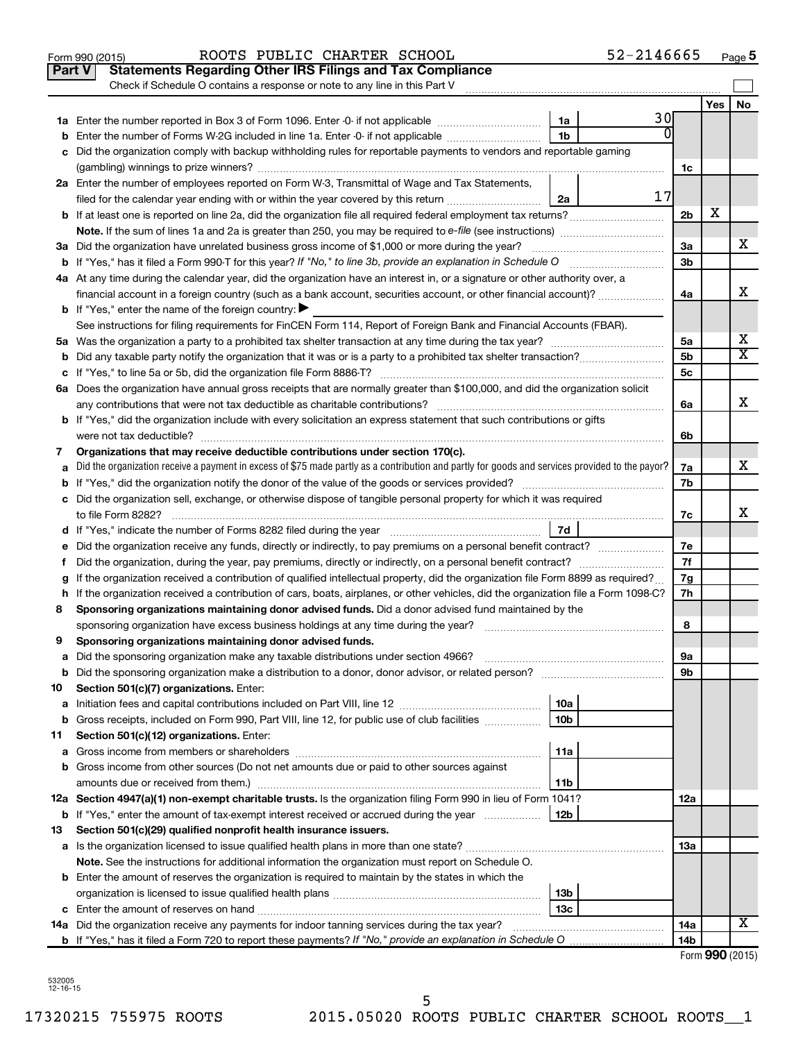|               | 52-2146665<br>ROOTS PUBLIC CHARTER SCHOOL<br>Form 990 (2015)                                                                                                                                          |                 |     | Page 5                  |
|---------------|-------------------------------------------------------------------------------------------------------------------------------------------------------------------------------------------------------|-----------------|-----|-------------------------|
| <b>Part V</b> | <b>Statements Regarding Other IRS Filings and Tax Compliance</b>                                                                                                                                      |                 |     |                         |
|               | Check if Schedule O contains a response or note to any line in this Part V                                                                                                                            |                 |     |                         |
|               |                                                                                                                                                                                                       |                 | Yes | No                      |
|               | 30<br>1a<br>1a Enter the number reported in Box 3 of Form 1096. Enter -0- if not applicable                                                                                                           |                 |     |                         |
| b             | Enter the number of Forms W-2G included in line 1a. Enter -0- if not applicable<br>1b                                                                                                                 |                 |     |                         |
| с             | Did the organization comply with backup withholding rules for reportable payments to vendors and reportable gaming                                                                                    |                 |     |                         |
|               |                                                                                                                                                                                                       | 1c              |     |                         |
|               | 2a Enter the number of employees reported on Form W-3, Transmittal of Wage and Tax Statements,                                                                                                        |                 |     |                         |
|               | 17<br>filed for the calendar year ending with or within the year covered by this return <i>manumumumum</i><br>2a                                                                                      |                 |     |                         |
| b             |                                                                                                                                                                                                       | 2 <sub>b</sub>  | х   |                         |
|               |                                                                                                                                                                                                       |                 |     |                         |
|               | 3a Did the organization have unrelated business gross income of \$1,000 or more during the year?                                                                                                      | 3a              |     | x                       |
| b             |                                                                                                                                                                                                       | 3 <sub>b</sub>  |     |                         |
|               | 4a At any time during the calendar year, did the organization have an interest in, or a signature or other authority over, a                                                                          |                 |     |                         |
|               | financial account in a foreign country (such as a bank account, securities account, or other financial account)?                                                                                      | 4a              |     | x                       |
|               | <b>b</b> If "Yes," enter the name of the foreign country: $\blacktriangleright$                                                                                                                       |                 |     |                         |
|               | See instructions for filing requirements for FinCEN Form 114, Report of Foreign Bank and Financial Accounts (FBAR).                                                                                   |                 |     |                         |
|               |                                                                                                                                                                                                       | 5a              |     | х                       |
| b             |                                                                                                                                                                                                       | 5 <sub>b</sub>  |     | $\overline{\mathtt{x}}$ |
| с             |                                                                                                                                                                                                       | 5 <sub>c</sub>  |     |                         |
|               | 6a Does the organization have annual gross receipts that are normally greater than \$100,000, and did the organization solicit                                                                        |                 |     |                         |
|               | any contributions that were not tax deductible as charitable contributions?                                                                                                                           | 6a              |     | x                       |
|               | <b>b</b> If "Yes," did the organization include with every solicitation an express statement that such contributions or gifts                                                                         |                 |     |                         |
|               | were not tax deductible?                                                                                                                                                                              | 6b              |     |                         |
| 7             | Organizations that may receive deductible contributions under section 170(c).                                                                                                                         |                 |     | x                       |
| а             | Did the organization receive a payment in excess of \$75 made partly as a contribution and partly for goods and services provided to the payor?                                                       | 7a<br>7b        |     |                         |
| b             | Did the organization sell, exchange, or otherwise dispose of tangible personal property for which it was required                                                                                     |                 |     |                         |
| с             | to file Form 8282?                                                                                                                                                                                    | 7c              |     | x                       |
| d             | 7d                                                                                                                                                                                                    |                 |     |                         |
| е             |                                                                                                                                                                                                       | 7e              |     |                         |
| f.            | Did the organization, during the year, pay premiums, directly or indirectly, on a personal benefit contract?                                                                                          | 7f              |     |                         |
| g             | If the organization received a contribution of qualified intellectual property, did the organization file Form 8899 as required?                                                                      | 7g              |     |                         |
|               | h If the organization received a contribution of cars, boats, airplanes, or other vehicles, did the organization file a Form 1098-C?                                                                  | 7h              |     |                         |
| 8             | Sponsoring organizations maintaining donor advised funds. Did a donor advised fund maintained by the                                                                                                  |                 |     |                         |
|               | sponsoring organization have excess business holdings at any time during the year?                                                                                                                    | 8               |     |                         |
| 9             | Sponsoring organizations maintaining donor advised funds.                                                                                                                                             |                 |     |                         |
| а             | Did the sponsoring organization make any taxable distributions under section 4966?<br>and a series of the contract of the contract of the contract of the contract of the contract of the contract of | 9а              |     |                         |
| b             |                                                                                                                                                                                                       | 9b              |     |                         |
| 10            | Section 501(c)(7) organizations. Enter:                                                                                                                                                               |                 |     |                         |
| а             | 10a                                                                                                                                                                                                   |                 |     |                         |
| b             | 10 <sub>b</sub><br>Gross receipts, included on Form 990, Part VIII, line 12, for public use of club facilities                                                                                        |                 |     |                         |
| 11            | Section 501(c)(12) organizations. Enter:                                                                                                                                                              |                 |     |                         |
| а             | 11a                                                                                                                                                                                                   |                 |     |                         |
| b             | Gross income from other sources (Do not net amounts due or paid to other sources against                                                                                                              |                 |     |                         |
|               | 11 <sub>b</sub>                                                                                                                                                                                       |                 |     |                         |
|               | 12a Section 4947(a)(1) non-exempt charitable trusts. Is the organization filing Form 990 in lieu of Form 1041?<br>12b                                                                                 | 12a             |     |                         |
| b             | If "Yes," enter the amount of tax-exempt interest received or accrued during the year                                                                                                                 |                 |     |                         |
| 13<br>а       | Section 501(c)(29) qualified nonprofit health insurance issuers.                                                                                                                                      | 13a             |     |                         |
|               | Note. See the instructions for additional information the organization must report on Schedule O.                                                                                                     |                 |     |                         |
| b             | Enter the amount of reserves the organization is required to maintain by the states in which the                                                                                                      |                 |     |                         |
|               | 13 <sub>b</sub>                                                                                                                                                                                       |                 |     |                         |
| с             | 13c                                                                                                                                                                                                   |                 |     |                         |
| 14a           | Did the organization receive any payments for indoor tanning services during the tax year?                                                                                                            | 14a             |     | X                       |
|               |                                                                                                                                                                                                       | 14 <sub>b</sub> |     |                         |
|               |                                                                                                                                                                                                       |                 |     | $Form$ QQ $\cap$ (2015) |

|  |  | Form 990 (2015) |
|--|--|-----------------|
|--|--|-----------------|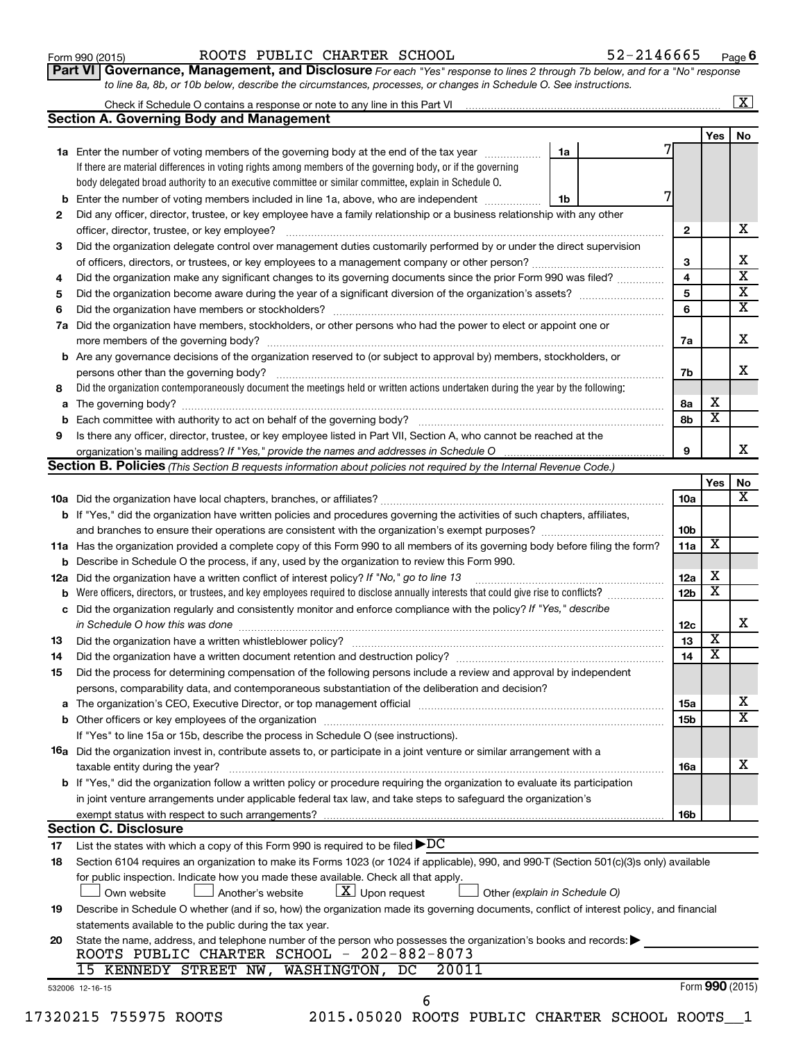| Form 990 (2015) |  |
|-----------------|--|
|-----------------|--|

Form 990 (2015) Page ROOTS PUBLIC CHARTER SCHOOL 52-2146665

**6**

**Part VI** Governance, Management, and Disclosure For each "Yes" response to lines 2 through 7b below, and for a "No" response *to line 8a, 8b, or 10b below, describe the circumstances, processes, or changes in Schedule O. See instructions.*

|     |                                                                                                                                                                                                                  |                 |                         | $\mathbf{X}$            |
|-----|------------------------------------------------------------------------------------------------------------------------------------------------------------------------------------------------------------------|-----------------|-------------------------|-------------------------|
|     | Section A. Governing Body and Management                                                                                                                                                                         |                 |                         |                         |
|     |                                                                                                                                                                                                                  |                 | Yes                     | No                      |
|     | <b>1a</b> Enter the number of voting members of the governing body at the end of the tax year<br>1a                                                                                                              |                 |                         |                         |
|     | If there are material differences in voting rights among members of the governing body, or if the governing                                                                                                      |                 |                         |                         |
|     | body delegated broad authority to an executive committee or similar committee, explain in Schedule O.                                                                                                            |                 |                         |                         |
| b   | Enter the number of voting members included in line 1a, above, who are independent<br>1b                                                                                                                         |                 |                         |                         |
| 2   | Did any officer, director, trustee, or key employee have a family relationship or a business relationship with any other                                                                                         |                 |                         |                         |
|     | officer, director, trustee, or key employee?                                                                                                                                                                     | 2               |                         | х                       |
| 3   | Did the organization delegate control over management duties customarily performed by or under the direct supervision                                                                                            |                 |                         |                         |
|     |                                                                                                                                                                                                                  | З               |                         | x                       |
| 4   | Did the organization make any significant changes to its governing documents since the prior Form 990 was filed?                                                                                                 | 4               |                         | $\overline{\textbf{x}}$ |
| 5   |                                                                                                                                                                                                                  | 5               |                         | $\overline{\textbf{X}}$ |
| 6   | Did the organization have members or stockholders?                                                                                                                                                               | 6               |                         | $\overline{\textbf{X}}$ |
| 7a  | Did the organization have members, stockholders, or other persons who had the power to elect or appoint one or                                                                                                   |                 |                         |                         |
|     |                                                                                                                                                                                                                  | 7a              |                         | х                       |
|     | <b>b</b> Are any governance decisions of the organization reserved to (or subject to approval by) members, stockholders, or                                                                                      |                 |                         |                         |
|     | persons other than the governing body?                                                                                                                                                                           | 7b              |                         | X.                      |
| 8   | Did the organization contemporaneously document the meetings held or written actions undertaken during the year by the following:                                                                                |                 |                         |                         |
| a   | The governing body?                                                                                                                                                                                              | 8а              | х                       |                         |
| b   |                                                                                                                                                                                                                  | 8b              | $\overline{\mathbf{x}}$ |                         |
| 9   | Is there any officer, director, trustee, or key employee listed in Part VII, Section A, who cannot be reached at the                                                                                             |                 |                         |                         |
|     |                                                                                                                                                                                                                  | 9               |                         | х                       |
|     | <b>Section B. Policies</b> (This Section B requests information about policies not required by the Internal Revenue Code.)                                                                                       |                 |                         |                         |
|     |                                                                                                                                                                                                                  |                 | Yes                     | No                      |
|     |                                                                                                                                                                                                                  | 10a             |                         | х                       |
|     | <b>b</b> If "Yes," did the organization have written policies and procedures governing the activities of such chapters, affiliates,                                                                              |                 |                         |                         |
|     |                                                                                                                                                                                                                  | 10 <sub>b</sub> |                         |                         |
|     | 11a Has the organization provided a complete copy of this Form 990 to all members of its governing body before filing the form?                                                                                  | 11a             | X                       |                         |
|     | <b>b</b> Describe in Schedule O the process, if any, used by the organization to review this Form 990.                                                                                                           |                 |                         |                         |
| 12a | Did the organization have a written conflict of interest policy? If "No," go to line 13                                                                                                                          | 12a             | X                       |                         |
| b   | Were officers, directors, or trustees, and key employees required to disclose annually interests that could give rise to conflicts?                                                                              | 12 <sub>b</sub> | х                       |                         |
| с   | Did the organization regularly and consistently monitor and enforce compliance with the policy? If "Yes," describe                                                                                               |                 |                         |                         |
|     | in Schedule O how this was done                                                                                                                                                                                  | 12c             |                         | х                       |
| 13  | Did the organization have a written whistleblower policy?                                                                                                                                                        | 13              | $\overline{\mathbf{X}}$ |                         |
| 14  |                                                                                                                                                                                                                  | 14              | $\overline{\mathbf{X}}$ |                         |
| 15  | Did the process for determining compensation of the following persons include a review and approval by independent                                                                                               |                 |                         |                         |
|     | persons, comparability data, and contemporaneous substantiation of the deliberation and decision?                                                                                                                |                 |                         |                         |
|     | The organization's CEO, Executive Director, or top management official manufactured content of the organization's CEO, Executive Director, or top management official manufactured content of the organization's | 15a             |                         | x                       |
|     |                                                                                                                                                                                                                  | 15b             |                         | $\overline{\textbf{X}}$ |
|     | If "Yes" to line 15a or 15b, describe the process in Schedule O (see instructions).                                                                                                                              |                 |                         |                         |
|     | <b>16a</b> Did the organization invest in, contribute assets to, or participate in a joint venture or similar arrangement with a                                                                                 |                 |                         |                         |
|     | taxable entity during the year?                                                                                                                                                                                  | 16a             |                         | х                       |
|     | b If "Yes," did the organization follow a written policy or procedure requiring the organization to evaluate its participation                                                                                   |                 |                         |                         |
|     | in joint venture arrangements under applicable federal tax law, and take steps to safeguard the organization's                                                                                                   |                 |                         |                         |
|     | exempt status with respect to such arrangements?                                                                                                                                                                 | 16b             |                         |                         |
|     | <b>Section C. Disclosure</b>                                                                                                                                                                                     |                 |                         |                         |
| 17  | List the states with which a copy of this Form 990 is required to be filed $\blacktriangleright DC$                                                                                                              |                 |                         |                         |
| 18  | Section 6104 requires an organization to make its Forms 1023 (or 1024 if applicable), 990, and 990-T (Section 501(c)(3)s only) available                                                                         |                 |                         |                         |
|     | for public inspection. Indicate how you made these available. Check all that apply.                                                                                                                              |                 |                         |                         |
|     | $\lfloor \underline{X} \rfloor$ Upon request<br>Own website<br>Another's website<br>Other (explain in Schedule O)                                                                                                |                 |                         |                         |
| 19  | Describe in Schedule O whether (and if so, how) the organization made its governing documents, conflict of interest policy, and financial                                                                        |                 |                         |                         |
|     | statements available to the public during the tax year.                                                                                                                                                          |                 |                         |                         |
| 20  | State the name, address, and telephone number of the person who possesses the organization's books and records:                                                                                                  |                 |                         |                         |
|     | ROOTS PUBLIC CHARTER SCHOOL - 202-882-8073                                                                                                                                                                       |                 |                         |                         |
|     | 15 KENNEDY STREET NW, WASHINGTON, DC<br>20011                                                                                                                                                                    |                 |                         |                         |
|     | 532006 12-16-15                                                                                                                                                                                                  |                 |                         | Form 990 (2015)         |
|     | 6                                                                                                                                                                                                                |                 |                         |                         |
|     |                                                                                                                                                                                                                  |                 |                         |                         |

17320215 755975 ROOTS 2015.05020 ROOTS PUBLIC CHARTER SCHOOL ROOTS\_\_1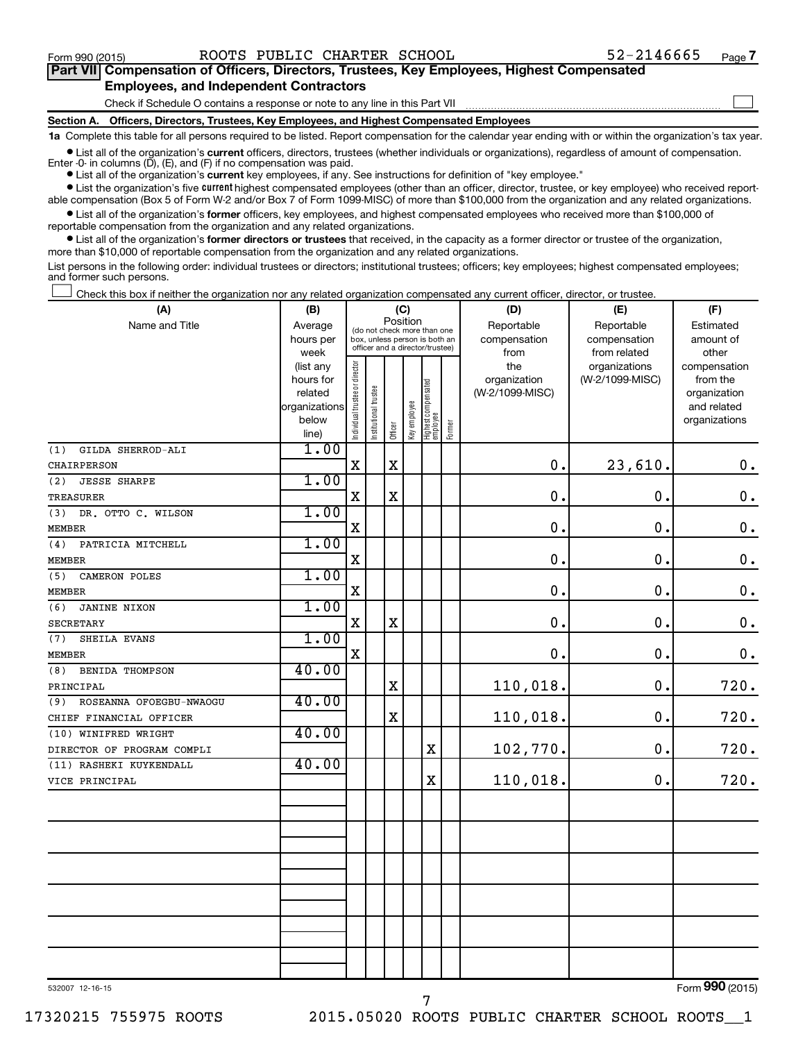$\Box$ 

| Part VII Compensation of Officers, Directors, Trustees, Key Employees, Highest Compensated |  |  |
|--------------------------------------------------------------------------------------------|--|--|
| <b>Employees, and Independent Contractors</b>                                              |  |  |

Check if Schedule O contains a response or note to any line in this Part VII

**Section A. Officers, Directors, Trustees, Key Employees, and Highest Compensated Employees**

**1a**  Complete this table for all persons required to be listed. Report compensation for the calendar year ending with or within the organization's tax year.

**•** List all of the organization's current officers, directors, trustees (whether individuals or organizations), regardless of amount of compensation. Enter -0- in columns  $(D)$ ,  $(E)$ , and  $(F)$  if no compensation was paid.

**•** List all of the organization's **current** key employees, if any. See instructions for definition of "key employee."

**•** List the organization's five current highest compensated employees (other than an officer, director, trustee, or key employee) who received reportable compensation (Box 5 of Form W-2 and/or Box 7 of Form 1099-MISC) of more than \$100,000 from the organization and any related organizations.

**•** List all of the organization's former officers, key employees, and highest compensated employees who received more than \$100,000 of reportable compensation from the organization and any related organizations.

**•** List all of the organization's former directors or trustees that received, in the capacity as a former director or trustee of the organization, more than \$10,000 of reportable compensation from the organization and any related organizations.

List persons in the following order: individual trustees or directors; institutional trustees; officers; key employees; highest compensated employees; and former such persons.

Check this box if neither the organization nor any related organization compensated any current officer, director, or trustee.  $\Box$ 

| (A)                            | (B)               | (C)                                                                                                         |                 |             |              |                                   |        | (D)                  | (E)                          | (F)                |
|--------------------------------|-------------------|-------------------------------------------------------------------------------------------------------------|-----------------|-------------|--------------|-----------------------------------|--------|----------------------|------------------------------|--------------------|
| Name and Title                 | Average           | Position<br>(do not check more than one<br>box, unless person is both an<br>officer and a director/trustee) |                 |             |              |                                   |        | Reportable           | Reportable                   | Estimated          |
|                                | hours per<br>week |                                                                                                             |                 |             |              |                                   |        | compensation<br>from | compensation<br>from related | amount of<br>other |
|                                | (list any         |                                                                                                             |                 |             |              |                                   |        | the                  | organizations                | compensation       |
|                                | hours for         |                                                                                                             |                 |             |              |                                   |        | organization         | (W-2/1099-MISC)              | from the           |
|                                | related           |                                                                                                             | trustee         |             |              | Highest compensated<br>  employee |        | (W-2/1099-MISC)      |                              | organization       |
|                                | organizations     |                                                                                                             |                 |             |              |                                   |        |                      |                              | and related        |
|                                | below             | Individual trustee or director                                                                              | Institutional t | Officer     | Key employee |                                   | Former |                      |                              | organizations      |
| (1)<br>GILDA SHERROD-ALI       | line)<br>1.00     |                                                                                                             |                 |             |              |                                   |        |                      |                              |                    |
| CHAIRPERSON                    |                   | $\mathbf X$                                                                                                 |                 | $\mathbf x$ |              |                                   |        | 0.                   | 23,610.                      | $0 \cdot$          |
| (2)<br><b>JESSE SHARPE</b>     | 1.00              |                                                                                                             |                 |             |              |                                   |        |                      |                              |                    |
| TREASURER                      |                   | X                                                                                                           |                 | $\mathbf X$ |              |                                   |        | $\mathbf 0$ .        | $\mathbf 0$ .                | $\boldsymbol{0}$ . |
| DR. OTTO C. WILSON<br>(3)      | 1.00              |                                                                                                             |                 |             |              |                                   |        |                      |                              |                    |
| <b>MEMBER</b>                  |                   | X                                                                                                           |                 |             |              |                                   |        | $\mathbf 0$ .        | 0.                           | $\mathbf 0$ .      |
| PATRICIA MITCHELL<br>(4)       | 1.00              |                                                                                                             |                 |             |              |                                   |        |                      |                              |                    |
| <b>MEMBER</b>                  |                   | $\mathbf X$                                                                                                 |                 |             |              |                                   |        | $\mathbf 0$ .        | $\mathbf 0$ .                | $\mathbf 0$ .      |
| (5)<br>CAMERON POLES           | 1.00              |                                                                                                             |                 |             |              |                                   |        |                      |                              |                    |
| <b>MEMBER</b>                  |                   | $\mathbf X$                                                                                                 |                 |             |              |                                   |        | $\mathbf 0$ .        | $\mathbf 0$ .                | $\mathbf 0$ .      |
| (6)<br>JANINE NIXON            | 1.00              |                                                                                                             |                 |             |              |                                   |        |                      |                              |                    |
| <b>SECRETARY</b>               |                   | $\mathbf X$                                                                                                 |                 | X           |              |                                   |        | $\mathbf 0$ .        | $\mathbf 0$ .                | $\boldsymbol{0}$ . |
| SHEILA EVANS<br>(7)            | 1.00              |                                                                                                             |                 |             |              |                                   |        |                      |                              |                    |
| <b>MEMBER</b>                  |                   | X                                                                                                           |                 |             |              |                                   |        | $\mathbf 0$ .        | $\mathbf 0$ .                | 0.                 |
| <b>BENIDA THOMPSON</b><br>(8)  | 40.00             |                                                                                                             |                 |             |              |                                   |        |                      |                              |                    |
| PRINCIPAL                      |                   |                                                                                                             |                 | $\mathbf X$ |              |                                   |        | 110,018.             | $\mathbf 0$ .                | 720.               |
| ROSEANNA OFOEGBU-NWAOGU<br>(9) | 40.00             |                                                                                                             |                 |             |              |                                   |        |                      |                              |                    |
| CHIEF FINANCIAL OFFICER        |                   |                                                                                                             |                 | $\mathbf X$ |              |                                   |        | 110,018.             | 0.                           | 720.               |
| (10) WINIFRED WRIGHT           | 40.00             |                                                                                                             |                 |             |              |                                   |        |                      |                              |                    |
| DIRECTOR OF PROGRAM COMPLI     |                   |                                                                                                             |                 |             |              | $\mathbf X$                       |        | 102,770.             | 0.                           | 720.               |
| (11) RASHEKI KUYKENDALL        | 40.00             |                                                                                                             |                 |             |              |                                   |        |                      |                              |                    |
| VICE PRINCIPAL                 |                   |                                                                                                             |                 |             |              | $\mathbf X$                       |        | 110,018.             | 0.                           | 720.               |
|                                |                   |                                                                                                             |                 |             |              |                                   |        |                      |                              |                    |
|                                |                   |                                                                                                             |                 |             |              |                                   |        |                      |                              |                    |
|                                |                   |                                                                                                             |                 |             |              |                                   |        |                      |                              |                    |
|                                |                   |                                                                                                             |                 |             |              |                                   |        |                      |                              |                    |
|                                |                   |                                                                                                             |                 |             |              |                                   |        |                      |                              |                    |
|                                |                   |                                                                                                             |                 |             |              |                                   |        |                      |                              |                    |
|                                |                   |                                                                                                             |                 |             |              |                                   |        |                      |                              |                    |
|                                |                   |                                                                                                             |                 |             |              |                                   |        |                      |                              |                    |
|                                |                   |                                                                                                             |                 |             |              |                                   |        |                      |                              |                    |
|                                |                   |                                                                                                             |                 |             |              |                                   |        |                      |                              |                    |

7

532007 12-16-15

Form (2015) **990**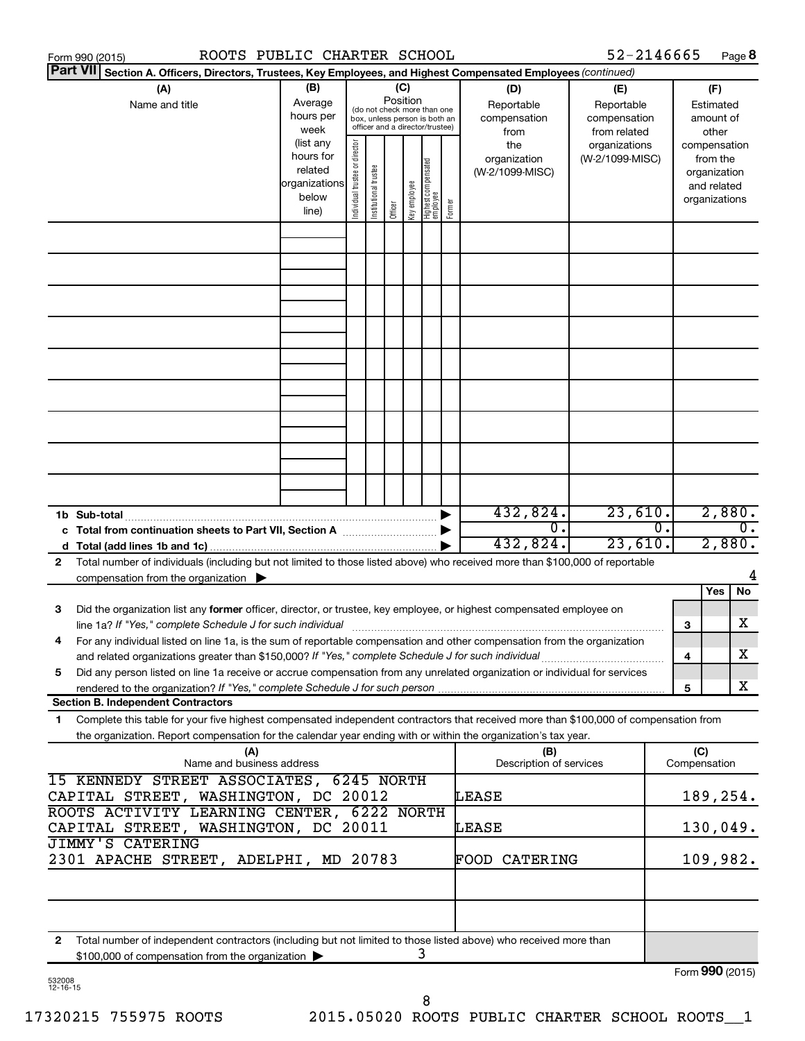| Form 990 (2015)                           | ROOTS PUBLIC CHARTER SCHOOL                                                                                                                                                                                                                            |                                                                      |                               |                       |                 |              |                                                                                                 |        |                                           | 52-2146665                                        |    |                     |                                                                          | Page 8                     |
|-------------------------------------------|--------------------------------------------------------------------------------------------------------------------------------------------------------------------------------------------------------------------------------------------------------|----------------------------------------------------------------------|-------------------------------|-----------------------|-----------------|--------------|-------------------------------------------------------------------------------------------------|--------|-------------------------------------------|---------------------------------------------------|----|---------------------|--------------------------------------------------------------------------|----------------------------|
| <b>Part VII</b>                           | Section A. Officers, Directors, Trustees, Key Employees, and Highest Compensated Employees (continued)                                                                                                                                                 |                                                                      |                               |                       |                 |              |                                                                                                 |        |                                           |                                                   |    |                     |                                                                          |                            |
|                                           | (A)<br>Name and title                                                                                                                                                                                                                                  | (B)<br>Average<br>hours per<br>week                                  |                               |                       | (C)<br>Position |              | (do not check more than one<br>box, unless person is both an<br>officer and a director/trustee) |        | (D)<br>Reportable<br>compensation<br>from | (E)<br>Reportable<br>compensation<br>from related |    |                     | (F)<br>Estimated<br>amount of<br>other                                   |                            |
|                                           |                                                                                                                                                                                                                                                        | (list any<br>hours for<br>related<br>organizations<br>below<br>line) | ndividual trustee or director | Institutional trustee | Officer         | Key employee | Highest compensated<br>  employee                                                               | Former | the<br>organization<br>(W-2/1099-MISC)    | organizations<br>(W-2/1099-MISC)                  |    |                     | compensation<br>from the<br>organization<br>and related<br>organizations |                            |
|                                           |                                                                                                                                                                                                                                                        |                                                                      |                               |                       |                 |              |                                                                                                 |        |                                           |                                                   |    |                     |                                                                          |                            |
|                                           |                                                                                                                                                                                                                                                        |                                                                      |                               |                       |                 |              |                                                                                                 |        |                                           |                                                   |    |                     |                                                                          |                            |
|                                           |                                                                                                                                                                                                                                                        |                                                                      |                               |                       |                 |              |                                                                                                 |        |                                           |                                                   |    |                     |                                                                          |                            |
|                                           |                                                                                                                                                                                                                                                        |                                                                      |                               |                       |                 |              |                                                                                                 |        |                                           |                                                   |    |                     |                                                                          |                            |
|                                           |                                                                                                                                                                                                                                                        |                                                                      |                               |                       |                 |              |                                                                                                 |        |                                           |                                                   |    |                     |                                                                          |                            |
|                                           |                                                                                                                                                                                                                                                        |                                                                      |                               |                       |                 |              |                                                                                                 |        |                                           |                                                   |    |                     |                                                                          |                            |
|                                           |                                                                                                                                                                                                                                                        |                                                                      |                               |                       |                 |              |                                                                                                 |        |                                           |                                                   |    |                     |                                                                          |                            |
|                                           |                                                                                                                                                                                                                                                        |                                                                      |                               |                       |                 |              |                                                                                                 |        | 432,824.                                  | 23,610.                                           |    |                     |                                                                          | 2,880.                     |
|                                           |                                                                                                                                                                                                                                                        |                                                                      |                               |                       |                 |              |                                                                                                 |        | $\overline{0}$ .<br>432,824.              | 23,610.                                           | σ. |                     |                                                                          | $\overline{0}$ .<br>2,880. |
| 2                                         | Total number of individuals (including but not limited to those listed above) who received more than \$100,000 of reportable<br>compensation from the organization $\blacktriangleright$                                                               |                                                                      |                               |                       |                 |              |                                                                                                 |        |                                           |                                                   |    |                     |                                                                          | 4                          |
| 3                                         | Did the organization list any former officer, director, or trustee, key employee, or highest compensated employee on                                                                                                                                   |                                                                      |                               |                       |                 |              |                                                                                                 |        |                                           |                                                   |    |                     | Yes                                                                      | No                         |
|                                           |                                                                                                                                                                                                                                                        |                                                                      |                               |                       |                 |              |                                                                                                 |        |                                           |                                                   |    | 3                   |                                                                          | х                          |
|                                           | For any individual listed on line 1a, is the sum of reportable compensation and other compensation from the organization<br>and related organizations greater than \$150,000? If "Yes," complete Schedule J for such individual                        |                                                                      |                               |                       |                 |              |                                                                                                 |        |                                           |                                                   |    | 4                   |                                                                          | Х                          |
| 5                                         | Did any person listed on line 1a receive or accrue compensation from any unrelated organization or individual for services                                                                                                                             |                                                                      |                               |                       |                 |              |                                                                                                 |        |                                           |                                                   |    | 5                   |                                                                          | X                          |
| <b>Section B. Independent Contractors</b> |                                                                                                                                                                                                                                                        |                                                                      |                               |                       |                 |              |                                                                                                 |        |                                           |                                                   |    |                     |                                                                          |                            |
| 1.                                        | Complete this table for your five highest compensated independent contractors that received more than \$100,000 of compensation from<br>the organization. Report compensation for the calendar year ending with or within the organization's tax year. |                                                                      |                               |                       |                 |              |                                                                                                 |        |                                           |                                                   |    |                     |                                                                          |                            |
|                                           | (A)<br>Name and business address                                                                                                                                                                                                                       |                                                                      |                               |                       |                 |              |                                                                                                 |        | (B)<br>Description of services            |                                                   |    | (C)<br>Compensation |                                                                          |                            |
|                                           | 15 KENNEDY STREET ASSOCIATES, 6245 NORTH<br>CAPITAL STREET, WASHINGTON, DC 20012                                                                                                                                                                       |                                                                      |                               |                       |                 |              |                                                                                                 |        | LEASE                                     |                                                   |    |                     | 189,254.                                                                 |                            |
|                                           | ROOTS ACTIVITY LEARNING CENTER, 6222<br>CAPITAL STREET, WASHINGTON, DC 20011                                                                                                                                                                           |                                                                      |                               |                       |                 |              | <b>NORTH</b>                                                                                    |        | LEASE                                     |                                                   |    |                     | 130,049.                                                                 |                            |
| <b>JIMMY'S CATERING</b>                   | 2301 APACHE STREET, ADELPHI, MD                                                                                                                                                                                                                        |                                                                      |                               | 20783                 |                 |              |                                                                                                 |        | FOOD CATERING                             |                                                   |    |                     | 109,982.                                                                 |                            |
|                                           |                                                                                                                                                                                                                                                        |                                                                      |                               |                       |                 |              |                                                                                                 |        |                                           |                                                   |    |                     |                                                                          |                            |
| 2                                         | Total number of independent contractors (including but not limited to those listed above) who received more than                                                                                                                                       |                                                                      |                               |                       |                 |              |                                                                                                 |        |                                           |                                                   |    |                     |                                                                          |                            |
|                                           | \$100,000 of compensation from the organization                                                                                                                                                                                                        |                                                                      |                               |                       |                 |              | 3                                                                                               |        |                                           |                                                   |    |                     |                                                                          | $Form$ 990 (2015)          |

| 532008        |  |
|---------------|--|
| $2 - 16 - 15$ |  |

8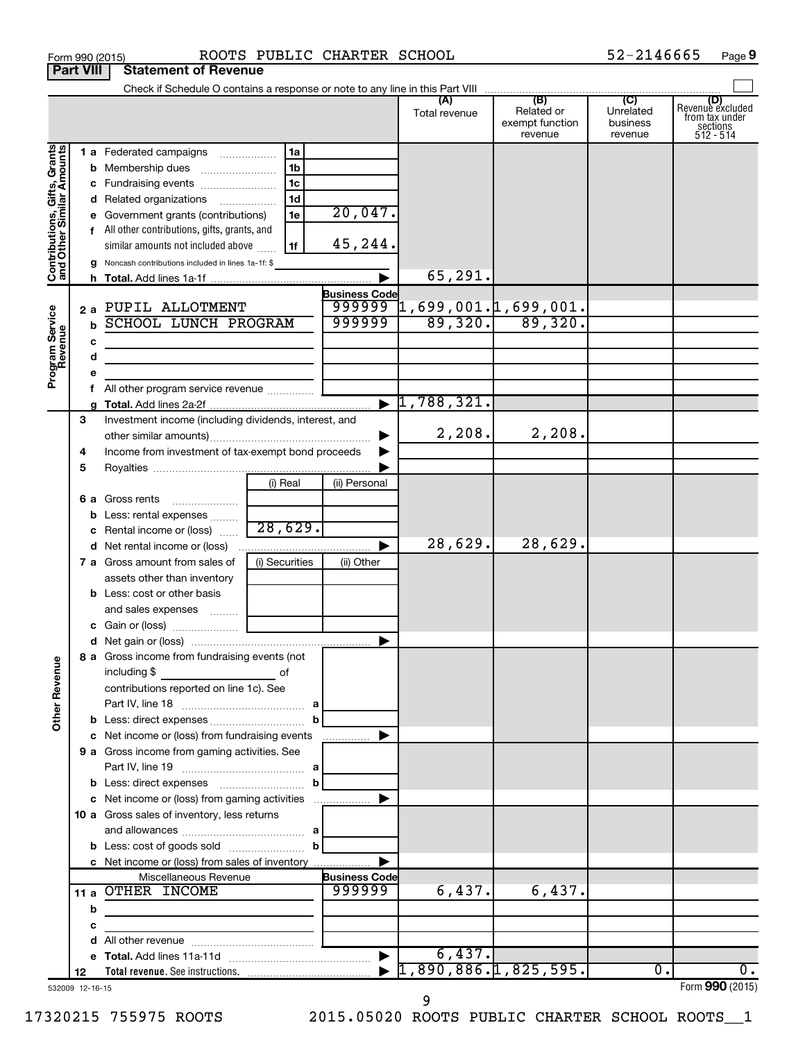|                                                           | <b>Part VIII</b> | <b>Statement of Revenue</b>                                                                                                                                                                                                                     |                |                                |                                                        |                                          |                                  |                                                                    |
|-----------------------------------------------------------|------------------|-------------------------------------------------------------------------------------------------------------------------------------------------------------------------------------------------------------------------------------------------|----------------|--------------------------------|--------------------------------------------------------|------------------------------------------|----------------------------------|--------------------------------------------------------------------|
|                                                           |                  |                                                                                                                                                                                                                                                 |                |                                |                                                        |                                          |                                  |                                                                    |
|                                                           |                  |                                                                                                                                                                                                                                                 |                |                                | Total revenue                                          | Related or<br>exempt function<br>revenue | Unrelated<br>business<br>revenue | (D)<br>Revenue excluded<br>from tax under<br>sections<br>512 - 514 |
| Contributions, Gifts, Grants<br>and Other Similar Amounts |                  | 1 a Federated campaigns                                                                                                                                                                                                                         | 1a             |                                |                                                        |                                          |                                  |                                                                    |
|                                                           |                  |                                                                                                                                                                                                                                                 | 1b             |                                |                                                        |                                          |                                  |                                                                    |
|                                                           |                  | c Fundraising events                                                                                                                                                                                                                            | 1c             |                                |                                                        |                                          |                                  |                                                                    |
|                                                           |                  | d Related organizations                                                                                                                                                                                                                         | 1 <sub>d</sub> |                                |                                                        |                                          |                                  |                                                                    |
|                                                           |                  | e Government grants (contributions)                                                                                                                                                                                                             | 1e             | 20,047.                        |                                                        |                                          |                                  |                                                                    |
|                                                           |                  | f All other contributions, gifts, grants, and                                                                                                                                                                                                   |                |                                |                                                        |                                          |                                  |                                                                    |
|                                                           |                  | similar amounts not included above                                                                                                                                                                                                              | 1f             | 45,244.                        |                                                        |                                          |                                  |                                                                    |
|                                                           |                  | g Noncash contributions included in lines 1a-1f: \$                                                                                                                                                                                             |                |                                | 65,291.                                                |                                          |                                  |                                                                    |
|                                                           |                  |                                                                                                                                                                                                                                                 |                | $\blacktriangleright$          |                                                        |                                          |                                  |                                                                    |
|                                                           |                  | 2 a PUPIL ALLOTMENT                                                                                                                                                                                                                             |                | <b>Business Code</b><br>999999 |                                                        |                                          |                                  |                                                                    |
|                                                           |                  | <b>SCHOOL LUNCH PROGRAM</b>                                                                                                                                                                                                                     |                | 999999                         | $\left[1\,,699\,,001\,. \right]$ 1,699,001.<br>89,320. | 89,320.                                  |                                  |                                                                    |
| Program Service<br>Revenue                                | b                |                                                                                                                                                                                                                                                 |                |                                |                                                        |                                          |                                  |                                                                    |
|                                                           | c                | the control of the control of the control of the control of the control of                                                                                                                                                                      |                |                                |                                                        |                                          |                                  |                                                                    |
|                                                           | d                | <u> 1989 - Johann Stein, mars and de Brandenburg (b. 1989)</u>                                                                                                                                                                                  |                |                                |                                                        |                                          |                                  |                                                                    |
|                                                           | е<br>f.          |                                                                                                                                                                                                                                                 |                |                                |                                                        |                                          |                                  |                                                                    |
|                                                           |                  |                                                                                                                                                                                                                                                 |                |                                | $\blacktriangleright$ 1,788,321.                       |                                          |                                  |                                                                    |
|                                                           | 3                | Investment income (including dividends, interest, and                                                                                                                                                                                           |                |                                |                                                        |                                          |                                  |                                                                    |
|                                                           |                  |                                                                                                                                                                                                                                                 |                | ▶                              | 2,208.                                                 | 2,208.                                   |                                  |                                                                    |
|                                                           | 4                | Income from investment of tax-exempt bond proceeds                                                                                                                                                                                              |                |                                |                                                        |                                          |                                  |                                                                    |
|                                                           | 5                |                                                                                                                                                                                                                                                 |                |                                |                                                        |                                          |                                  |                                                                    |
|                                                           |                  |                                                                                                                                                                                                                                                 | (i) Real       | (ii) Personal                  |                                                        |                                          |                                  |                                                                    |
|                                                           |                  | 6 a Gross rents                                                                                                                                                                                                                                 |                |                                |                                                        |                                          |                                  |                                                                    |
|                                                           |                  | <b>b</b> Less: rental expenses                                                                                                                                                                                                                  |                |                                |                                                        |                                          |                                  |                                                                    |
|                                                           |                  | c Rental income or (loss)                                                                                                                                                                                                                       | 28,629.        |                                |                                                        |                                          |                                  |                                                                    |
|                                                           |                  |                                                                                                                                                                                                                                                 |                | ▶                              | 28,629.                                                | 28,629.                                  |                                  |                                                                    |
|                                                           |                  | <b>7 a</b> Gross amount from sales of                                                                                                                                                                                                           | (i) Securities | (ii) Other                     |                                                        |                                          |                                  |                                                                    |
|                                                           |                  | assets other than inventory                                                                                                                                                                                                                     |                |                                |                                                        |                                          |                                  |                                                                    |
|                                                           |                  | <b>b</b> Less: cost or other basis                                                                                                                                                                                                              |                |                                |                                                        |                                          |                                  |                                                                    |
|                                                           |                  | and sales expenses                                                                                                                                                                                                                              |                |                                |                                                        |                                          |                                  |                                                                    |
|                                                           |                  |                                                                                                                                                                                                                                                 |                |                                |                                                        |                                          |                                  |                                                                    |
|                                                           |                  |                                                                                                                                                                                                                                                 |                |                                |                                                        |                                          |                                  |                                                                    |
| <b>Other Revenue</b>                                      |                  | 8 a Gross income from fundraising events (not  <br>including \$<br>$\mathcal{L}^{\mathcal{L}}(\mathcal{L}^{\mathcal{L}})$ and $\mathcal{L}^{\mathcal{L}}(\mathcal{L}^{\mathcal{L}})$ and $\mathcal{L}^{\mathcal{L}}(\mathcal{L}^{\mathcal{L}})$ |                |                                |                                                        |                                          |                                  |                                                                    |
|                                                           |                  | contributions reported on line 1c). See                                                                                                                                                                                                         |                |                                |                                                        |                                          |                                  |                                                                    |
|                                                           |                  |                                                                                                                                                                                                                                                 | b              |                                |                                                        |                                          |                                  |                                                                    |
|                                                           |                  | c Net income or (loss) from fundraising events                                                                                                                                                                                                  |                | ▶                              |                                                        |                                          |                                  |                                                                    |
|                                                           |                  | 9 a Gross income from gaming activities. See                                                                                                                                                                                                    |                |                                |                                                        |                                          |                                  |                                                                    |
|                                                           |                  |                                                                                                                                                                                                                                                 |                |                                |                                                        |                                          |                                  |                                                                    |
|                                                           |                  |                                                                                                                                                                                                                                                 | b              |                                |                                                        |                                          |                                  |                                                                    |
|                                                           |                  | c Net income or (loss) from gaming activities                                                                                                                                                                                                   |                | $\blacktriangleright$          |                                                        |                                          |                                  |                                                                    |
|                                                           |                  | 10 a Gross sales of inventory, less returns                                                                                                                                                                                                     |                |                                |                                                        |                                          |                                  |                                                                    |
|                                                           |                  |                                                                                                                                                                                                                                                 |                |                                |                                                        |                                          |                                  |                                                                    |
|                                                           |                  |                                                                                                                                                                                                                                                 |                |                                |                                                        |                                          |                                  |                                                                    |
|                                                           |                  | c Net income or (loss) from sales of inventory                                                                                                                                                                                                  |                | ▶                              |                                                        |                                          |                                  |                                                                    |
|                                                           |                  | Miscellaneous Revenue                                                                                                                                                                                                                           |                | <b>Business Code</b>           |                                                        |                                          |                                  |                                                                    |
|                                                           |                  | 11 a OTHER INCOME                                                                                                                                                                                                                               |                | 999999                         | 6,437.                                                 | 6,437.                                   |                                  |                                                                    |
|                                                           | b                |                                                                                                                                                                                                                                                 |                |                                |                                                        |                                          |                                  |                                                                    |
|                                                           | с                |                                                                                                                                                                                                                                                 |                |                                |                                                        |                                          |                                  |                                                                    |
|                                                           | d                |                                                                                                                                                                                                                                                 |                |                                | 6,437.                                                 |                                          |                                  |                                                                    |
|                                                           | 12               |                                                                                                                                                                                                                                                 |                | $\blacktriangleright$          | 1,890,886.1,825,595.                                   |                                          | 0.                               | 0.                                                                 |
|                                                           | 532009 12-16-15  |                                                                                                                                                                                                                                                 |                |                                |                                                        |                                          |                                  | Form 990 (2015)                                                    |

532009 12-16-15

9

Form 990 (2015) Page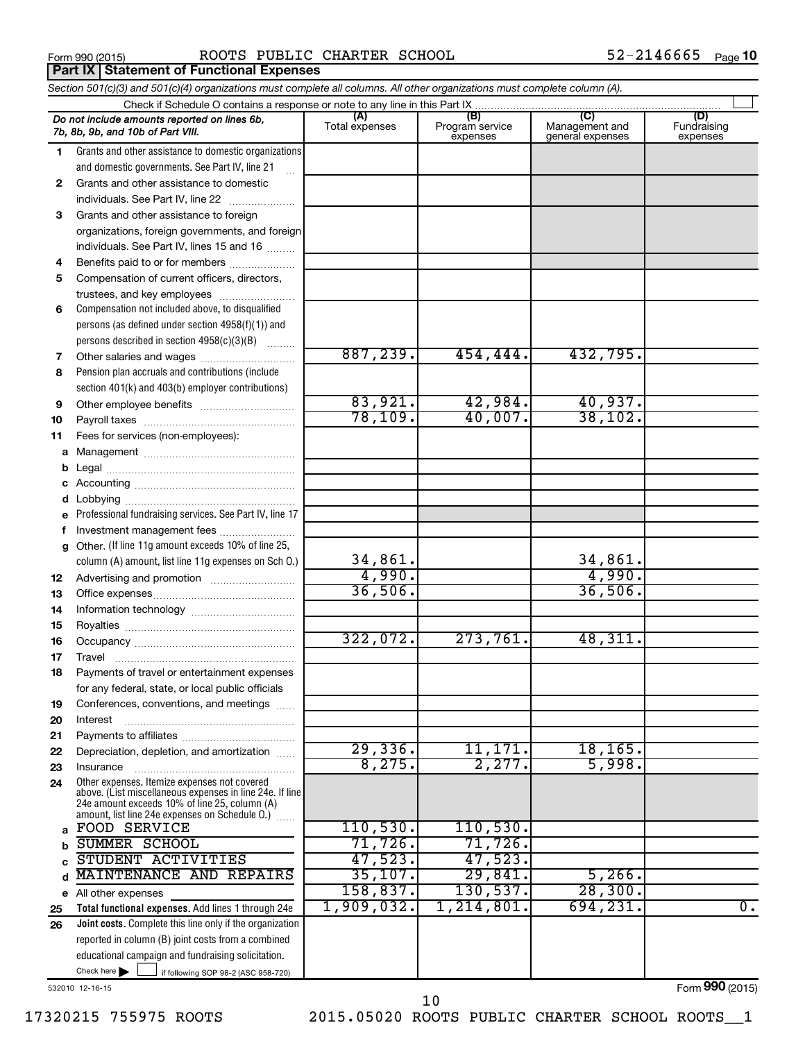**Part IX | Statement of Functional Expenses** 

Form 990 (2015) Page ROOTS PUBLIC CHARTER SCHOOL 52-2146665

|    | Section 501(c)(3) and 501(c)(4) organizations must complete all columns. All other organizations must complete column (A).                                                                                    |                |                             |                                    |                         |
|----|---------------------------------------------------------------------------------------------------------------------------------------------------------------------------------------------------------------|----------------|-----------------------------|------------------------------------|-------------------------|
|    | Check if Schedule O contains a response or note to any line in this Part IX                                                                                                                                   | (A)            | (B)                         | (C)                                | (D)                     |
|    | Do not include amounts reported on lines 6b,<br>7b, 8b, 9b, and 10b of Part VIII.                                                                                                                             | Total expenses | Program service<br>expenses | Management and<br>general expenses | Fundraising<br>expenses |
| 1. | Grants and other assistance to domestic organizations                                                                                                                                                         |                |                             |                                    |                         |
|    | and domestic governments. See Part IV, line 21<br>$\mathbf{r}$                                                                                                                                                |                |                             |                                    |                         |
| 2  | Grants and other assistance to domestic                                                                                                                                                                       |                |                             |                                    |                         |
|    | individuals. See Part IV, line 22<br>$\overline{\phantom{a}}$                                                                                                                                                 |                |                             |                                    |                         |
| 3  | Grants and other assistance to foreign                                                                                                                                                                        |                |                             |                                    |                         |
|    | organizations, foreign governments, and foreign                                                                                                                                                               |                |                             |                                    |                         |
|    | individuals. See Part IV, lines 15 and 16                                                                                                                                                                     |                |                             |                                    |                         |
| 4  | Benefits paid to or for members                                                                                                                                                                               |                |                             |                                    |                         |
| 5  | Compensation of current officers, directors,                                                                                                                                                                  |                |                             |                                    |                         |
|    | trustees, and key employees                                                                                                                                                                                   |                |                             |                                    |                         |
| 6  | Compensation not included above, to disqualified                                                                                                                                                              |                |                             |                                    |                         |
|    | persons (as defined under section 4958(f)(1)) and                                                                                                                                                             |                |                             |                                    |                         |
|    | persons described in section 4958(c)(3)(B)                                                                                                                                                                    |                |                             |                                    |                         |
| 7  |                                                                                                                                                                                                               | 887, 239.      | 454,444.                    | 432,795.                           |                         |
| 8  | Pension plan accruals and contributions (include                                                                                                                                                              |                |                             |                                    |                         |
|    | section 401(k) and 403(b) employer contributions)                                                                                                                                                             | 83,921.        | 42,984.                     | 40,937.                            |                         |
| 9  |                                                                                                                                                                                                               | 78, 109.       | 40,007.                     | 38, 102.                           |                         |
| 10 |                                                                                                                                                                                                               |                |                             |                                    |                         |
| 11 | Fees for services (non-employees):                                                                                                                                                                            |                |                             |                                    |                         |
| а  |                                                                                                                                                                                                               |                |                             |                                    |                         |
| b  |                                                                                                                                                                                                               |                |                             |                                    |                         |
| c  |                                                                                                                                                                                                               |                |                             |                                    |                         |
| d  | Professional fundraising services. See Part IV, line 17                                                                                                                                                       |                |                             |                                    |                         |
| f  | Investment management fees                                                                                                                                                                                    |                |                             |                                    |                         |
| g  | Other. (If line 11g amount exceeds 10% of line 25,                                                                                                                                                            |                |                             |                                    |                         |
|    | column (A) amount, list line 11g expenses on Sch O.)                                                                                                                                                          | 34,861.        |                             | 34,861.                            |                         |
| 12 |                                                                                                                                                                                                               | 4,990.         |                             | 4,990.                             |                         |
| 13 |                                                                                                                                                                                                               | 36,506.        |                             | 36,506.                            |                         |
| 14 |                                                                                                                                                                                                               |                |                             |                                    |                         |
| 15 |                                                                                                                                                                                                               |                |                             |                                    |                         |
| 16 |                                                                                                                                                                                                               | 322,072.       | 273,761.                    | 48,311.                            |                         |
| 17 |                                                                                                                                                                                                               |                |                             |                                    |                         |
| 18 | Payments of travel or entertainment expenses                                                                                                                                                                  |                |                             |                                    |                         |
|    | for any federal, state, or local public officials                                                                                                                                                             |                |                             |                                    |                         |
| 19 | Conferences, conventions, and meetings                                                                                                                                                                        |                |                             |                                    |                         |
| 20 | Interest                                                                                                                                                                                                      |                |                             |                                    |                         |
| 21 |                                                                                                                                                                                                               |                |                             |                                    |                         |
| 22 | Depreciation, depletion, and amortization                                                                                                                                                                     | 29,336.        | 11,171.                     | 18, 165.                           |                         |
| 23 | Insurance                                                                                                                                                                                                     | 8,275.         | 2,277.                      | 5,998.                             |                         |
| 24 | Other expenses. Itemize expenses not covered<br>above. (List miscellaneous expenses in line 24e. If line<br>24e amount exceeds 10% of line 25, column (A)<br>amount, list line 24e expenses on Schedule O.) [ |                |                             |                                    |                         |
| a  | <b>FOOD SERVICE</b>                                                                                                                                                                                           | 110,530.       | 110,530.                    |                                    |                         |
| b  | <b>SUMMER SCHOOL</b>                                                                                                                                                                                          | $71,726$ .     | 71,726.                     |                                    |                         |
|    | STUDENT ACTIVITIES                                                                                                                                                                                            | 47,523.        | 47,523.                     |                                    |                         |
| d  | MAINTENANCE AND REPAIRS                                                                                                                                                                                       | 35,107.        | 29,841.                     | 5,266.                             |                         |
| е  | All other expenses                                                                                                                                                                                            | 158,837.       | 130,537.                    | 28,300.                            |                         |
| 25 | Total functional expenses. Add lines 1 through 24e                                                                                                                                                            | $1,909,032$ .  | 1,214,801.                  | 694,231.                           | 0.                      |
| 26 | Joint costs. Complete this line only if the organization                                                                                                                                                      |                |                             |                                    |                         |
|    | reported in column (B) joint costs from a combined                                                                                                                                                            |                |                             |                                    |                         |
|    | educational campaign and fundraising solicitation.                                                                                                                                                            |                |                             |                                    |                         |
|    | Check here<br>if following SOP 98-2 (ASC 958-720)                                                                                                                                                             |                |                             |                                    |                         |

532010 12-16-15

Form (2015) **990**

10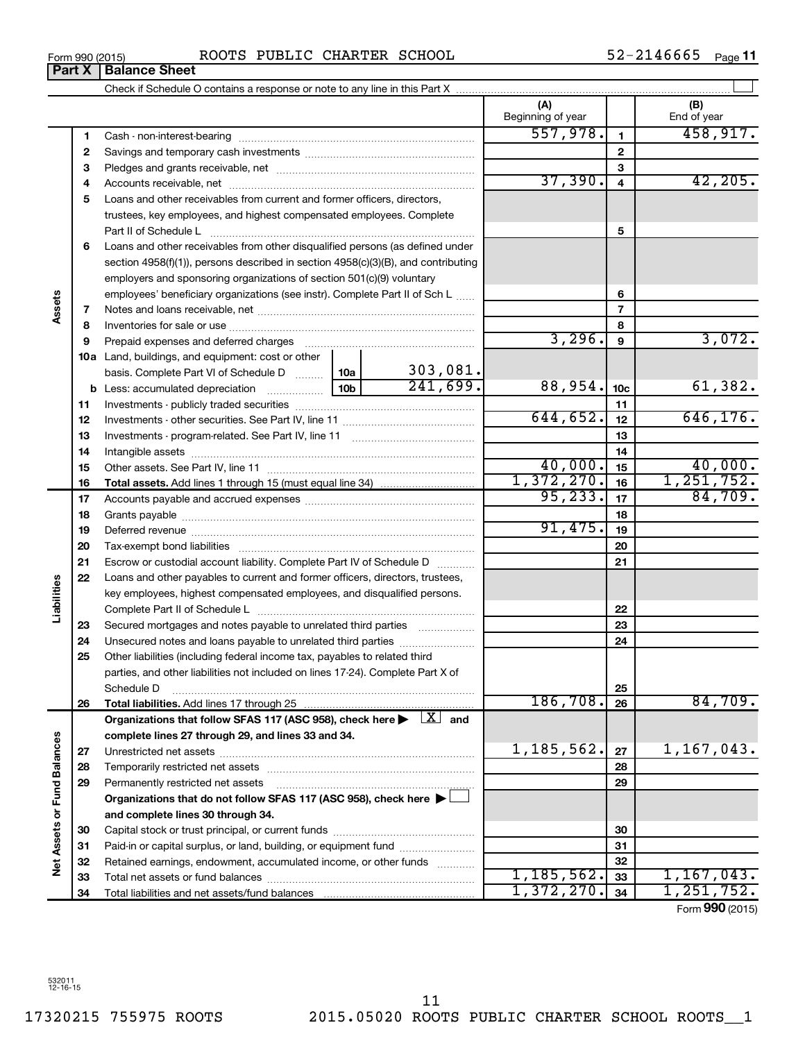| Form 990 (2015) | ROOTS PUBLIC CHARTER SCHOOL                                                                                                                      |                          |   | 52-2146665<br>Page 11 |
|-----------------|--------------------------------------------------------------------------------------------------------------------------------------------------|--------------------------|---|-----------------------|
| Part X          | <b>Balance Sheet</b>                                                                                                                             |                          |   |                       |
|                 |                                                                                                                                                  |                          |   |                       |
|                 |                                                                                                                                                  | (A)<br>Beginning of year |   | (B)<br>End of year    |
|                 |                                                                                                                                                  | 557,978.                 |   | 458,917.              |
| 2               |                                                                                                                                                  |                          | 2 |                       |
| з               |                                                                                                                                                  |                          | з |                       |
| 4               |                                                                                                                                                  | 37,390                   | 4 | 42,205.               |
| 5               | Loans and other receivables from current and former officers, directors,<br>trustees, key employees, and highest compensated employees. Complete |                          |   |                       |
|                 | <b>Dart II of Schodule I</b>                                                                                                                     |                          | д |                       |

|                                                                                   | (A)<br>Beginning of year |   | (B)<br>End of year |
|-----------------------------------------------------------------------------------|--------------------------|---|--------------------|
|                                                                                   | 557,978.                 |   | 458, <u>9</u>      |
|                                                                                   |                          | 2 |                    |
|                                                                                   |                          | з |                    |
|                                                                                   | 37,390.                  | Δ | 12,2               |
| Loans and other receivables from current and former officers, directors,          |                          |   |                    |
| trustees, key employees, and highest compensated employees. Complete              |                          |   |                    |
| Part II of Schedule L                                                             |                          | 5 |                    |
| Loans and other receivables from other disqualified persons (as defined under     |                          |   |                    |
| section 4958(f)(1)), persons described in section 4958(c)(3)(B), and contributing |                          |   |                    |

303,081.

|       |  | ROOTS PUBLIC CHARTER SCHOOL |  |
|-------|--|-----------------------------|--|
| Sheet |  |                             |  |

 $3,296.$   $9$   $3,072.$ 

 $644,652.$   $12$  646,176.

40,000. 40,000.  $1,372,270$ .  $16$  1,251,752. 95,233. 84,709.

 $241,699.$  88,954.  $1_{10c}$  61,382.

91,475.

**22 23 24**

**25 26**

186,708. 26 84,709.

**27 28 29**

 $1,185,562.$   $27$  | 1,167,043.

 $1,185,562.$  33 1,167,043. 1,372,270. 34 1,251,752.

Form (2015) **990**

**6** Loans

**10 a** Land, buildings, and equipment: cost or other

**b** Less: accumulated depreciation  $\ldots$  [10b basis. Complete Part VI of Schedule D  $\frac{1}{10}$  10a

**11** Investments - publicly traded securities ~~~~~~~~~~~~~~~~~~~ **12** Investments - other securities. See Part IV, line 11 ~~~~~~~~~~~~~~ **13** Investments - program-related. See Part IV, line 11 ~~~~~~~~~~~~~

employers and sponsoring organizations of section 501(c)(9) voluntary

employees' beneficiary organizations (see instr). Complete Part II of Sch L ...... Notes and loans receivable, net ~~~~~~~~~~~~~~~~~~~~~~~ Inventories for sale or use ~~~~~~~~~~~~~~~~~~~~~~~~~~ Prepaid expenses and deferred charges ~~~~~~~~~~~~~~~~~~

**15** Other assets. See Part IV, line 11  $\ldots$   $\ldots$   $\ldots$   $\ldots$   $\ldots$   $\ldots$   $\ldots$   $\ldots$   $\ldots$   $\ldots$   $\ldots$   $\ldots$   $\ldots$   $\ldots$   $\ldots$   $\ldots$   $\ldots$   $\ldots$   $\ldots$   $\ldots$   $\ldots$   $\ldots$   $\ldots$   $\ldots$   $\ldots$   $\ldots$   $\ldots$   $\ldots$   $\ldots$   $\ldots$   $\$ 

**Total assets.**  Add lines 1 through 15 (must equal line 34)

Accounts payable and accrued expenses ~~~~~~~~~~~~~~~~~~ Grants payable ~~~~~~~~~~~~~~~~~~~~~~~~~~~~~~~ Deferred revenue ~~~~~~~~~~~~~~~~~~~~~~~~~~~~~~ Tax-exempt bond liabilities ~~~~~~~~~~~~~~~~~~~~~~~~~ Escrow or custodial account liability. Complete Part IV of Schedule D ........... Loans and other payables to current and former officers, directors, trustees, key employees, highest compensated employees, and disqualified persons. Complete Part II of Schedule L ~~~~~~~~~~~~~~~~~~~~~~~ Secured mortgages and notes payable to unrelated third parties  $\ldots$ ................. Unsecured notes and loans payable to unrelated third parties ~~~~~~~~ Other liabilities (including federal income tax, payables to related third parties, and other liabilities not included on lines 17-24). Complete Part X of Schedule D ~~~~~~~~~~~~~~~~~~~~~~~~~~~~~~~~

Intangible assets ~~~~~~~~~~~~~~~~~~~~~~~~~~~~~~

**Total liabilities.**  Add lines 17 through 25 Organizations that follow SFAS 117 (ASC 958), check here  $\blacktriangleright$   $\boxed{X}$  and

Unrestricted net assets ~~~~~~~~~~~~~~~~~~~~~~~~~~~ Temporarily restricted net assets ~~~~~~~~~~~~~~~~~~~~~~ Permanently restricted net assets ~~~~~~~~~~~~~~~~~~~~~

**Organizations that do not follow SFAS 117 (ASC 958), check here** | †

Capital stock or trust principal, or current funds ~~~~~~~~~~~~~~~ Paid-in or capital surplus, or land, building, or equipment fund ....................... Retained earnings, endowment, accumulated income, or other funds ............ Total net assets or fund balances ~~~~~~~~~~~~~~~~~~~~~~

**complete lines 27 through 29, and lines 33 and 34.**

**and complete lines 30 through 34.**

Total liabilities and net assets/fund balances

**7 8 9**

**Assets**

**14**

**23 24 25**

**Liabilities**

**26**

**27 28 29**

**Net Assets or Fund Balances**

**Vet Assets or Fund Balances**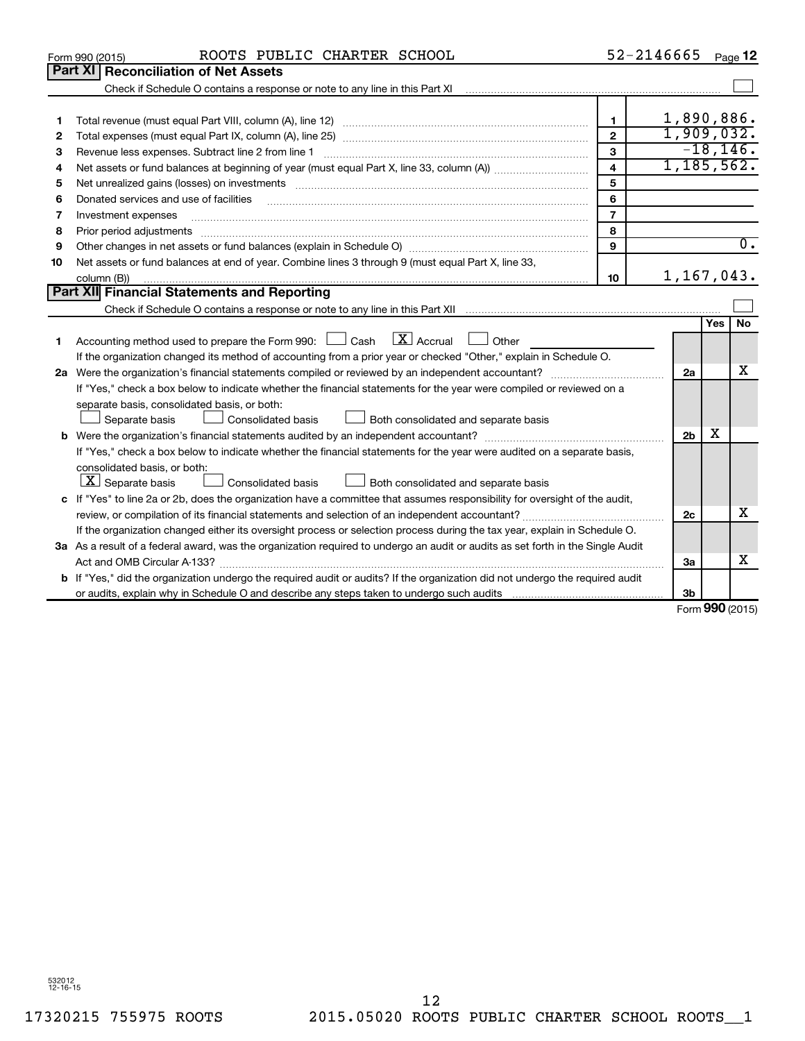|    | ROOTS PUBLIC CHARTER SCHOOL<br>Form 990 (2015)                                                                                                                    | 52-2146665              |                |                   | Page 12          |
|----|-------------------------------------------------------------------------------------------------------------------------------------------------------------------|-------------------------|----------------|-------------------|------------------|
|    | Part XI<br><b>Reconciliation of Net Assets</b>                                                                                                                    |                         |                |                   |                  |
|    | Check if Schedule O contains a response or note to any line in this Part XI [11] [12] Check if Schedule O contains a response or note to any line in this Part XI |                         |                |                   |                  |
|    |                                                                                                                                                                   |                         |                |                   |                  |
| 1  |                                                                                                                                                                   | 1                       | 1,890,886.     |                   |                  |
| 2  |                                                                                                                                                                   | $\mathbf{2}$            | 1,909,032.     |                   |                  |
| 3  | Revenue less expenses. Subtract line 2 from line 1                                                                                                                | $\mathbf{3}$            |                |                   | $-18, 146.$      |
| 4  |                                                                                                                                                                   | $\overline{\mathbf{4}}$ | 1, 185, 562.   |                   |                  |
| 5  |                                                                                                                                                                   | 5                       |                |                   |                  |
| 6  | Donated services and use of facilities                                                                                                                            | 6                       |                |                   |                  |
| 7  | Investment expenses                                                                                                                                               | $\overline{7}$          |                |                   |                  |
| 8  |                                                                                                                                                                   | 8                       |                |                   |                  |
| 9  |                                                                                                                                                                   | 9                       |                |                   | $\overline{0}$ . |
| 10 | Net assets or fund balances at end of year. Combine lines 3 through 9 (must equal Part X, line 33,                                                                |                         |                |                   |                  |
|    | column (B))                                                                                                                                                       | 10                      | 1,167,043.     |                   |                  |
|    | Part XII Financial Statements and Reporting                                                                                                                       |                         |                |                   |                  |
|    |                                                                                                                                                                   |                         |                |                   |                  |
|    |                                                                                                                                                                   |                         |                | Yes               | <b>No</b>        |
| 1  | $\lfloor x \rfloor$ Accrual<br>Accounting method used to prepare the Form 990: $\Box$ Cash<br>$\Box$ Other                                                        |                         |                |                   |                  |
|    | If the organization changed its method of accounting from a prior year or checked "Other," explain in Schedule O.                                                 |                         |                |                   |                  |
|    |                                                                                                                                                                   |                         | 2a             |                   | x                |
|    | If "Yes," check a box below to indicate whether the financial statements for the year were compiled or reviewed on a                                              |                         |                |                   |                  |
|    | separate basis, consolidated basis, or both:                                                                                                                      |                         |                |                   |                  |
|    | Separate basis<br><b>Consolidated basis</b><br>Both consolidated and separate basis                                                                               |                         |                |                   |                  |
|    |                                                                                                                                                                   |                         | 2 <sub>b</sub> | x                 |                  |
|    | If "Yes," check a box below to indicate whether the financial statements for the year were audited on a separate basis,                                           |                         |                |                   |                  |
|    | consolidated basis, or both:                                                                                                                                      |                         |                |                   |                  |
|    | $ \mathbf{X} $ Separate basis<br><b>Consolidated basis</b><br>Both consolidated and separate basis                                                                |                         |                |                   |                  |
|    | c If "Yes" to line 2a or 2b, does the organization have a committee that assumes responsibility for oversight of the audit,                                       |                         |                |                   |                  |
|    |                                                                                                                                                                   |                         | 2c             |                   | х                |
|    | If the organization changed either its oversight process or selection process during the tax year, explain in Schedule O.                                         |                         |                |                   |                  |
|    | 3a As a result of a federal award, was the organization required to undergo an audit or audits as set forth in the Single Audit                                   |                         |                |                   |                  |
|    |                                                                                                                                                                   |                         | За             |                   | х                |
|    | <b>b</b> If "Yes," did the organization undergo the required audit or audits? If the organization did not undergo the required audit                              |                         |                |                   |                  |
|    |                                                                                                                                                                   |                         | Зb             | $000 \, \text{m}$ |                  |
|    |                                                                                                                                                                   |                         |                |                   |                  |

Form (2015) **990**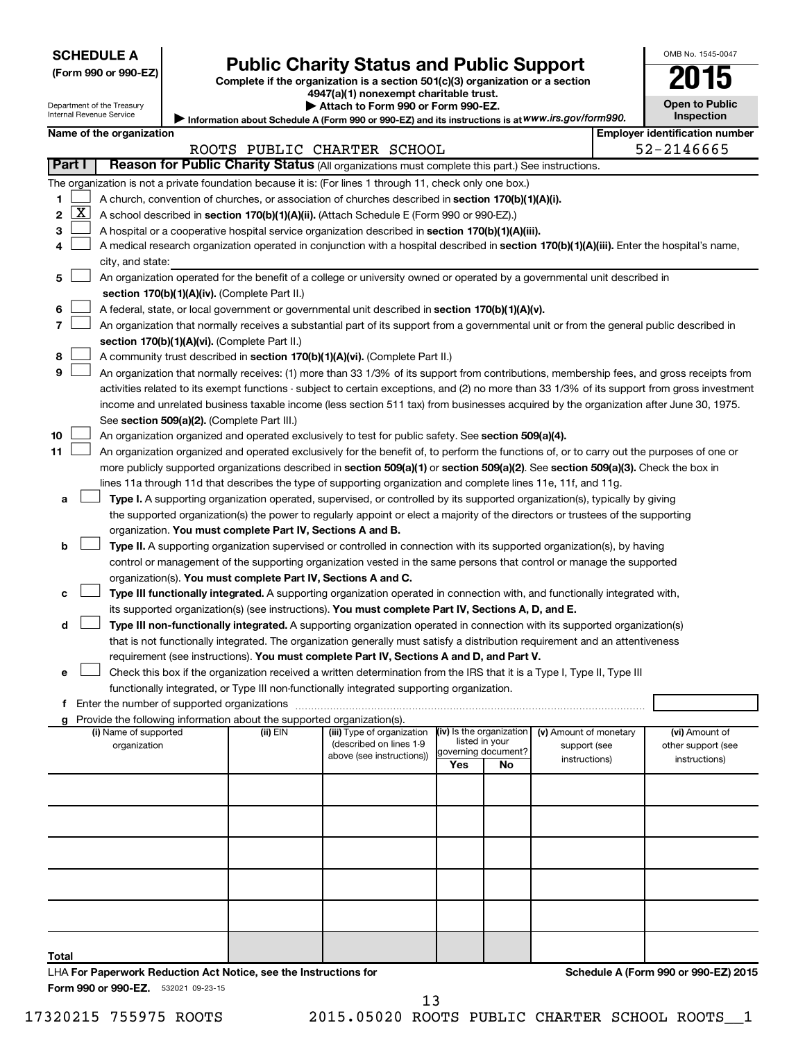| <b>SCHEDULE A</b> |  |
|-------------------|--|
|-------------------|--|

| (Form 990 or 990-EZ |  |  |  |  |  |
|---------------------|--|--|--|--|--|
|---------------------|--|--|--|--|--|

# Form 990 or 990-EZ) Public Charity Status and Public Support<br>
Complete if the organization is a section 501(c)(3) organization or a section<br> **2015**

**4947(a)(1) nonexempt charitable trust. | Attach to Form 990 or Form 990-EZ.** 

| ΖU<br>IJ              |  |
|-----------------------|--|
| <b>Open to Public</b> |  |
| <b>Inspection</b>     |  |

OMB No. 1545-0047

Department of the Treasury Internal Revenue Service

| 'nformation about Schedule A (Form 990 or 990-EZ) and its instructions is at WWW.irs.gov/form990. |  |
|---------------------------------------------------------------------------------------------------|--|
|                                                                                                   |  |

|        | internal Revenue Service                                                                                                                                                                                                        |          | Information about Schedule A (Form 990 or 990-EZ) and its instructions is at WWW.irs.gov/form990. |                                       |    |                        |  | <b>Inspection</b>                     |  |
|--------|---------------------------------------------------------------------------------------------------------------------------------------------------------------------------------------------------------------------------------|----------|---------------------------------------------------------------------------------------------------|---------------------------------------|----|------------------------|--|---------------------------------------|--|
|        | Name of the organization                                                                                                                                                                                                        |          |                                                                                                   |                                       |    |                        |  | <b>Employer identification number</b> |  |
|        | 52-2146665<br>ROOTS PUBLIC CHARTER SCHOOL                                                                                                                                                                                       |          |                                                                                                   |                                       |    |                        |  |                                       |  |
| Part I | Reason for Public Charity Status (All organizations must complete this part.) See instructions.                                                                                                                                 |          |                                                                                                   |                                       |    |                        |  |                                       |  |
|        | The organization is not a private foundation because it is: (For lines 1 through 11, check only one box.)                                                                                                                       |          |                                                                                                   |                                       |    |                        |  |                                       |  |
| 1      | A church, convention of churches, or association of churches described in section 170(b)(1)(A)(i).                                                                                                                              |          |                                                                                                   |                                       |    |                        |  |                                       |  |
| 2      | $\mathbf{X}$<br>A school described in section 170(b)(1)(A)(ii). (Attach Schedule E (Form 990 or 990-EZ).)                                                                                                                       |          |                                                                                                   |                                       |    |                        |  |                                       |  |
| 3      | A hospital or a cooperative hospital service organization described in section 170(b)(1)(A)(iii).                                                                                                                               |          |                                                                                                   |                                       |    |                        |  |                                       |  |
| 4      | A medical research organization operated in conjunction with a hospital described in section 170(b)(1)(A)(iii). Enter the hospital's name,                                                                                      |          |                                                                                                   |                                       |    |                        |  |                                       |  |
|        | city, and state:                                                                                                                                                                                                                |          |                                                                                                   |                                       |    |                        |  |                                       |  |
| 5      | An organization operated for the benefit of a college or university owned or operated by a governmental unit described in                                                                                                       |          |                                                                                                   |                                       |    |                        |  |                                       |  |
|        | section 170(b)(1)(A)(iv). (Complete Part II.)                                                                                                                                                                                   |          |                                                                                                   |                                       |    |                        |  |                                       |  |
| 6      | A federal, state, or local government or governmental unit described in section 170(b)(1)(A)(v).                                                                                                                                |          |                                                                                                   |                                       |    |                        |  |                                       |  |
| 7      | An organization that normally receives a substantial part of its support from a governmental unit or from the general public described in                                                                                       |          |                                                                                                   |                                       |    |                        |  |                                       |  |
|        | section 170(b)(1)(A)(vi). (Complete Part II.)                                                                                                                                                                                   |          |                                                                                                   |                                       |    |                        |  |                                       |  |
| 8      | A community trust described in section 170(b)(1)(A)(vi). (Complete Part II.)                                                                                                                                                    |          |                                                                                                   |                                       |    |                        |  |                                       |  |
| 9      | An organization that normally receives: (1) more than 33 1/3% of its support from contributions, membership fees, and gross receipts from                                                                                       |          |                                                                                                   |                                       |    |                        |  |                                       |  |
|        | activities related to its exempt functions - subject to certain exceptions, and (2) no more than 33 1/3% of its support from gross investment                                                                                   |          |                                                                                                   |                                       |    |                        |  |                                       |  |
|        | income and unrelated business taxable income (less section 511 tax) from businesses acquired by the organization after June 30, 1975.                                                                                           |          |                                                                                                   |                                       |    |                        |  |                                       |  |
|        | See section 509(a)(2). (Complete Part III.)                                                                                                                                                                                     |          |                                                                                                   |                                       |    |                        |  |                                       |  |
| 10     | An organization organized and operated exclusively to test for public safety. See section 509(a)(4).                                                                                                                            |          |                                                                                                   |                                       |    |                        |  |                                       |  |
| 11     | An organization organized and operated exclusively for the benefit of, to perform the functions of, or to carry out the purposes of one or                                                                                      |          |                                                                                                   |                                       |    |                        |  |                                       |  |
|        | more publicly supported organizations described in section 509(a)(1) or section 509(a)(2). See section 509(a)(3). Check the box in                                                                                              |          |                                                                                                   |                                       |    |                        |  |                                       |  |
|        | lines 11a through 11d that describes the type of supporting organization and complete lines 11e, 11f, and 11g.                                                                                                                  |          |                                                                                                   |                                       |    |                        |  |                                       |  |
| a      | Type I. A supporting organization operated, supervised, or controlled by its supported organization(s), typically by giving                                                                                                     |          |                                                                                                   |                                       |    |                        |  |                                       |  |
|        | the supported organization(s) the power to regularly appoint or elect a majority of the directors or trustees of the supporting                                                                                                 |          |                                                                                                   |                                       |    |                        |  |                                       |  |
|        | organization. You must complete Part IV, Sections A and B.                                                                                                                                                                      |          |                                                                                                   |                                       |    |                        |  |                                       |  |
| b      | Type II. A supporting organization supervised or controlled in connection with its supported organization(s), by having                                                                                                         |          |                                                                                                   |                                       |    |                        |  |                                       |  |
|        | control or management of the supporting organization vested in the same persons that control or manage the supported                                                                                                            |          |                                                                                                   |                                       |    |                        |  |                                       |  |
|        | organization(s). You must complete Part IV, Sections A and C.                                                                                                                                                                   |          |                                                                                                   |                                       |    |                        |  |                                       |  |
| c      | Type III functionally integrated. A supporting organization operated in connection with, and functionally integrated with,                                                                                                      |          |                                                                                                   |                                       |    |                        |  |                                       |  |
| d      | its supported organization(s) (see instructions). You must complete Part IV, Sections A, D, and E.<br>Type III non-functionally integrated. A supporting organization operated in connection with its supported organization(s) |          |                                                                                                   |                                       |    |                        |  |                                       |  |
|        | that is not functionally integrated. The organization generally must satisfy a distribution requirement and an attentiveness                                                                                                    |          |                                                                                                   |                                       |    |                        |  |                                       |  |
|        | requirement (see instructions). You must complete Part IV, Sections A and D, and Part V.                                                                                                                                        |          |                                                                                                   |                                       |    |                        |  |                                       |  |
| е      | Check this box if the organization received a written determination from the IRS that it is a Type I, Type II, Type III                                                                                                         |          |                                                                                                   |                                       |    |                        |  |                                       |  |
|        | functionally integrated, or Type III non-functionally integrated supporting organization.                                                                                                                                       |          |                                                                                                   |                                       |    |                        |  |                                       |  |
|        | Enter the number of supported organizations                                                                                                                                                                                     |          |                                                                                                   |                                       |    |                        |  |                                       |  |
|        | g Provide the following information about the supported organization(s).                                                                                                                                                        |          |                                                                                                   |                                       |    |                        |  |                                       |  |
|        | (i) Name of supported                                                                                                                                                                                                           | (ii) EIN | (iii) Type of organization                                                                        | (iv) Is the organization              |    | (v) Amount of monetary |  | (vi) Amount of                        |  |
|        | organization                                                                                                                                                                                                                    |          | (described on lines 1-9<br>above (see instructions))                                              | listed in your<br>governing document? |    | support (see           |  | other support (see                    |  |
|        |                                                                                                                                                                                                                                 |          |                                                                                                   | Yes                                   | No | instructions)          |  | instructions)                         |  |
|        |                                                                                                                                                                                                                                 |          |                                                                                                   |                                       |    |                        |  |                                       |  |
|        |                                                                                                                                                                                                                                 |          |                                                                                                   |                                       |    |                        |  |                                       |  |
|        |                                                                                                                                                                                                                                 |          |                                                                                                   |                                       |    |                        |  |                                       |  |
|        |                                                                                                                                                                                                                                 |          |                                                                                                   |                                       |    |                        |  |                                       |  |
|        |                                                                                                                                                                                                                                 |          |                                                                                                   |                                       |    |                        |  |                                       |  |

Form 990 or 990-EZ. 532021 09-23-15 LHA **For Paperwork Reduction Act Notice, see the Instructions for**  **Schedule A (Form 990 or 990-EZ) 2015**

**Total**

17320215 755975 ROOTS 2015.05020 ROOTS PUBLIC CHARTER SCHOOL ROOTS\_\_1 13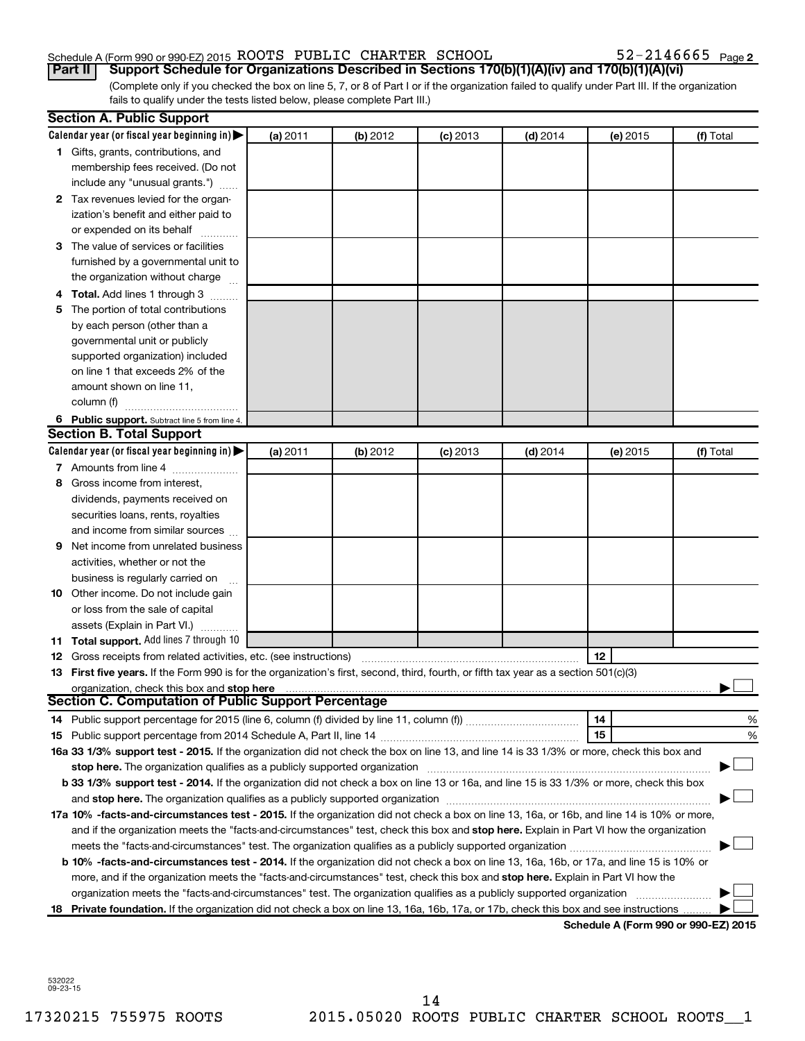#### Schedule A (Form 990 or 990-EZ) 2015  $\,$  ROOTS PUBLIC CHARTER SCHOOL  $\,$  52-2146665  $\,$  Page

 $52 - 2146665$  Page 2

(Complete only if you checked the box on line 5, 7, or 8 of Part I or if the organization failed to qualify under Part III. If the organization fails to qualify under the tests listed below, please complete Part III.) **Part II Support Schedule for Organizations Described in Sections 170(b)(1)(A)(iv) and 170(b)(1)(A)(vi)**

|   | <b>Section A. Public Support</b>                                                                                                                                                                                           |          |          |            |            |          |                                      |
|---|----------------------------------------------------------------------------------------------------------------------------------------------------------------------------------------------------------------------------|----------|----------|------------|------------|----------|--------------------------------------|
|   | Calendar year (or fiscal year beginning in)                                                                                                                                                                                | (a) 2011 | (b) 2012 | $(c)$ 2013 | $(d)$ 2014 | (e) 2015 | (f) Total                            |
|   | 1 Gifts, grants, contributions, and                                                                                                                                                                                        |          |          |            |            |          |                                      |
|   | membership fees received. (Do not                                                                                                                                                                                          |          |          |            |            |          |                                      |
|   | include any "unusual grants.")                                                                                                                                                                                             |          |          |            |            |          |                                      |
|   | 2 Tax revenues levied for the organ-                                                                                                                                                                                       |          |          |            |            |          |                                      |
|   | ization's benefit and either paid to                                                                                                                                                                                       |          |          |            |            |          |                                      |
|   | or expended on its behalf                                                                                                                                                                                                  |          |          |            |            |          |                                      |
|   | 3 The value of services or facilities                                                                                                                                                                                      |          |          |            |            |          |                                      |
|   | furnished by a governmental unit to                                                                                                                                                                                        |          |          |            |            |          |                                      |
|   | the organization without charge                                                                                                                                                                                            |          |          |            |            |          |                                      |
|   | 4 Total. Add lines 1 through 3                                                                                                                                                                                             |          |          |            |            |          |                                      |
|   | 5 The portion of total contributions                                                                                                                                                                                       |          |          |            |            |          |                                      |
|   | by each person (other than a                                                                                                                                                                                               |          |          |            |            |          |                                      |
|   | governmental unit or publicly                                                                                                                                                                                              |          |          |            |            |          |                                      |
|   | supported organization) included                                                                                                                                                                                           |          |          |            |            |          |                                      |
|   | on line 1 that exceeds 2% of the                                                                                                                                                                                           |          |          |            |            |          |                                      |
|   | amount shown on line 11,                                                                                                                                                                                                   |          |          |            |            |          |                                      |
|   | column (f)                                                                                                                                                                                                                 |          |          |            |            |          |                                      |
|   | 6 Public support. Subtract line 5 from line 4.                                                                                                                                                                             |          |          |            |            |          |                                      |
|   | <b>Section B. Total Support</b>                                                                                                                                                                                            |          |          |            |            |          |                                      |
|   | Calendar year (or fiscal year beginning in)                                                                                                                                                                                | (a) 2011 | (b) 2012 | $(c)$ 2013 | $(d)$ 2014 | (e) 2015 | (f) Total                            |
|   | 7 Amounts from line 4                                                                                                                                                                                                      |          |          |            |            |          |                                      |
|   | 8 Gross income from interest,                                                                                                                                                                                              |          |          |            |            |          |                                      |
|   | dividends, payments received on                                                                                                                                                                                            |          |          |            |            |          |                                      |
|   | securities loans, rents, royalties                                                                                                                                                                                         |          |          |            |            |          |                                      |
|   | and income from similar sources                                                                                                                                                                                            |          |          |            |            |          |                                      |
| 9 | Net income from unrelated business                                                                                                                                                                                         |          |          |            |            |          |                                      |
|   | activities, whether or not the                                                                                                                                                                                             |          |          |            |            |          |                                      |
|   | business is regularly carried on                                                                                                                                                                                           |          |          |            |            |          |                                      |
|   | 10 Other income. Do not include gain                                                                                                                                                                                       |          |          |            |            |          |                                      |
|   | or loss from the sale of capital                                                                                                                                                                                           |          |          |            |            |          |                                      |
|   | assets (Explain in Part VI.)                                                                                                                                                                                               |          |          |            |            |          |                                      |
|   | 11 Total support. Add lines 7 through 10                                                                                                                                                                                   |          |          |            |            |          |                                      |
|   | <b>12</b> Gross receipts from related activities, etc. (see instructions)                                                                                                                                                  |          |          |            |            | 12       |                                      |
|   | 13 First five years. If the Form 990 is for the organization's first, second, third, fourth, or fifth tax year as a section 501(c)(3)                                                                                      |          |          |            |            |          |                                      |
|   | organization, check this box and stop here                                                                                                                                                                                 |          |          |            |            |          |                                      |
|   | <b>Section C. Computation of Public Support Percentage</b>                                                                                                                                                                 |          |          |            |            |          |                                      |
|   |                                                                                                                                                                                                                            |          |          |            |            | 14       | %                                    |
|   |                                                                                                                                                                                                                            |          |          |            |            | 15       | %                                    |
|   | 16a 33 1/3% support test - 2015. If the organization did not check the box on line 13, and line 14 is 33 1/3% or more, check this box and                                                                                  |          |          |            |            |          |                                      |
|   | stop here. The organization qualifies as a publicly supported organization                                                                                                                                                 |          |          |            |            |          |                                      |
|   | b 33 1/3% support test - 2014. If the organization did not check a box on line 13 or 16a, and line 15 is 33 1/3% or more, check this box                                                                                   |          |          |            |            |          |                                      |
|   | and stop here. The organization qualifies as a publicly supported organization [11] manuscription manuscription manuscription manuscription and stop here. The organization qualifies as a publicly supported organization |          |          |            |            |          |                                      |
|   | 17a 10% -facts-and-circumstances test - 2015. If the organization did not check a box on line 13, 16a, or 16b, and line 14 is 10% or more,                                                                                 |          |          |            |            |          |                                      |
|   | and if the organization meets the "facts-and-circumstances" test, check this box and stop here. Explain in Part VI how the organization                                                                                    |          |          |            |            |          |                                      |
|   | meets the "facts-and-circumstances" test. The organization qualifies as a publicly supported organization <i>manumumumumum</i>                                                                                             |          |          |            |            |          |                                      |
|   | b 10% -facts-and-circumstances test - 2014. If the organization did not check a box on line 13, 16a, 16b, or 17a, and line 15 is 10% or                                                                                    |          |          |            |            |          |                                      |
|   | more, and if the organization meets the "facts-and-circumstances" test, check this box and stop here. Explain in Part VI how the                                                                                           |          |          |            |            |          |                                      |
|   | organization meets the "facts-and-circumstances" test. The organization qualifies as a publicly supported organization                                                                                                     |          |          |            |            |          |                                      |
|   | 18 Private foundation. If the organization did not check a box on line 13, 16a, 16b, 17a, or 17b, check this box and see instructions                                                                                      |          |          |            |            |          | Schodule A (Form 000 or 000 EZ) 2015 |

**Schedule A (Form 990 or 990-EZ) 2015**

532022 09-23-15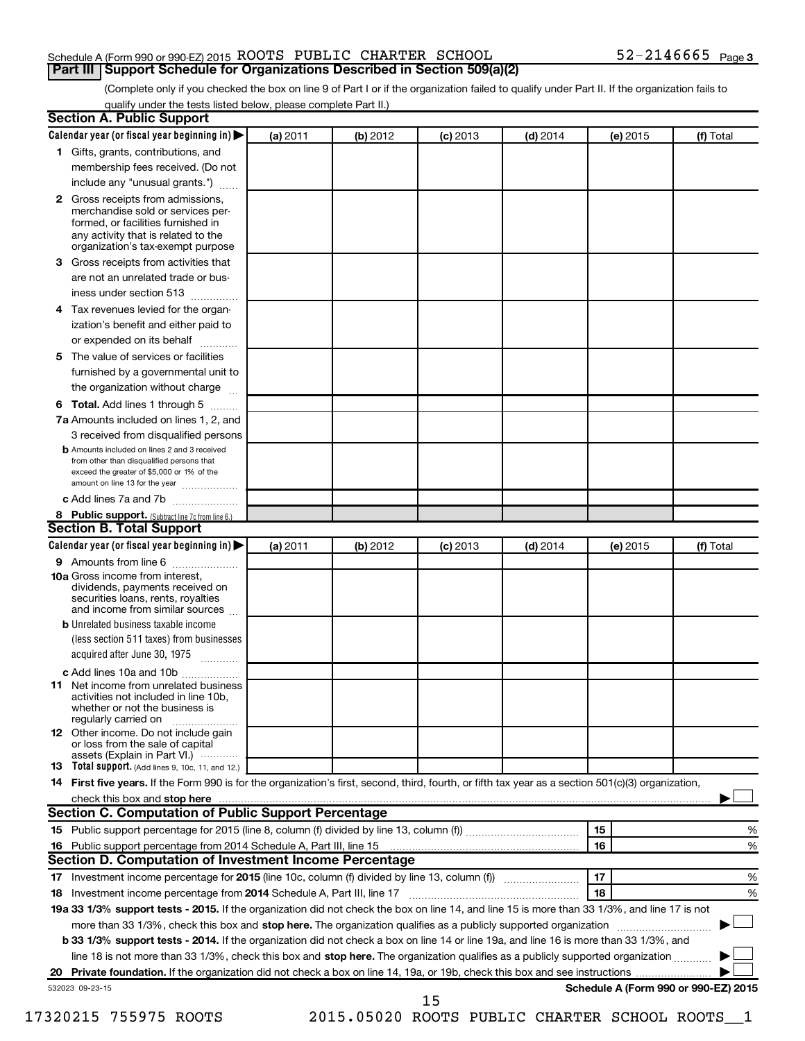#### Schedule A (Form 990 or 990-EZ) 2015  $\,$  ROOTS PUBLIC CHARTER SCHOOL  $\,$  52-2146665  $\,$  Page **Part III Support Schedule for Organizations Described in Section 509(a)(2)**

(Complete only if you checked the box on line 9 of Part I or if the organization failed to qualify under Part II. If the organization fails to qualify under the tests listed below, please complete Part II.)

| <b>Section A. Public Support</b>                                                                                                                                                         |          |          |          |            |          |                                      |
|------------------------------------------------------------------------------------------------------------------------------------------------------------------------------------------|----------|----------|----------|------------|----------|--------------------------------------|
| Calendar year (or fiscal year beginning in)                                                                                                                                              | (a) 2011 | (b) 2012 | (c) 2013 | $(d)$ 2014 | (e) 2015 | (f) Total                            |
| 1 Gifts, grants, contributions, and                                                                                                                                                      |          |          |          |            |          |                                      |
| membership fees received. (Do not                                                                                                                                                        |          |          |          |            |          |                                      |
| include any "unusual grants.")                                                                                                                                                           |          |          |          |            |          |                                      |
| 2 Gross receipts from admissions,<br>merchandise sold or services per-<br>formed, or facilities furnished in<br>any activity that is related to the<br>organization's tax-exempt purpose |          |          |          |            |          |                                      |
| 3 Gross receipts from activities that                                                                                                                                                    |          |          |          |            |          |                                      |
| are not an unrelated trade or bus-                                                                                                                                                       |          |          |          |            |          |                                      |
| iness under section 513                                                                                                                                                                  |          |          |          |            |          |                                      |
| 4 Tax revenues levied for the organ-                                                                                                                                                     |          |          |          |            |          |                                      |
| ization's benefit and either paid to                                                                                                                                                     |          |          |          |            |          |                                      |
| or expended on its behalf                                                                                                                                                                |          |          |          |            |          |                                      |
| 5 The value of services or facilities                                                                                                                                                    |          |          |          |            |          |                                      |
| furnished by a governmental unit to                                                                                                                                                      |          |          |          |            |          |                                      |
| the organization without charge                                                                                                                                                          |          |          |          |            |          |                                      |
| <b>6 Total.</b> Add lines 1 through 5                                                                                                                                                    |          |          |          |            |          |                                      |
| 7a Amounts included on lines 1, 2, and                                                                                                                                                   |          |          |          |            |          |                                      |
| 3 received from disqualified persons                                                                                                                                                     |          |          |          |            |          |                                      |
| <b>b</b> Amounts included on lines 2 and 3 received<br>from other than disqualified persons that<br>exceed the greater of \$5,000 or 1% of the<br>amount on line 13 for the year         |          |          |          |            |          |                                      |
| c Add lines 7a and 7b                                                                                                                                                                    |          |          |          |            |          |                                      |
| 8 Public support. (Subtract line 7c from line 6.)                                                                                                                                        |          |          |          |            |          |                                      |
| <b>Section B. Total Support</b>                                                                                                                                                          |          |          |          |            |          |                                      |
| Calendar year (or fiscal year beginning in)                                                                                                                                              | (a) 2011 | (b) 2012 | (c) 2013 | $(d)$ 2014 | (e) 2015 | (f) Total                            |
| 9 Amounts from line 6                                                                                                                                                                    |          |          |          |            |          |                                      |
| <b>10a</b> Gross income from interest,<br>dividends, payments received on<br>securities loans, rents, royalties<br>and income from similar sources                                       |          |          |          |            |          |                                      |
| <b>b</b> Unrelated business taxable income<br>(less section 511 taxes) from businesses<br>acquired after June 30, 1975<br>$\frac{1}{2}$                                                  |          |          |          |            |          |                                      |
| c Add lines 10a and 10b                                                                                                                                                                  |          |          |          |            |          |                                      |
| 11 Net income from unrelated business<br>activities not included in line 10b.<br>whether or not the business is<br>regularly carried on                                                  |          |          |          |            |          |                                      |
| <b>12</b> Other income. Do not include gain<br>or loss from the sale of capital<br>assets (Explain in Part VI.)                                                                          |          |          |          |            |          |                                      |
| <b>13</b> Total support. (Add lines 9, 10c, 11, and 12.)                                                                                                                                 |          |          |          |            |          |                                      |
| 14 First five years. If the Form 990 is for the organization's first, second, third, fourth, or fifth tax year as a section 501(c)(3) organization,                                      |          |          |          |            |          |                                      |
|                                                                                                                                                                                          |          |          |          |            |          |                                      |
| Section C. Computation of Public Support Percentage                                                                                                                                      |          |          |          |            |          |                                      |
|                                                                                                                                                                                          |          |          |          |            | 15       | %                                    |
| 16 Public support percentage from 2014 Schedule A, Part III, line 15                                                                                                                     |          |          |          |            | 16       | %                                    |
| Section D. Computation of Investment Income Percentage                                                                                                                                   |          |          |          |            |          |                                      |
| 17 Investment income percentage for 2015 (line 10c, column (f) divided by line 13, column (f))                                                                                           |          |          |          |            | 17       | %                                    |
| 18 Investment income percentage from 2014 Schedule A, Part III, line 17                                                                                                                  |          |          |          |            | 18       | %                                    |
| 19a 33 1/3% support tests - 2015. If the organization did not check the box on line 14, and line 15 is more than 33 1/3%, and line 17 is not                                             |          |          |          |            |          |                                      |
| more than 33 1/3%, check this box and stop here. The organization qualifies as a publicly supported organization                                                                         |          |          |          |            |          |                                      |
| b 33 1/3% support tests - 2014. If the organization did not check a box on line 14 or line 19a, and line 16 is more than 33 1/3%, and                                                    |          |          |          |            |          |                                      |
| line 18 is not more than 33 1/3%, check this box and stop here. The organization qualifies as a publicly supported organization                                                          |          |          |          |            |          |                                      |
|                                                                                                                                                                                          |          |          |          |            |          |                                      |
| 532023 09-23-15                                                                                                                                                                          |          |          | 15       |            |          | Schedule A (Form 990 or 990-EZ) 2015 |
|                                                                                                                                                                                          |          |          |          |            |          |                                      |

17320215 755975 ROOTS 2015.05020 ROOTS PUBLIC CHARTER SCHOOL ROOTS\_\_1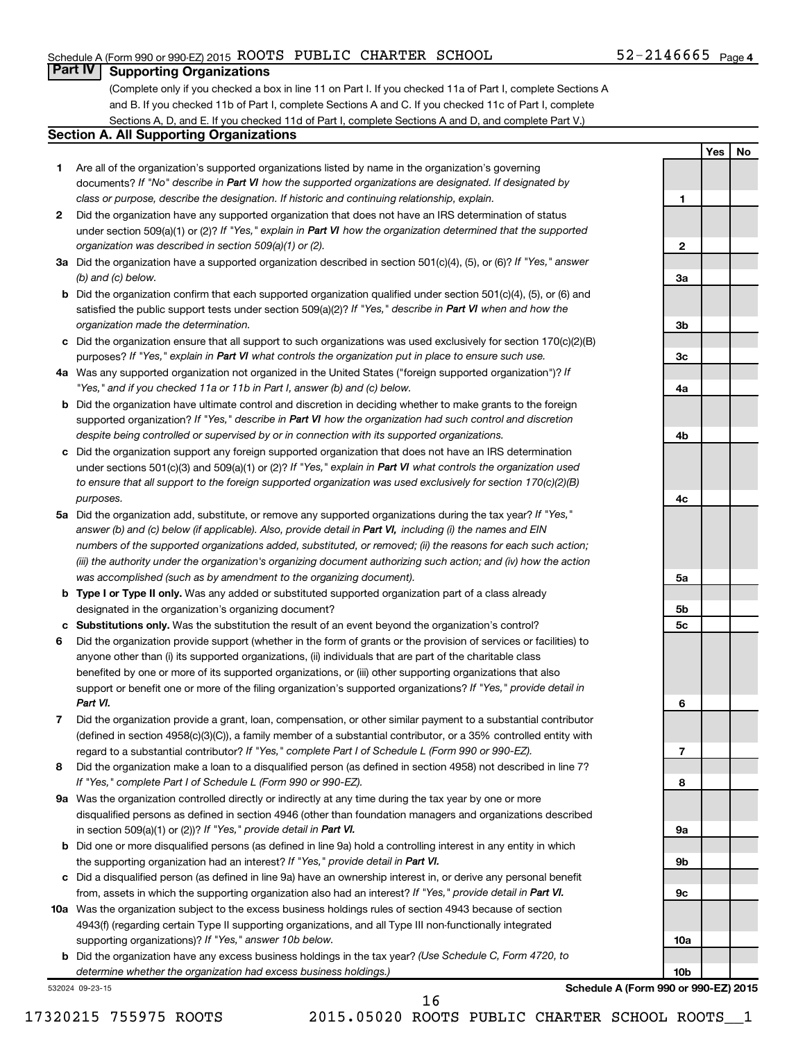#### Schedule A (Form 990 or 990-EZ) 2015  $\,$  ROOTS PUBLIC CHARTER SCHOOL  $\,$  52-2146665  $\,$  Page

#### **Part IV Supporting Organizations**

(Complete only if you checked a box in line 11 on Part I. If you checked 11a of Part I, complete Sections A and B. If you checked 11b of Part I, complete Sections A and C. If you checked 11c of Part I, complete Sections A, D, and E. If you checked 11d of Part I, complete Sections A and D, and complete Part V.)

#### **Section A. All Supporting Organizations**

- **1** Are all of the organization's supported organizations listed by name in the organization's governing documents? If "No" describe in Part VI how the supported organizations are designated. If designated by *class or purpose, describe the designation. If historic and continuing relationship, explain.*
- **2** Did the organization have any supported organization that does not have an IRS determination of status under section 509(a)(1) or (2)? If "Yes," explain in Part VI how the organization determined that the supported *organization was described in section 509(a)(1) or (2).*
- **3a** Did the organization have a supported organization described in section 501(c)(4), (5), or (6)? If "Yes," answer *(b) and (c) below.*
- **b** Did the organization confirm that each supported organization qualified under section 501(c)(4), (5), or (6) and satisfied the public support tests under section 509(a)(2)? If "Yes," describe in Part VI when and how the *organization made the determination.*
- **c** Did the organization ensure that all support to such organizations was used exclusively for section 170(c)(2)(B) purposes? If "Yes," explain in Part VI what controls the organization put in place to ensure such use.
- **4 a** *If* Was any supported organization not organized in the United States ("foreign supported organization")? *"Yes," and if you checked 11a or 11b in Part I, answer (b) and (c) below.*
- **b** Did the organization have ultimate control and discretion in deciding whether to make grants to the foreign supported organization? If "Yes," describe in Part VI how the organization had such control and discretion *despite being controlled or supervised by or in connection with its supported organizations.*
- **c** Did the organization support any foreign supported organization that does not have an IRS determination under sections 501(c)(3) and 509(a)(1) or (2)? If "Yes," explain in Part VI what controls the organization used *to ensure that all support to the foreign supported organization was used exclusively for section 170(c)(2)(B) purposes.*
- **5a** Did the organization add, substitute, or remove any supported organizations during the tax year? If "Yes," answer (b) and (c) below (if applicable). Also, provide detail in Part VI, including (i) the names and EIN *numbers of the supported organizations added, substituted, or removed; (ii) the reasons for each such action; (iii) the authority under the organization's organizing document authorizing such action; and (iv) how the action was accomplished (such as by amendment to the organizing document).*
- **b Type I or Type II only.** Was any added or substituted supported organization part of a class already designated in the organization's organizing document?
- **c Substitutions only.**  Was the substitution the result of an event beyond the organization's control?
- **6** Did the organization provide support (whether in the form of grants or the provision of services or facilities) to support or benefit one or more of the filing organization's supported organizations? If "Yes," provide detail in anyone other than (i) its supported organizations, (ii) individuals that are part of the charitable class benefited by one or more of its supported organizations, or (iii) other supporting organizations that also *Part VI.*
- **7** Did the organization provide a grant, loan, compensation, or other similar payment to a substantial contributor regard to a substantial contributor? If "Yes," complete Part I of Schedule L (Form 990 or 990-EZ). (defined in section 4958(c)(3)(C)), a family member of a substantial contributor, or a 35% controlled entity with
- **8** Did the organization make a loan to a disqualified person (as defined in section 4958) not described in line 7? *If "Yes," complete Part I of Schedule L (Form 990 or 990-EZ).*
- **9 a** Was the organization controlled directly or indirectly at any time during the tax year by one or more in section 509(a)(1) or (2))? If "Yes," provide detail in Part VI. disqualified persons as defined in section 4946 (other than foundation managers and organizations described
- **b** Did one or more disqualified persons (as defined in line 9a) hold a controlling interest in any entity in which the supporting organization had an interest? If "Yes," provide detail in Part VI.
- **c** Did a disqualified person (as defined in line 9a) have an ownership interest in, or derive any personal benefit from, assets in which the supporting organization also had an interest? If "Yes," provide detail in Part VI.
- **10 a** Was the organization subject to the excess business holdings rules of section 4943 because of section supporting organizations)? If "Yes," answer 10b below. 4943(f) (regarding certain Type II supporting organizations, and all Type III non-functionally integrated
	- **b** Did the organization have any excess business holdings in the tax year? (Use Schedule C, Form 4720, to *determine whether the organization had excess business holdings.)*

532024 09-23-15

**9c**

**10a**

**10b**

16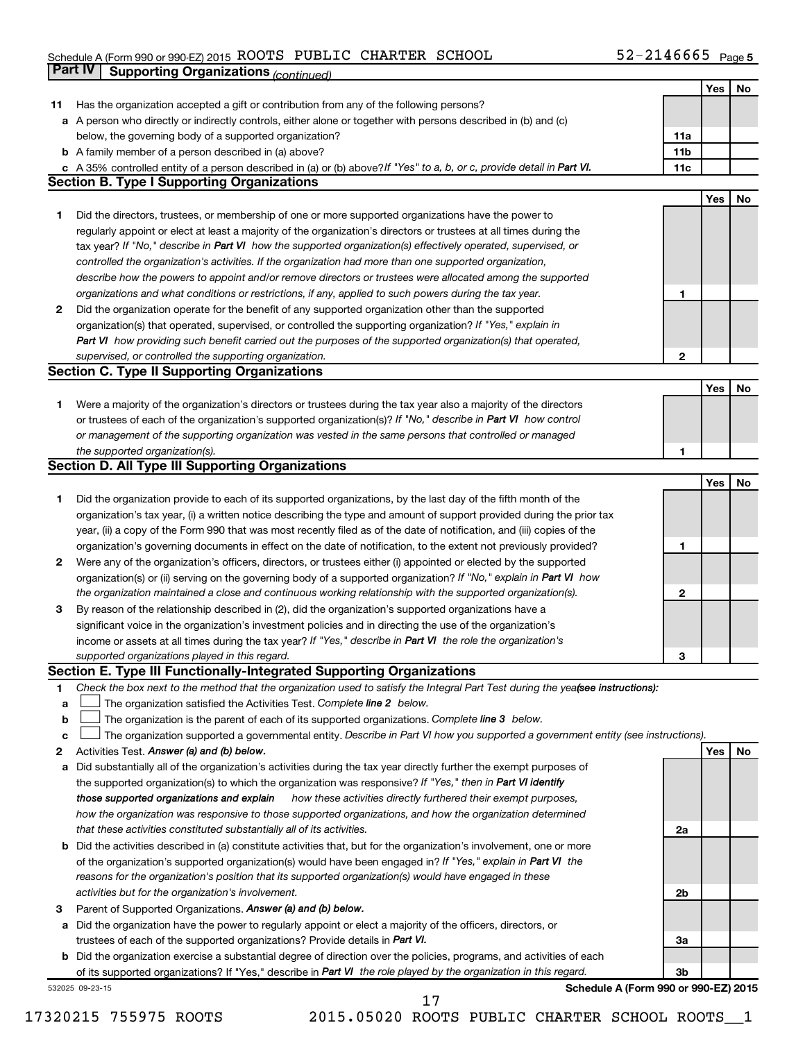#### Schedule A (Form 990 or 990-EZ) 2015 ROOTS PUBLIC CHARTER SCHOOL 5 Z - Z I 4 6 6 6 5 Page ROOTS PUBLIC CHARTER SCHOOL 52-2146665

|             | Part IV<br><b>Supporting Organizations (continued)</b>                                                                          |                 |     |    |
|-------------|---------------------------------------------------------------------------------------------------------------------------------|-----------------|-----|----|
|             |                                                                                                                                 |                 | Yes | No |
| 11          | Has the organization accepted a gift or contribution from any of the following persons?                                         |                 |     |    |
|             | a A person who directly or indirectly controls, either alone or together with persons described in (b) and (c)                  |                 |     |    |
|             | below, the governing body of a supported organization?                                                                          | 11a             |     |    |
|             | <b>b</b> A family member of a person described in (a) above?                                                                    | 11 <sub>b</sub> |     |    |
|             | c A 35% controlled entity of a person described in (a) or (b) above? If "Yes" to a, b, or c, provide detail in Part VI.         | 11c             |     |    |
|             | <b>Section B. Type I Supporting Organizations</b>                                                                               |                 |     |    |
|             |                                                                                                                                 |                 | Yes | No |
|             |                                                                                                                                 |                 |     |    |
| 1           | Did the directors, trustees, or membership of one or more supported organizations have the power to                             |                 |     |    |
|             | regularly appoint or elect at least a majority of the organization's directors or trustees at all times during the              |                 |     |    |
|             | tax year? If "No," describe in Part VI how the supported organization(s) effectively operated, supervised, or                   |                 |     |    |
|             | controlled the organization's activities. If the organization had more than one supported organization,                         |                 |     |    |
|             | describe how the powers to appoint and/or remove directors or trustees were allocated among the supported                       |                 |     |    |
|             | organizations and what conditions or restrictions, if any, applied to such powers during the tax year.                          | 1               |     |    |
| 2           | Did the organization operate for the benefit of any supported organization other than the supported                             |                 |     |    |
|             | organization(s) that operated, supervised, or controlled the supporting organization? If "Yes," explain in                      |                 |     |    |
|             | Part VI how providing such benefit carried out the purposes of the supported organization(s) that operated,                     |                 |     |    |
|             | supervised, or controlled the supporting organization.                                                                          | $\mathbf{2}$    |     |    |
|             | <b>Section C. Type II Supporting Organizations</b>                                                                              |                 |     |    |
|             |                                                                                                                                 |                 | Yes | No |
| 1           | Were a majority of the organization's directors or trustees during the tax year also a majority of the directors                |                 |     |    |
|             | or trustees of each of the organization's supported organization(s)? If "No," describe in Part VI how control                   |                 |     |    |
|             | or management of the supporting organization was vested in the same persons that controlled or managed                          |                 |     |    |
|             | the supported organization(s).                                                                                                  | 1               |     |    |
|             | <b>Section D. All Type III Supporting Organizations</b>                                                                         |                 |     |    |
|             |                                                                                                                                 |                 | Yes | No |
|             |                                                                                                                                 |                 |     |    |
| 1           | Did the organization provide to each of its supported organizations, by the last day of the fifth month of the                  |                 |     |    |
|             | organization's tax year, (i) a written notice describing the type and amount of support provided during the prior tax           |                 |     |    |
|             | year, (ii) a copy of the Form 990 that was most recently filed as of the date of notification, and (iii) copies of the          |                 |     |    |
|             | organization's governing documents in effect on the date of notification, to the extent not previously provided?                | 1               |     |    |
| 2           | Were any of the organization's officers, directors, or trustees either (i) appointed or elected by the supported                |                 |     |    |
|             | organization(s) or (ii) serving on the governing body of a supported organization? If "No," explain in Part VI how              |                 |     |    |
|             | the organization maintained a close and continuous working relationship with the supported organization(s).                     | 2               |     |    |
| 3           | By reason of the relationship described in (2), did the organization's supported organizations have a                           |                 |     |    |
|             | significant voice in the organization's investment policies and in directing the use of the organization's                      |                 |     |    |
|             | income or assets at all times during the tax year? If "Yes," describe in Part VI the role the organization's                    |                 |     |    |
|             | supported organizations played in this regard.                                                                                  | з               |     |    |
|             | Section E. Type III Functionally-Integrated Supporting Organizations                                                            |                 |     |    |
| 1           | Check the box next to the method that the organization used to satisfy the Integral Part Test during the yealsee instructions): |                 |     |    |
| a           | The organization satisfied the Activities Test. Complete line 2 below.                                                          |                 |     |    |
| $\mathbf b$ | The organization is the parent of each of its supported organizations. Complete line 3 below.                                   |                 |     |    |
| c           | The organization supported a governmental entity. Describe in Part VI how you supported a government entity (see instructions). |                 |     |    |
| 2           | Activities Test. Answer (a) and (b) below.                                                                                      |                 | Yes | No |
| а           | Did substantially all of the organization's activities during the tax year directly further the exempt purposes of              |                 |     |    |
|             | the supported organization(s) to which the organization was responsive? If "Yes," then in Part VI identify                      |                 |     |    |
|             | how these activities directly furthered their exempt purposes,<br>those supported organizations and explain                     |                 |     |    |
|             | how the organization was responsive to those supported organizations, and how the organization determined                       |                 |     |    |
|             |                                                                                                                                 |                 |     |    |
|             | that these activities constituted substantially all of its activities.                                                          | 2a              |     |    |
|             | <b>b</b> Did the activities described in (a) constitute activities that, but for the organization's involvement, one or more    |                 |     |    |
|             | of the organization's supported organization(s) would have been engaged in? If "Yes," explain in Part VI the                    |                 |     |    |
|             | reasons for the organization's position that its supported organization(s) would have engaged in these                          |                 |     |    |
|             | activities but for the organization's involvement.                                                                              | 2b              |     |    |
| З           | Parent of Supported Organizations. Answer (a) and (b) below.                                                                    |                 |     |    |
| а           | Did the organization have the power to regularly appoint or elect a majority of the officers, directors, or                     |                 |     |    |
|             | trustees of each of the supported organizations? Provide details in Part VI.                                                    | За              |     |    |
|             | <b>b</b> Did the organization exercise a substantial degree of direction over the policies, programs, and activities of each    |                 |     |    |
|             | of its supported organizations? If "Yes," describe in Part VI the role played by the organization in this regard.               | Зb              |     |    |
|             | Schedule A (Form 990 or 990-EZ) 2015<br>532025 09-23-15                                                                         |                 |     |    |

**Schedule A (Form 990 or 990-EZ) 2015**

17320215 755975 ROOTS 2015.05020 ROOTS PUBLIC CHARTER SCHOOL ROOTS\_\_1

17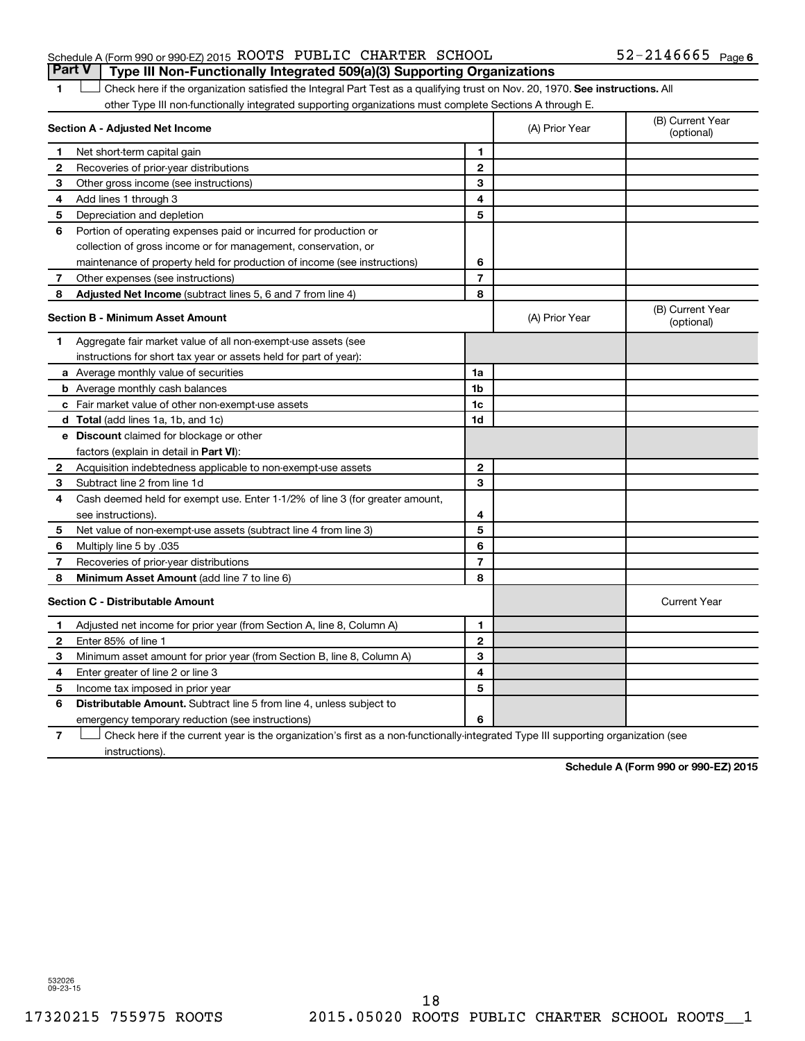#### Schedule A (Form 990 or 990-EZ) 2015  $\,$  ROOTS PUBLIC CHARTER SCHOOL  $\,$  52-2146665  $\,$  Page **Part V Type III Non-Functionally Integrated 509(a)(3) Supporting Organizations**

1 **Letter on Reck here if the organization satisfied the Integral Part Test as a qualifying trust on Nov. 20, 1970. See instructions. All** other Type III non-functionally integrated supporting organizations must complete Sections A through E.

|                | Section A - Adjusted Net Income                                                                                                   |                | (A) Prior Year | (B) Current Year<br>(optional) |
|----------------|-----------------------------------------------------------------------------------------------------------------------------------|----------------|----------------|--------------------------------|
| 1.             | Net short-term capital gain                                                                                                       | 1              |                |                                |
| $\mathbf{2}$   | Recoveries of prior-year distributions                                                                                            | $\mathbf{2}$   |                |                                |
| 3              | Other gross income (see instructions)                                                                                             | 3              |                |                                |
| 4              | Add lines 1 through 3                                                                                                             | 4              |                |                                |
| 5              | Depreciation and depletion                                                                                                        | 5              |                |                                |
| 6              | Portion of operating expenses paid or incurred for production or                                                                  |                |                |                                |
|                | collection of gross income or for management, conservation, or                                                                    |                |                |                                |
|                | maintenance of property held for production of income (see instructions)                                                          | 6              |                |                                |
| $\overline{7}$ | Other expenses (see instructions)                                                                                                 | $\overline{7}$ |                |                                |
| 8              | Adjusted Net Income (subtract lines 5, 6 and 7 from line 4)                                                                       | 8              |                |                                |
|                | <b>Section B - Minimum Asset Amount</b>                                                                                           |                | (A) Prior Year | (B) Current Year<br>(optional) |
| 1              | Aggregate fair market value of all non-exempt-use assets (see                                                                     |                |                |                                |
|                | instructions for short tax year or assets held for part of year):                                                                 |                |                |                                |
|                | <b>a</b> Average monthly value of securities                                                                                      | 1a             |                |                                |
|                | <b>b</b> Average monthly cash balances                                                                                            | 1 <sub>b</sub> |                |                                |
|                | c Fair market value of other non-exempt-use assets                                                                                | 1c             |                |                                |
|                | d Total (add lines 1a, 1b, and 1c)                                                                                                | 1 <sub>d</sub> |                |                                |
|                | e Discount claimed for blockage or other                                                                                          |                |                |                                |
|                | factors (explain in detail in Part VI):                                                                                           |                |                |                                |
| 2              | Acquisition indebtedness applicable to non-exempt-use assets                                                                      | $\mathbf{2}$   |                |                                |
| З              | Subtract line 2 from line 1d                                                                                                      | 3              |                |                                |
| 4              | Cash deemed held for exempt use. Enter 1-1/2% of line 3 (for greater amount,                                                      |                |                |                                |
|                | see instructions).                                                                                                                | 4              |                |                                |
| 5              | Net value of non-exempt-use assets (subtract line 4 from line 3)                                                                  | 5              |                |                                |
| 6              | Multiply line 5 by .035                                                                                                           | 6              |                |                                |
| 7              | Recoveries of prior-year distributions                                                                                            | 7              |                |                                |
| 8              | <b>Minimum Asset Amount (add line 7 to line 6)</b>                                                                                | 8              |                |                                |
|                | <b>Section C - Distributable Amount</b>                                                                                           |                |                | <b>Current Year</b>            |
| 1              | Adjusted net income for prior year (from Section A, line 8, Column A)                                                             | 1              |                |                                |
| $\mathbf{2}$   | Enter 85% of line 1                                                                                                               | $\overline{2}$ |                |                                |
| З              | Minimum asset amount for prior year (from Section B, line 8, Column A)                                                            | 3              |                |                                |
| 4              | Enter greater of line 2 or line 3                                                                                                 | 4              |                |                                |
| 5              | Income tax imposed in prior year                                                                                                  | 5              |                |                                |
| 6              | <b>Distributable Amount.</b> Subtract line 5 from line 4, unless subject to                                                       |                |                |                                |
|                | emergency temporary reduction (see instructions)                                                                                  | 6              |                |                                |
| 7              | Check here if the current year is the organization's first as a non-functionally-integrated Type III supporting organization (see |                |                |                                |

instructions).

**Schedule A (Form 990 or 990-EZ) 2015**

532026 09-23-15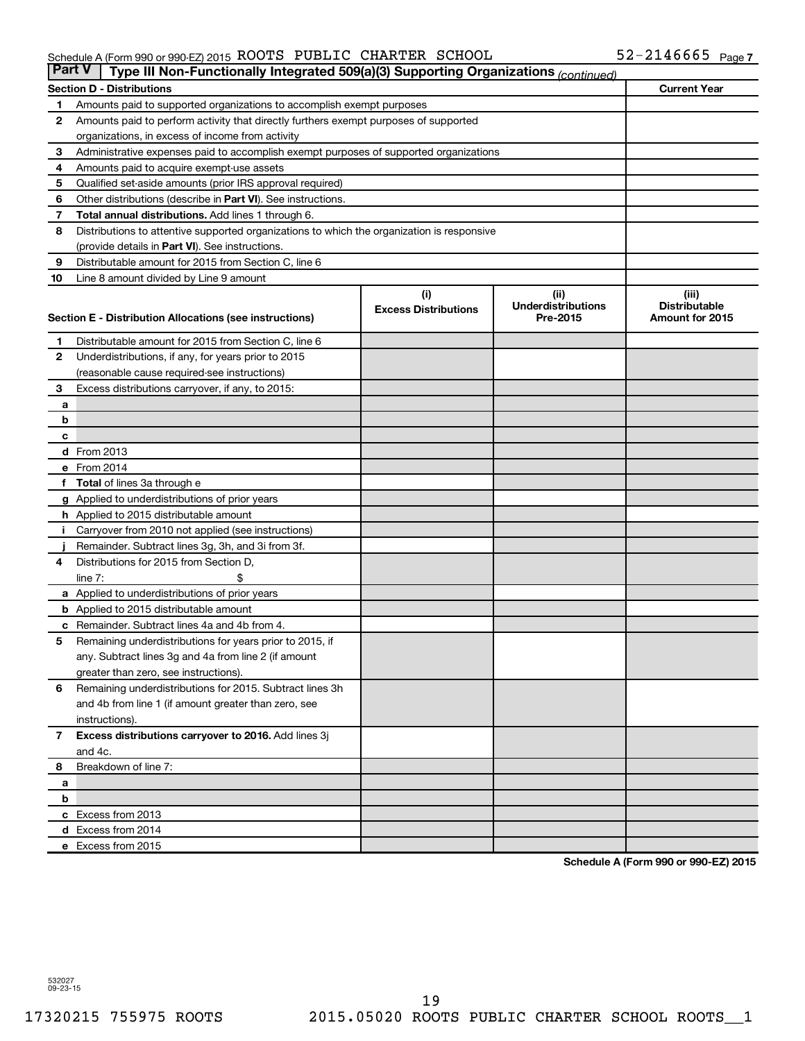#### Schedule A (Form 990 or 990-EZ) 2015  $\,$  ROOTS PUBLIC CHARTER SCHOOL  $\,$  52-2146665  $\,$  Page

| <b>Part V</b>  | Type III Non-Functionally Integrated 509(a)(3) Supporting Organizations (continued)                    |                             |                                       |                                         |  |  |  |  |  |
|----------------|--------------------------------------------------------------------------------------------------------|-----------------------------|---------------------------------------|-----------------------------------------|--|--|--|--|--|
|                | <b>Section D - Distributions</b>                                                                       |                             |                                       | <b>Current Year</b>                     |  |  |  |  |  |
| 1              | Amounts paid to supported organizations to accomplish exempt purposes                                  |                             |                                       |                                         |  |  |  |  |  |
| 2              | Amounts paid to perform activity that directly furthers exempt purposes of supported                   |                             |                                       |                                         |  |  |  |  |  |
|                | organizations, in excess of income from activity                                                       |                             |                                       |                                         |  |  |  |  |  |
| 3              | Administrative expenses paid to accomplish exempt purposes of supported organizations                  |                             |                                       |                                         |  |  |  |  |  |
| 4              | Amounts paid to acquire exempt-use assets                                                              |                             |                                       |                                         |  |  |  |  |  |
| 5              | Qualified set-aside amounts (prior IRS approval required)                                              |                             |                                       |                                         |  |  |  |  |  |
| 6              | Other distributions (describe in Part VI). See instructions.                                           |                             |                                       |                                         |  |  |  |  |  |
| 7              | <b>Total annual distributions.</b> Add lines 1 through 6.                                              |                             |                                       |                                         |  |  |  |  |  |
| 8              | Distributions to attentive supported organizations to which the organization is responsive             |                             |                                       |                                         |  |  |  |  |  |
|                | (provide details in Part VI). See instructions.                                                        |                             |                                       |                                         |  |  |  |  |  |
| 9              | Distributable amount for 2015 from Section C, line 6                                                   |                             |                                       |                                         |  |  |  |  |  |
| 10             | Line 8 amount divided by Line 9 amount                                                                 |                             |                                       |                                         |  |  |  |  |  |
|                |                                                                                                        | (i)                         | (ii)                                  | (iii)                                   |  |  |  |  |  |
|                | Section E - Distribution Allocations (see instructions)                                                | <b>Excess Distributions</b> | <b>Underdistributions</b><br>Pre-2015 | <b>Distributable</b><br>Amount for 2015 |  |  |  |  |  |
|                |                                                                                                        |                             |                                       |                                         |  |  |  |  |  |
| 1              | Distributable amount for 2015 from Section C, line 6                                                   |                             |                                       |                                         |  |  |  |  |  |
| $\mathbf{2}$   | Underdistributions, if any, for years prior to 2015                                                    |                             |                                       |                                         |  |  |  |  |  |
|                | (reasonable cause required-see instructions)                                                           |                             |                                       |                                         |  |  |  |  |  |
| 3              | Excess distributions carryover, if any, to 2015:                                                       |                             |                                       |                                         |  |  |  |  |  |
| a              |                                                                                                        |                             |                                       |                                         |  |  |  |  |  |
| b              |                                                                                                        |                             |                                       |                                         |  |  |  |  |  |
| с              |                                                                                                        |                             |                                       |                                         |  |  |  |  |  |
|                | d From 2013<br>e From 2014                                                                             |                             |                                       |                                         |  |  |  |  |  |
|                |                                                                                                        |                             |                                       |                                         |  |  |  |  |  |
|                | <b>Total</b> of lines 3a through e                                                                     |                             |                                       |                                         |  |  |  |  |  |
|                | <b>g</b> Applied to underdistributions of prior years<br><b>h</b> Applied to 2015 distributable amount |                             |                                       |                                         |  |  |  |  |  |
|                | Carryover from 2010 not applied (see instructions)                                                     |                             |                                       |                                         |  |  |  |  |  |
|                | Remainder. Subtract lines 3g, 3h, and 3i from 3f.                                                      |                             |                                       |                                         |  |  |  |  |  |
| 4              | Distributions for 2015 from Section D,                                                                 |                             |                                       |                                         |  |  |  |  |  |
|                | $line 7$ :                                                                                             |                             |                                       |                                         |  |  |  |  |  |
|                | a Applied to underdistributions of prior years                                                         |                             |                                       |                                         |  |  |  |  |  |
|                | <b>b</b> Applied to 2015 distributable amount                                                          |                             |                                       |                                         |  |  |  |  |  |
| с              | Remainder. Subtract lines 4a and 4b from 4.                                                            |                             |                                       |                                         |  |  |  |  |  |
| 5              | Remaining underdistributions for years prior to 2015, if                                               |                             |                                       |                                         |  |  |  |  |  |
|                | any. Subtract lines 3g and 4a from line 2 (if amount                                                   |                             |                                       |                                         |  |  |  |  |  |
|                | greater than zero, see instructions).                                                                  |                             |                                       |                                         |  |  |  |  |  |
| 6              | Remaining underdistributions for 2015. Subtract lines 3h                                               |                             |                                       |                                         |  |  |  |  |  |
|                | and 4b from line 1 (if amount greater than zero, see                                                   |                             |                                       |                                         |  |  |  |  |  |
|                | instructions).                                                                                         |                             |                                       |                                         |  |  |  |  |  |
| $\overline{7}$ | Excess distributions carryover to 2016. Add lines 3j                                                   |                             |                                       |                                         |  |  |  |  |  |
|                | and 4c.                                                                                                |                             |                                       |                                         |  |  |  |  |  |
| 8              | Breakdown of line 7:                                                                                   |                             |                                       |                                         |  |  |  |  |  |
| a              |                                                                                                        |                             |                                       |                                         |  |  |  |  |  |
| b              |                                                                                                        |                             |                                       |                                         |  |  |  |  |  |
|                | c Excess from 2013                                                                                     |                             |                                       |                                         |  |  |  |  |  |
|                | d Excess from 2014                                                                                     |                             |                                       |                                         |  |  |  |  |  |
|                | e Excess from 2015                                                                                     |                             |                                       |                                         |  |  |  |  |  |

**Schedule A (Form 990 or 990-EZ) 2015**

532027 09-23-15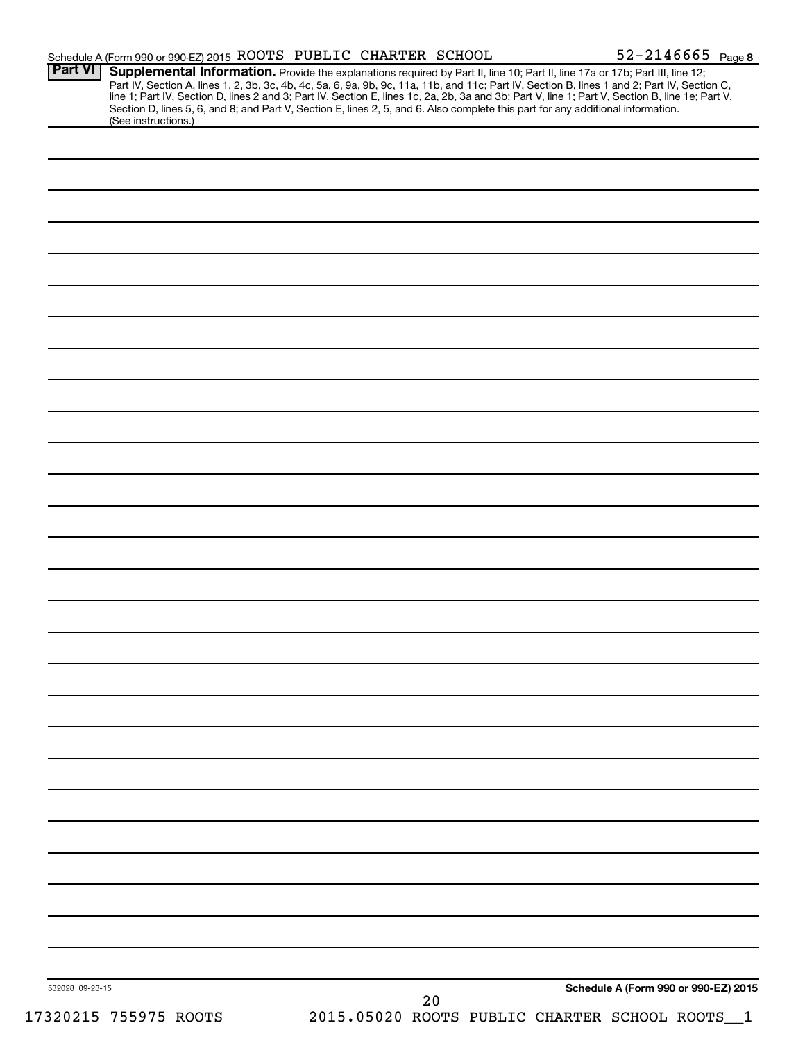| <b>Part VI</b>  | Schedule A (Form 990 or 990-EZ) 2015 ROOTS PUBLIC CHARTER SCHOOL<br>Supplemental Information. Provide the explanations required by Part II, line 10; Part II, line 17a or 17b; Part III, line 12;                                                                                                                                                                                                                                  |  |      |  | $52 - 2146665$ Page 8                        |  |
|-----------------|------------------------------------------------------------------------------------------------------------------------------------------------------------------------------------------------------------------------------------------------------------------------------------------------------------------------------------------------------------------------------------------------------------------------------------|--|------|--|----------------------------------------------|--|
|                 | Part IV, Section A, lines 1, 2, 3b, 3c, 4b, 4c, 5a, 6, 9a, 9b, 9c, 11a, 11b, and 11c; Part IV, Section B, lines 1 and 2; Part IV, Section C,<br>line 1; Part IV, Section D, lines 2 and 3; Part IV, Section E, lines 1c, 2a, 2b, 3a and 3b; Part V, line 1; Part V, Section B, line 1e; Part V,<br>Section D, lines 5, 6, and 8; and Part V, Section E, lines 2, 5, and 6. Also complete this part for any additional information. |  |      |  |                                              |  |
|                 | (See instructions.)                                                                                                                                                                                                                                                                                                                                                                                                                |  |      |  |                                              |  |
|                 |                                                                                                                                                                                                                                                                                                                                                                                                                                    |  |      |  |                                              |  |
|                 |                                                                                                                                                                                                                                                                                                                                                                                                                                    |  |      |  |                                              |  |
|                 |                                                                                                                                                                                                                                                                                                                                                                                                                                    |  |      |  |                                              |  |
|                 |                                                                                                                                                                                                                                                                                                                                                                                                                                    |  |      |  |                                              |  |
|                 |                                                                                                                                                                                                                                                                                                                                                                                                                                    |  |      |  |                                              |  |
|                 |                                                                                                                                                                                                                                                                                                                                                                                                                                    |  |      |  |                                              |  |
|                 |                                                                                                                                                                                                                                                                                                                                                                                                                                    |  |      |  |                                              |  |
|                 |                                                                                                                                                                                                                                                                                                                                                                                                                                    |  |      |  |                                              |  |
|                 |                                                                                                                                                                                                                                                                                                                                                                                                                                    |  |      |  |                                              |  |
|                 |                                                                                                                                                                                                                                                                                                                                                                                                                                    |  |      |  |                                              |  |
|                 |                                                                                                                                                                                                                                                                                                                                                                                                                                    |  |      |  |                                              |  |
|                 |                                                                                                                                                                                                                                                                                                                                                                                                                                    |  |      |  |                                              |  |
|                 |                                                                                                                                                                                                                                                                                                                                                                                                                                    |  |      |  |                                              |  |
|                 |                                                                                                                                                                                                                                                                                                                                                                                                                                    |  |      |  |                                              |  |
|                 |                                                                                                                                                                                                                                                                                                                                                                                                                                    |  |      |  |                                              |  |
|                 |                                                                                                                                                                                                                                                                                                                                                                                                                                    |  |      |  |                                              |  |
|                 |                                                                                                                                                                                                                                                                                                                                                                                                                                    |  |      |  |                                              |  |
|                 |                                                                                                                                                                                                                                                                                                                                                                                                                                    |  |      |  |                                              |  |
|                 |                                                                                                                                                                                                                                                                                                                                                                                                                                    |  |      |  |                                              |  |
|                 |                                                                                                                                                                                                                                                                                                                                                                                                                                    |  |      |  |                                              |  |
|                 |                                                                                                                                                                                                                                                                                                                                                                                                                                    |  |      |  |                                              |  |
|                 |                                                                                                                                                                                                                                                                                                                                                                                                                                    |  |      |  |                                              |  |
|                 |                                                                                                                                                                                                                                                                                                                                                                                                                                    |  |      |  |                                              |  |
|                 |                                                                                                                                                                                                                                                                                                                                                                                                                                    |  |      |  |                                              |  |
|                 |                                                                                                                                                                                                                                                                                                                                                                                                                                    |  |      |  |                                              |  |
|                 |                                                                                                                                                                                                                                                                                                                                                                                                                                    |  |      |  |                                              |  |
|                 |                                                                                                                                                                                                                                                                                                                                                                                                                                    |  |      |  |                                              |  |
|                 |                                                                                                                                                                                                                                                                                                                                                                                                                                    |  |      |  |                                              |  |
|                 |                                                                                                                                                                                                                                                                                                                                                                                                                                    |  |      |  |                                              |  |
|                 |                                                                                                                                                                                                                                                                                                                                                                                                                                    |  |      |  |                                              |  |
|                 |                                                                                                                                                                                                                                                                                                                                                                                                                                    |  |      |  |                                              |  |
|                 |                                                                                                                                                                                                                                                                                                                                                                                                                                    |  |      |  |                                              |  |
|                 |                                                                                                                                                                                                                                                                                                                                                                                                                                    |  |      |  |                                              |  |
|                 |                                                                                                                                                                                                                                                                                                                                                                                                                                    |  |      |  |                                              |  |
|                 |                                                                                                                                                                                                                                                                                                                                                                                                                                    |  |      |  |                                              |  |
|                 |                                                                                                                                                                                                                                                                                                                                                                                                                                    |  |      |  |                                              |  |
|                 |                                                                                                                                                                                                                                                                                                                                                                                                                                    |  |      |  |                                              |  |
|                 |                                                                                                                                                                                                                                                                                                                                                                                                                                    |  |      |  |                                              |  |
|                 |                                                                                                                                                                                                                                                                                                                                                                                                                                    |  |      |  |                                              |  |
|                 |                                                                                                                                                                                                                                                                                                                                                                                                                                    |  |      |  |                                              |  |
|                 |                                                                                                                                                                                                                                                                                                                                                                                                                                    |  |      |  |                                              |  |
|                 |                                                                                                                                                                                                                                                                                                                                                                                                                                    |  |      |  |                                              |  |
|                 |                                                                                                                                                                                                                                                                                                                                                                                                                                    |  |      |  |                                              |  |
| 532028 09-23-15 |                                                                                                                                                                                                                                                                                                                                                                                                                                    |  | $20$ |  | Schedule A (Form 990 or 990-EZ) 2015         |  |
|                 | 17320215 755975 ROOTS                                                                                                                                                                                                                                                                                                                                                                                                              |  |      |  | 2015.05020 ROOTS PUBLIC CHARTER SCHOOL ROOTS |  |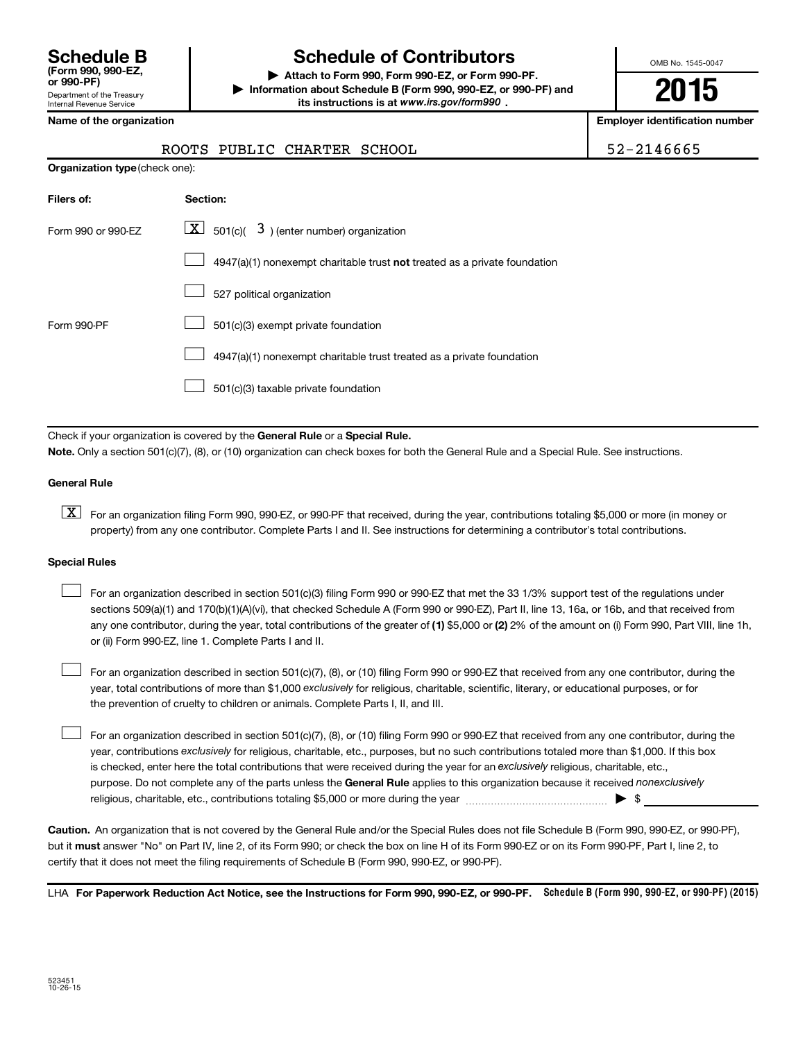| <b>Schedule B</b><br>(Form 990, 990-EZ.<br>or 990-PF)  |
|--------------------------------------------------------|
| Department of the Treasury<br>Internal Revenue Service |

## **Schedule of Contributors**

**or 990-PF) | Attach to Form 990, Form 990-EZ, or Form 990-PF. | Information about Schedule B (Form 990, 990-EZ, or 990-PF) and** its instructions is at www.irs.gov/form990.

OMB No. 1545-0047

**2015**

**Employer identification number** 

| ROOTS PUBLIC CHARTER SCHOOL | $1.52 - 2146665$ |
|-----------------------------|------------------|
|-----------------------------|------------------|

|  |  | Name of the organization |
|--|--|--------------------------|
|--|--|--------------------------|

| <b>Organization type</b> (check one): |                                                                                    |
|---------------------------------------|------------------------------------------------------------------------------------|
| Filers of:                            | Section:                                                                           |
| Form 990 or 990-EZ                    | $\boxed{\textbf{X}}$ 501(c)( 3) (enter number) organization                        |
|                                       | $4947(a)(1)$ nonexempt charitable trust <b>not</b> treated as a private foundation |
|                                       | 527 political organization                                                         |
| Form 990-PF                           | 501(c)(3) exempt private foundation                                                |
|                                       | 4947(a)(1) nonexempt charitable trust treated as a private foundation              |
|                                       | 501(c)(3) taxable private foundation                                               |

Check if your organization is covered by the General Rule or a Special Rule.

**Note.**  Only a section 501(c)(7), (8), or (10) organization can check boxes for both the General Rule and a Special Rule. See instructions.

#### **General Rule**

**K** For an organization filing Form 990, 990-EZ, or 990-PF that received, during the year, contributions totaling \$5,000 or more (in money or property) from any one contributor. Complete Parts I and II. See instructions for determining a contributor's total contributions.

#### **Special Rules**

 $\Box$ 

any one contributor, during the year, total contributions of the greater of **(1)** \$5,000 or **(2)** 2% of the amount on (i) Form 990, Part VIII, line 1h, For an organization described in section 501(c)(3) filing Form 990 or 990-EZ that met the 33 1/3% support test of the regulations under sections 509(a)(1) and 170(b)(1)(A)(vi), that checked Schedule A (Form 990 or 990-EZ), Part II, line 13, 16a, or 16b, and that received from or (ii) Form 990-EZ, line 1. Complete Parts I and II.  $\Box$ 

year, total contributions of more than \$1,000 *exclusively* for religious, charitable, scientific, literary, or educational purposes, or for For an organization described in section 501(c)(7), (8), or (10) filing Form 990 or 990-EZ that received from any one contributor, during the the prevention of cruelty to children or animals. Complete Parts I, II, and III.  $\Box$ 

purpose. Do not complete any of the parts unless the General Rule applies to this organization because it received nonexclusively year, contributions exclusively for religious, charitable, etc., purposes, but no such contributions totaled more than \$1,000. If this box is checked, enter here the total contributions that were received during the year for an exclusively religious, charitable, etc., For an organization described in section 501(c)(7), (8), or (10) filing Form 990 or 990-EZ that received from any one contributor, during the religious, charitable, etc., contributions totaling \$5,000 or more during the year  $\ldots$  $\ldots$  $\ldots$  $\ldots$  $\ldots$  $\ldots$ 

**Caution.** An organization that is not covered by the General Rule and/or the Special Rules does not file Schedule B (Form 990, 990-EZ, or 990-PF),  **must** but it answer "No" on Part IV, line 2, of its Form 990; or check the box on line H of its Form 990-EZ or on its Form 990-PF, Part I, line 2, to certify that it does not meet the filing requirements of Schedule B (Form 990, 990-EZ, or 990-PF).

LHA For Paperwork Reduction Act Notice, see the Instructions for Form 990, 990-EZ, or 990-PF. Schedule B (Form 990, 990-EZ, or 990-PF) (2015)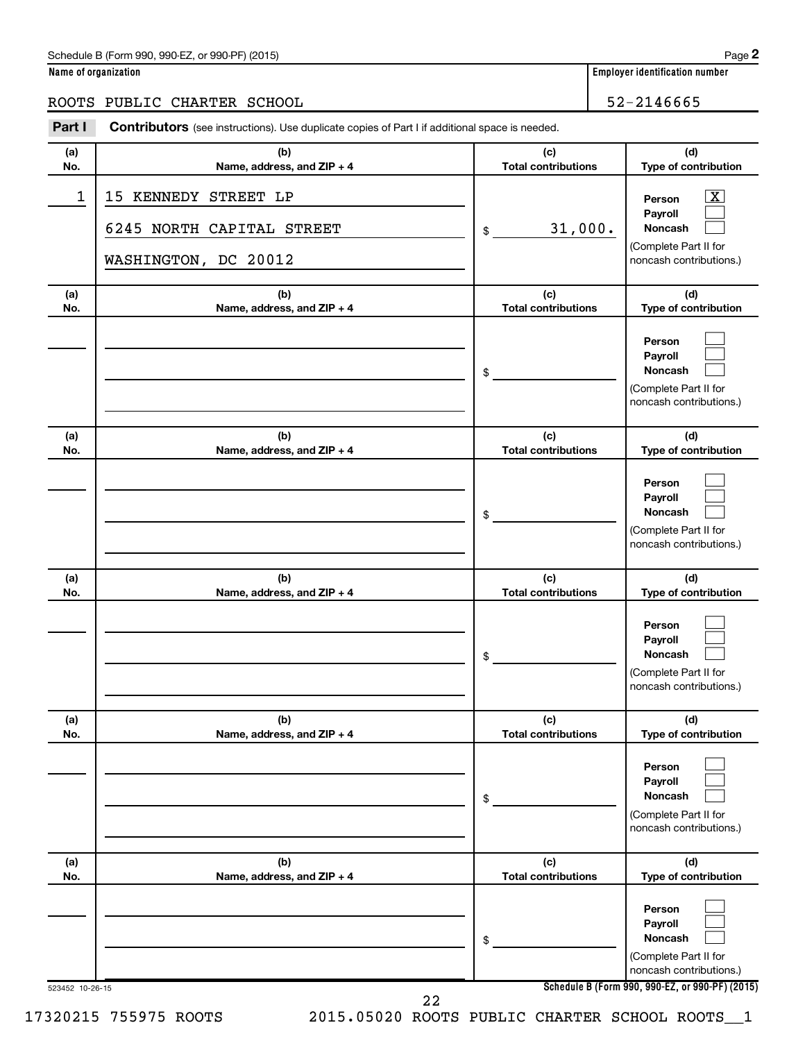#### Schedule B (Form 990, 990-EZ, or 990-PF) (2015)

| Name of organization |  |  |
|----------------------|--|--|
|                      |  |  |

## ROOTS PUBLIC CHARTER SCHOOL 52-2146665

| Part I     | <b>Contributors</b> (see instructions). Use duplicate copies of Part I if additional space is needed. |                                   |                                                                                                           |
|------------|-------------------------------------------------------------------------------------------------------|-----------------------------------|-----------------------------------------------------------------------------------------------------------|
| (a)<br>No. | (b)<br>Name, address, and ZIP + 4                                                                     | (c)<br><b>Total contributions</b> | (d)<br>Type of contribution                                                                               |
| 1          | 15 KENNEDY STREET LP<br>6245 NORTH CAPITAL STREET<br>WASHINGTON, DC 20012                             | 31,000.<br>\$                     | $\overline{\text{X}}$<br>Person<br>Payroll<br>Noncash<br>(Complete Part II for<br>noncash contributions.) |
| (a)<br>No. | (b)<br>Name, address, and ZIP + 4                                                                     | (c)<br><b>Total contributions</b> | (d)<br>Type of contribution                                                                               |
|            |                                                                                                       | \$                                | Person<br>Payroll<br>Noncash<br>(Complete Part II for<br>noncash contributions.)                          |
| (a)<br>No. | (b)<br>Name, address, and ZIP + 4                                                                     | (c)<br><b>Total contributions</b> | (d)<br>Type of contribution                                                                               |
|            |                                                                                                       | \$                                | Person<br>Payroll<br>Noncash<br>(Complete Part II for<br>noncash contributions.)                          |
| (a)<br>No. | (b)<br>Name, address, and ZIP + 4                                                                     | (c)<br><b>Total contributions</b> | (d)<br>Type of contribution                                                                               |
|            |                                                                                                       | \$                                | Person<br>Payroll<br>Noncash<br>(Complete Part II for<br>noncash contributions.)                          |
| (a)<br>No. | (b)<br>Name, address, and ZIP + 4                                                                     | (c)<br><b>Total contributions</b> | (d)<br>Type of contribution                                                                               |
|            |                                                                                                       | \$                                | Person<br>Payroll<br>Noncash<br>(Complete Part II for<br>noncash contributions.)                          |
| (a)<br>No. | (b)<br>Name, address, and ZIP + 4                                                                     | (c)<br><b>Total contributions</b> | (d)<br>Type of contribution                                                                               |
|            |                                                                                                       | \$                                | Person<br>Payroll<br>Noncash<br>(Complete Part II for<br>noncash contributions.)                          |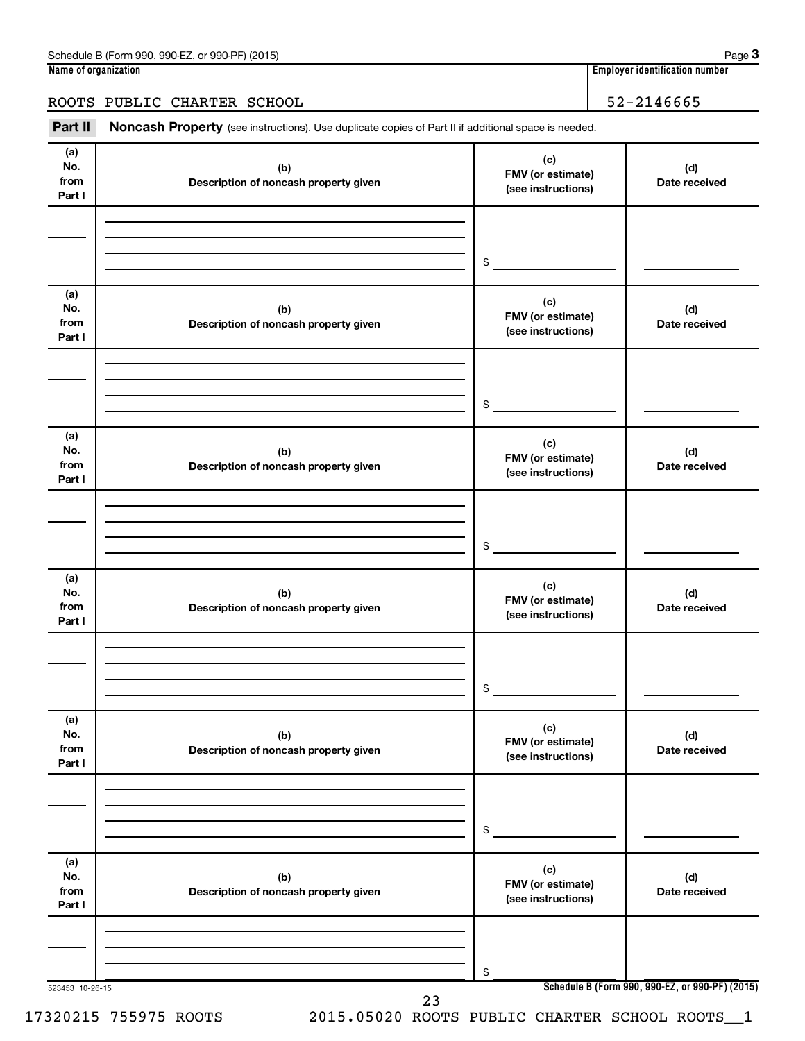ROOTS PUBLIC CHARTER SCHOOL 52-2146665

Part II Noncash Property (see instructions). Use duplicate copies of Part II if additional space is needed.

| (c)<br>FMV (or estimate)<br>(see instructions)<br>$\frac{1}{2}$<br>(c)<br>FMV (or estimate)<br>(see instructions) | (d)<br>Date received                                                                                 |
|-------------------------------------------------------------------------------------------------------------------|------------------------------------------------------------------------------------------------------|
|                                                                                                                   |                                                                                                      |
|                                                                                                                   |                                                                                                      |
|                                                                                                                   |                                                                                                      |
|                                                                                                                   | (d)<br>Date received                                                                                 |
|                                                                                                                   |                                                                                                      |
|                                                                                                                   |                                                                                                      |
| \$                                                                                                                |                                                                                                      |
|                                                                                                                   |                                                                                                      |
| (c)<br>FMV (or estimate)<br>(see instructions)                                                                    | (d)<br>Date received                                                                                 |
|                                                                                                                   |                                                                                                      |
|                                                                                                                   |                                                                                                      |
| $$\circ$$                                                                                                         |                                                                                                      |
|                                                                                                                   |                                                                                                      |
| (c)<br>FMV (or estimate)<br>(see instructions)                                                                    | (d)<br>Date received                                                                                 |
|                                                                                                                   |                                                                                                      |
|                                                                                                                   |                                                                                                      |
|                                                                                                                   |                                                                                                      |
|                                                                                                                   |                                                                                                      |
| (c)<br>FMV (or estimate)<br>(see instructions)                                                                    | (d)<br>Date received                                                                                 |
|                                                                                                                   |                                                                                                      |
|                                                                                                                   |                                                                                                      |
|                                                                                                                   |                                                                                                      |
|                                                                                                                   |                                                                                                      |
|                                                                                                                   |                                                                                                      |
| FMV (or estimate)                                                                                                 | (d)<br>Date received                                                                                 |
|                                                                                                                   |                                                                                                      |
|                                                                                                                   |                                                                                                      |
|                                                                                                                   |                                                                                                      |
|                                                                                                                   |                                                                                                      |
|                                                                                                                   | \$<br>\$<br>(c)<br>(see instructions)<br>\$<br>Schedule B (Form 990, 990-EZ, or 990-PF) (2015)<br>23 |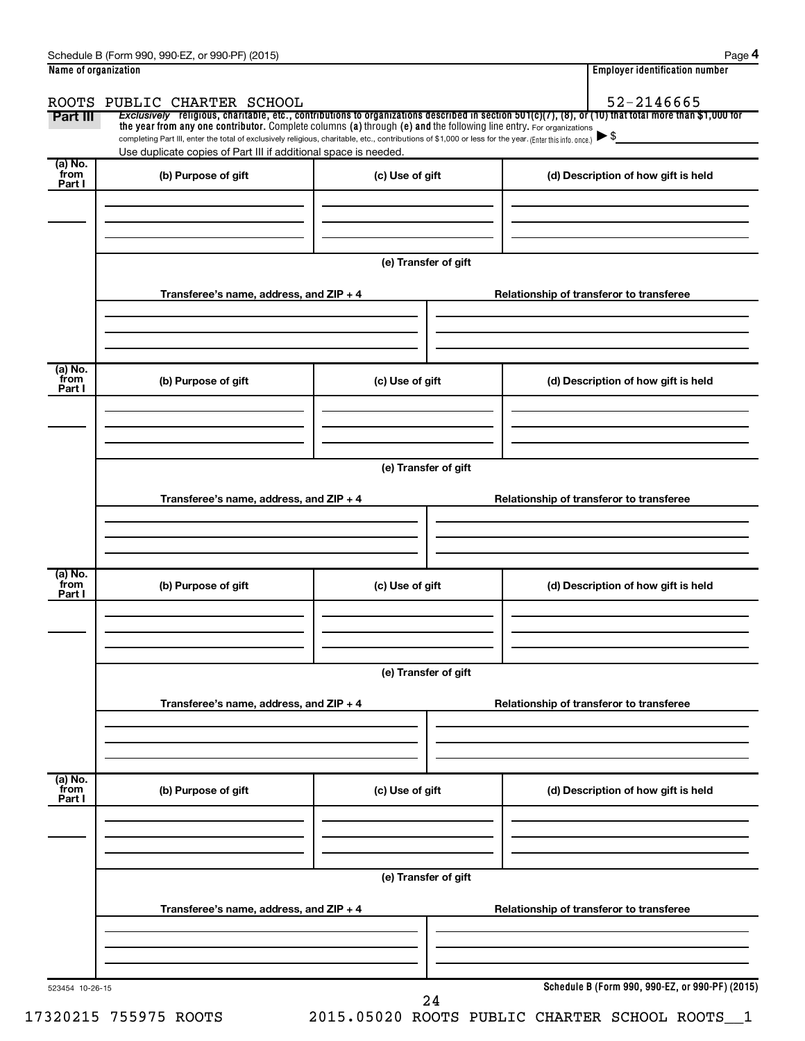| Name of organization      |                                                                                                                                                                                                                             |                      | <b>Employer identification number</b>                                                                                                                 |  |  |  |  |
|---------------------------|-----------------------------------------------------------------------------------------------------------------------------------------------------------------------------------------------------------------------------|----------------------|-------------------------------------------------------------------------------------------------------------------------------------------------------|--|--|--|--|
|                           | ROOTS PUBLIC CHARTER SCHOOL                                                                                                                                                                                                 |                      | 52-2146665                                                                                                                                            |  |  |  |  |
| <b>Part III</b>           | the year from any one contributor. Complete columns (a) through (e) and the following line entry. For organizations                                                                                                         |                      | Exclusively religious, charitable, etc., contributions to organizations described in section 501(c)(7), (8), or (10) that total more than \$1,000 for |  |  |  |  |
|                           | completing Part III, enter the total of exclusively religious, charitable, etc., contributions of \$1,000 or less for the year. (Enter this info. once.)<br>Use duplicate copies of Part III if additional space is needed. |                      | $\blacktriangleright$ \$                                                                                                                              |  |  |  |  |
| (a) No.<br>from<br>Part I | (b) Purpose of gift                                                                                                                                                                                                         | (c) Use of gift      | (d) Description of how gift is held                                                                                                                   |  |  |  |  |
|                           |                                                                                                                                                                                                                             |                      |                                                                                                                                                       |  |  |  |  |
|                           |                                                                                                                                                                                                                             | (e) Transfer of gift |                                                                                                                                                       |  |  |  |  |
|                           | Transferee's name, address, and ZIP + 4                                                                                                                                                                                     |                      | Relationship of transferor to transferee                                                                                                              |  |  |  |  |
| (a) No.                   |                                                                                                                                                                                                                             |                      |                                                                                                                                                       |  |  |  |  |
| from<br>Part I            | (b) Purpose of gift                                                                                                                                                                                                         | (c) Use of gift      | (d) Description of how gift is held                                                                                                                   |  |  |  |  |
|                           |                                                                                                                                                                                                                             |                      |                                                                                                                                                       |  |  |  |  |
|                           |                                                                                                                                                                                                                             | (e) Transfer of gift |                                                                                                                                                       |  |  |  |  |
|                           | Transferee's name, address, and ZIP + 4                                                                                                                                                                                     |                      | Relationship of transferor to transferee                                                                                                              |  |  |  |  |
|                           |                                                                                                                                                                                                                             |                      |                                                                                                                                                       |  |  |  |  |
| (a) No.<br>from<br>Part I | (b) Purpose of gift                                                                                                                                                                                                         | (c) Use of gift      | (d) Description of how gift is held                                                                                                                   |  |  |  |  |
|                           |                                                                                                                                                                                                                             | (e) Transfer of gift |                                                                                                                                                       |  |  |  |  |
|                           | Transferee's name, address, and ZIP + 4                                                                                                                                                                                     |                      | Relationship of transferor to transferee                                                                                                              |  |  |  |  |
|                           |                                                                                                                                                                                                                             |                      |                                                                                                                                                       |  |  |  |  |
| (a) No.<br>from<br>Part I | (b) Purpose of gift                                                                                                                                                                                                         | (c) Use of gift      | (d) Description of how gift is held                                                                                                                   |  |  |  |  |
|                           |                                                                                                                                                                                                                             |                      |                                                                                                                                                       |  |  |  |  |
|                           |                                                                                                                                                                                                                             | (e) Transfer of gift |                                                                                                                                                       |  |  |  |  |
|                           | Transferee's name, address, and ZIP + 4                                                                                                                                                                                     |                      | Relationship of transferor to transferee                                                                                                              |  |  |  |  |
|                           |                                                                                                                                                                                                                             |                      |                                                                                                                                                       |  |  |  |  |
| 523454 10-26-15           |                                                                                                                                                                                                                             | 24                   | Schedule B (Form 990, 990-EZ, or 990-PF) (2015)                                                                                                       |  |  |  |  |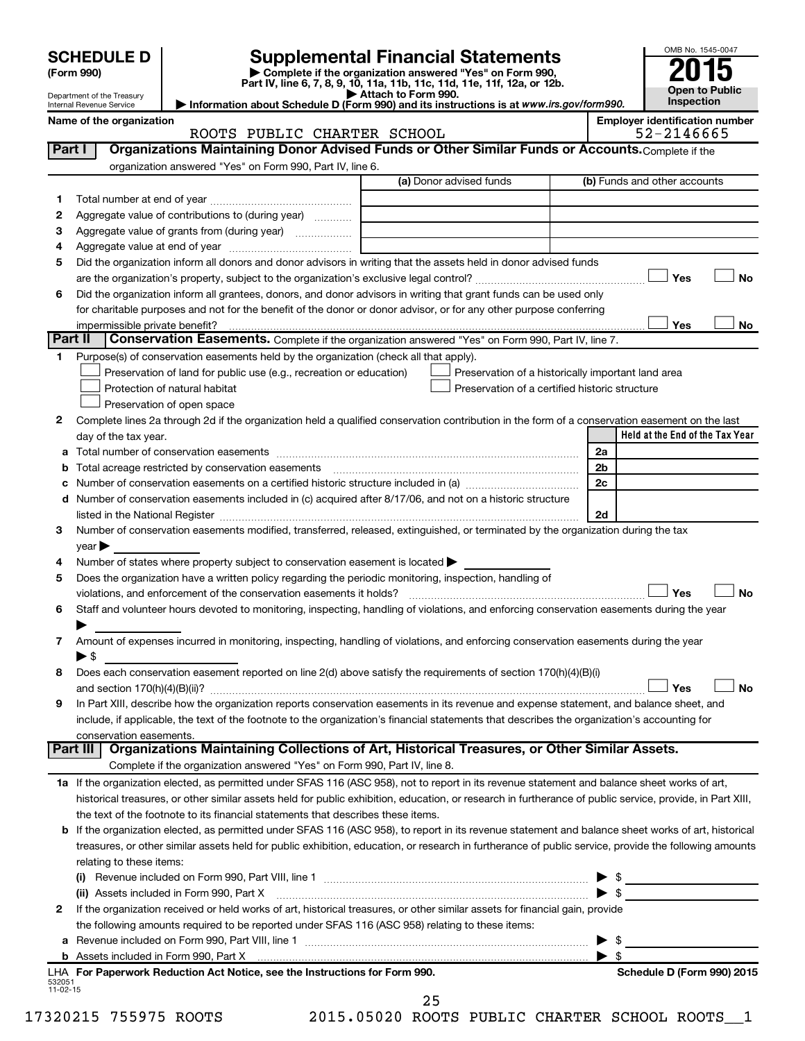|                    | <b>SCHEDULE D</b><br>(Form 990)            |                                                                                                                                                                               | <b>Supplemental Financial Statements</b><br>Complete if the organization answered "Yes" on Form 990,                                                                                                                           | OMB No. 1545-0047 |                                 |
|--------------------|--------------------------------------------|-------------------------------------------------------------------------------------------------------------------------------------------------------------------------------|--------------------------------------------------------------------------------------------------------------------------------------------------------------------------------------------------------------------------------|-------------------|---------------------------------|
|                    | Department of the Treasury                 |                                                                                                                                                                               | Part IV, line 6, 7, 8, 9, 10, 11a, 11b, 11c, 11d, 11e, 11f, 12a, or 12b.<br>Attach to Form 990.                                                                                                                                |                   | <b>Open to Public</b>           |
|                    | Internal Revenue Service                   |                                                                                                                                                                               | Information about Schedule D (Form 990) and its instructions is at www.irs.gov/form990.                                                                                                                                        |                   | Inspection                      |
|                    | Name of the organization                   |                                                                                                                                                                               | <b>Employer identification number</b><br>52-2146665                                                                                                                                                                            |                   |                                 |
| Part I             |                                            | ROOTS PUBLIC CHARTER SCHOOL                                                                                                                                                   | Organizations Maintaining Donor Advised Funds or Other Similar Funds or Accounts. Complete if the                                                                                                                              |                   |                                 |
|                    |                                            | organization answered "Yes" on Form 990, Part IV, line 6.                                                                                                                     |                                                                                                                                                                                                                                |                   |                                 |
|                    |                                            |                                                                                                                                                                               | (a) Donor advised funds                                                                                                                                                                                                        |                   | (b) Funds and other accounts    |
| 1.                 |                                            |                                                                                                                                                                               |                                                                                                                                                                                                                                |                   |                                 |
| 2                  |                                            | Aggregate value of contributions to (during year)                                                                                                                             |                                                                                                                                                                                                                                |                   |                                 |
| з                  |                                            | Aggregate value of grants from (during year)                                                                                                                                  |                                                                                                                                                                                                                                |                   |                                 |
| 4                  |                                            |                                                                                                                                                                               |                                                                                                                                                                                                                                |                   |                                 |
| 5                  |                                            |                                                                                                                                                                               | Did the organization inform all donors and donor advisors in writing that the assets held in donor advised funds                                                                                                               |                   | Yes<br>No                       |
| 6                  |                                            |                                                                                                                                                                               | Did the organization inform all grantees, donors, and donor advisors in writing that grant funds can be used only                                                                                                              |                   |                                 |
|                    |                                            |                                                                                                                                                                               | for charitable purposes and not for the benefit of the donor or donor advisor, or for any other purpose conferring                                                                                                             |                   |                                 |
|                    | impermissible private benefit?             |                                                                                                                                                                               |                                                                                                                                                                                                                                |                   | Yes<br>No                       |
| Part II            |                                            |                                                                                                                                                                               | Conservation Easements. Complete if the organization answered "Yes" on Form 990, Part IV, line 7.                                                                                                                              |                   |                                 |
| 1.                 |                                            | Purpose(s) of conservation easements held by the organization (check all that apply).                                                                                         |                                                                                                                                                                                                                                |                   |                                 |
|                    |                                            | Preservation of land for public use (e.g., recreation or education)                                                                                                           | Preservation of a historically important land area                                                                                                                                                                             |                   |                                 |
|                    |                                            | Protection of natural habitat                                                                                                                                                 | Preservation of a certified historic structure                                                                                                                                                                                 |                   |                                 |
|                    |                                            | Preservation of open space                                                                                                                                                    |                                                                                                                                                                                                                                |                   |                                 |
| 2                  | day of the tax year.                       |                                                                                                                                                                               | Complete lines 2a through 2d if the organization held a qualified conservation contribution in the form of a conservation easement on the last                                                                                 |                   | Held at the End of the Tax Year |
| a                  |                                            |                                                                                                                                                                               |                                                                                                                                                                                                                                | 2a                |                                 |
| b                  |                                            | Total acreage restricted by conservation easements                                                                                                                            |                                                                                                                                                                                                                                | 2 <sub>b</sub>    |                                 |
| с                  |                                            |                                                                                                                                                                               |                                                                                                                                                                                                                                | 2c                |                                 |
| d                  |                                            |                                                                                                                                                                               | Number of conservation easements included in (c) acquired after 8/17/06, and not on a historic structure                                                                                                                       |                   |                                 |
|                    |                                            |                                                                                                                                                                               | listed in the National Register [111] [12] states and the National Property of the National Register [11] [12] the National Register [11] [12] states and the National Register [11] [12] the Main Register [12] [12] the Main | 2d                |                                 |
| 3                  |                                            |                                                                                                                                                                               | Number of conservation easements modified, transferred, released, extinguished, or terminated by the organization during the tax                                                                                               |                   |                                 |
|                    | $year \triangleright$                      |                                                                                                                                                                               |                                                                                                                                                                                                                                |                   |                                 |
|                    |                                            | Number of states where property subject to conservation easement is located >                                                                                                 |                                                                                                                                                                                                                                |                   |                                 |
| 5                  |                                            | Does the organization have a written policy regarding the periodic monitoring, inspection, handling of<br>violations, and enforcement of the conservation easements it holds? |                                                                                                                                                                                                                                |                   | Yes<br>No                       |
| 6                  |                                            |                                                                                                                                                                               | Staff and volunteer hours devoted to monitoring, inspecting, handling of violations, and enforcing conservation easements during the year                                                                                      |                   |                                 |
|                    |                                            |                                                                                                                                                                               |                                                                                                                                                                                                                                |                   |                                 |
| 7                  |                                            |                                                                                                                                                                               | Amount of expenses incurred in monitoring, inspecting, handling of violations, and enforcing conservation easements during the year                                                                                            |                   |                                 |
|                    | $\blacktriangleright$ \$                   |                                                                                                                                                                               |                                                                                                                                                                                                                                |                   |                                 |
| 8                  |                                            |                                                                                                                                                                               | Does each conservation easement reported on line 2(d) above satisfy the requirements of section 170(h)(4)(B)(i)                                                                                                                |                   |                                 |
|                    |                                            |                                                                                                                                                                               |                                                                                                                                                                                                                                |                   | Yes<br>No                       |
| 9                  |                                            |                                                                                                                                                                               | In Part XIII, describe how the organization reports conservation easements in its revenue and expense statement, and balance sheet, and                                                                                        |                   |                                 |
|                    |                                            |                                                                                                                                                                               | include, if applicable, the text of the footnote to the organization's financial statements that describes the organization's accounting for                                                                                   |                   |                                 |
|                    | conservation easements.<br><b>Part III</b> |                                                                                                                                                                               | Organizations Maintaining Collections of Art, Historical Treasures, or Other Similar Assets.                                                                                                                                   |                   |                                 |
|                    |                                            | Complete if the organization answered "Yes" on Form 990, Part IV, line 8.                                                                                                     |                                                                                                                                                                                                                                |                   |                                 |
|                    |                                            |                                                                                                                                                                               | 1a If the organization elected, as permitted under SFAS 116 (ASC 958), not to report in its revenue statement and balance sheet works of art,                                                                                  |                   |                                 |
|                    |                                            |                                                                                                                                                                               | historical treasures, or other similar assets held for public exhibition, education, or research in furtherance of public service, provide, in Part XIII,                                                                      |                   |                                 |
|                    |                                            | the text of the footnote to its financial statements that describes these items.                                                                                              |                                                                                                                                                                                                                                |                   |                                 |
| b                  |                                            |                                                                                                                                                                               | If the organization elected, as permitted under SFAS 116 (ASC 958), to report in its revenue statement and balance sheet works of art, historical                                                                              |                   |                                 |
|                    |                                            |                                                                                                                                                                               | treasures, or other similar assets held for public exhibition, education, or research in furtherance of public service, provide the following amounts                                                                          |                   |                                 |
|                    | relating to these items:                   |                                                                                                                                                                               |                                                                                                                                                                                                                                |                   |                                 |
|                    | $\left( 1\right)$                          |                                                                                                                                                                               |                                                                                                                                                                                                                                |                   |                                 |
|                    |                                            | (ii) Assets included in Form 990, Part X                                                                                                                                      |                                                                                                                                                                                                                                |                   | $\blacktriangleright$ s         |
| 2                  |                                            |                                                                                                                                                                               | If the organization received or held works of art, historical treasures, or other similar assets for financial gain, provide                                                                                                   |                   |                                 |
| а                  |                                            | the following amounts required to be reported under SFAS 116 (ASC 958) relating to these items:                                                                               | Revenue included on Form 990, Part VIII, line 1 [2000] [2000] [2000] [2000] [3000] [3000] [3000] [3000] [3000                                                                                                                  |                   |                                 |
|                    |                                            |                                                                                                                                                                               |                                                                                                                                                                                                                                |                   | -\$                             |
|                    |                                            | LHA For Paperwork Reduction Act Notice, see the Instructions for Form 990.                                                                                                    |                                                                                                                                                                                                                                |                   | Schedule D (Form 990) 2015      |
| 532051<br>11-02-15 |                                            |                                                                                                                                                                               |                                                                                                                                                                                                                                |                   |                                 |

17320215 755975 ROOTS 2015.05020 ROOTS PUBLIC CHARTER SCHOOL ROOTS\_\_1 25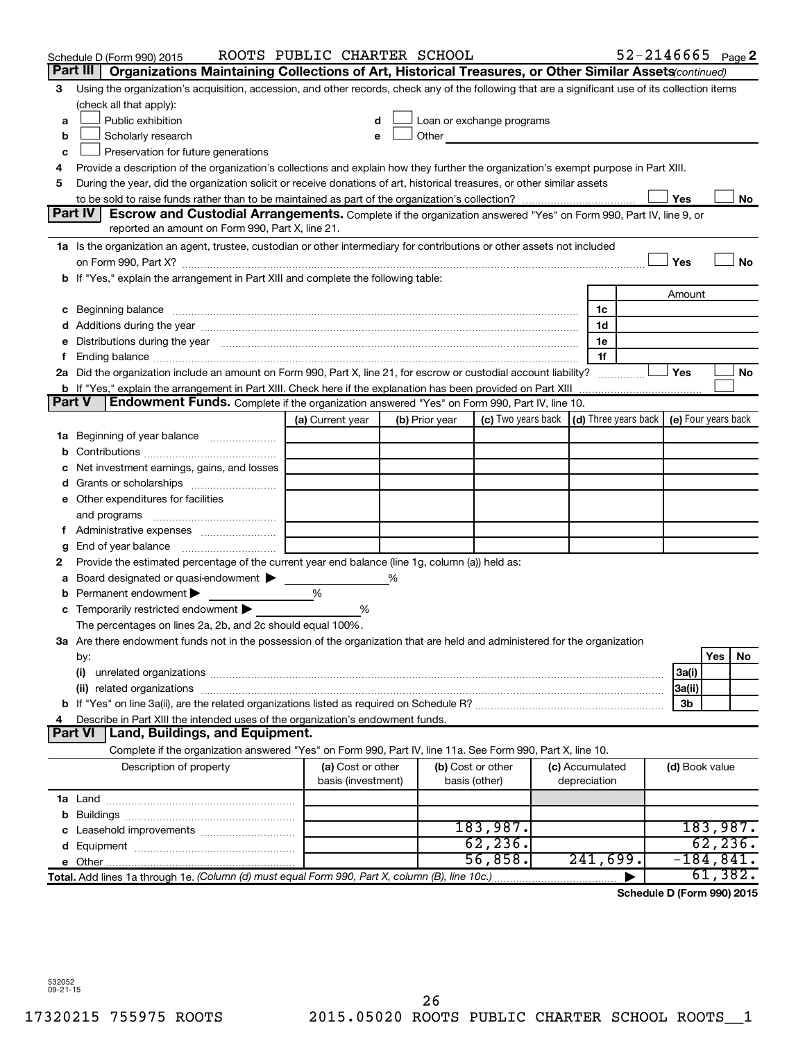|               | Schedule D (Form 990) 2015                                                                                                                                                                                                                                                      | ROOTS PUBLIC CHARTER SCHOOL             |   |                |                                    |  |                                 | $52 - 2146665$ Page 2                                    |                |          |    |
|---------------|---------------------------------------------------------------------------------------------------------------------------------------------------------------------------------------------------------------------------------------------------------------------------------|-----------------------------------------|---|----------------|------------------------------------|--|---------------------------------|----------------------------------------------------------|----------------|----------|----|
|               | Part III  <br>Organizations Maintaining Collections of Art, Historical Treasures, or Other Similar Assets(continued)                                                                                                                                                            |                                         |   |                |                                    |  |                                 |                                                          |                |          |    |
| 3             | Using the organization's acquisition, accession, and other records, check any of the following that are a significant use of its collection items                                                                                                                               |                                         |   |                |                                    |  |                                 |                                                          |                |          |    |
|               | (check all that apply):                                                                                                                                                                                                                                                         |                                         |   |                |                                    |  |                                 |                                                          |                |          |    |
| a             | Public exhibition<br>Loan or exchange programs<br>Other and the contract of the contract of the contract of the contract of the contract of the contract of the contract of the contract of the contract of the contract of the contract of the contract of the contract of the |                                         |   |                |                                    |  |                                 |                                                          |                |          |    |
| b             | Scholarly research                                                                                                                                                                                                                                                              | e                                       |   |                |                                    |  |                                 |                                                          |                |          |    |
| с             | Preservation for future generations                                                                                                                                                                                                                                             |                                         |   |                |                                    |  |                                 |                                                          |                |          |    |
| 4             | Provide a description of the organization's collections and explain how they further the organization's exempt purpose in Part XIII.                                                                                                                                            |                                         |   |                |                                    |  |                                 |                                                          |                |          |    |
| 5             | During the year, did the organization solicit or receive donations of art, historical treasures, or other similar assets                                                                                                                                                        |                                         |   |                |                                    |  |                                 |                                                          |                |          |    |
|               |                                                                                                                                                                                                                                                                                 |                                         |   |                |                                    |  |                                 |                                                          | Yes            |          | No |
|               | Part IV<br><b>Escrow and Custodial Arrangements.</b> Complete if the organization answered "Yes" on Form 990, Part IV, line 9, or<br>reported an amount on Form 990, Part X, line 21.                                                                                           |                                         |   |                |                                    |  |                                 |                                                          |                |          |    |
|               | 1a Is the organization an agent, trustee, custodian or other intermediary for contributions or other assets not included                                                                                                                                                        |                                         |   |                |                                    |  |                                 |                                                          |                |          |    |
|               |                                                                                                                                                                                                                                                                                 |                                         |   |                |                                    |  |                                 |                                                          | Yes            |          | No |
|               | b If "Yes," explain the arrangement in Part XIII and complete the following table:                                                                                                                                                                                              |                                         |   |                |                                    |  |                                 |                                                          |                |          |    |
|               |                                                                                                                                                                                                                                                                                 |                                         |   |                |                                    |  |                                 |                                                          | Amount         |          |    |
|               | c Beginning balance measurements and the contract of the contract of the contract of the contract of the contract of the contract of the contract of the contract of the contract of the contract of the contract of the contr                                                  |                                         |   |                |                                    |  | 1c                              |                                                          |                |          |    |
|               |                                                                                                                                                                                                                                                                                 |                                         |   |                |                                    |  | 1d                              |                                                          |                |          |    |
| е             | Distributions during the year manufactured and an account of the year manufactured and the year manufactured and the year manufactured and the year manufactured and the year manufactured and the year manufactured and the y                                                  |                                         |   |                |                                    |  | 1e                              |                                                          |                |          |    |
| f.            |                                                                                                                                                                                                                                                                                 |                                         |   |                |                                    |  | 1f                              |                                                          |                |          |    |
|               | 2a Did the organization include an amount on Form 990, Part X, line 21, for escrow or custodial account liability?                                                                                                                                                              |                                         |   |                |                                    |  |                                 |                                                          | Yes            |          | No |
|               | <b>b</b> If "Yes," explain the arrangement in Part XIII. Check here if the explanation has been provided on Part XIII                                                                                                                                                           |                                         |   |                |                                    |  |                                 |                                                          |                |          |    |
| <b>Part V</b> | Endowment Funds. Complete if the organization answered "Yes" on Form 990, Part IV, line 10.                                                                                                                                                                                     |                                         |   |                |                                    |  |                                 |                                                          |                |          |    |
|               |                                                                                                                                                                                                                                                                                 | (a) Current year                        |   | (b) Prior year | (c) Two years back                 |  |                                 | $\vert$ (d) Three years back $\vert$ (e) Four years back |                |          |    |
|               | <b>1a</b> Beginning of year balance                                                                                                                                                                                                                                             |                                         |   |                |                                    |  |                                 |                                                          |                |          |    |
| b             |                                                                                                                                                                                                                                                                                 |                                         |   |                |                                    |  |                                 |                                                          |                |          |    |
| с             | Net investment earnings, gains, and losses                                                                                                                                                                                                                                      |                                         |   |                |                                    |  |                                 |                                                          |                |          |    |
| d             | Grants or scholarships <i></i>                                                                                                                                                                                                                                                  |                                         |   |                |                                    |  |                                 |                                                          |                |          |    |
|               | e Other expenditures for facilities                                                                                                                                                                                                                                             |                                         |   |                |                                    |  |                                 |                                                          |                |          |    |
|               | and programs                                                                                                                                                                                                                                                                    |                                         |   |                |                                    |  |                                 |                                                          |                |          |    |
| Ť.            | Administrative expenses                                                                                                                                                                                                                                                         |                                         |   |                |                                    |  |                                 |                                                          |                |          |    |
| g             | End of year balance <i>manually contained</i>                                                                                                                                                                                                                                   |                                         |   |                |                                    |  |                                 |                                                          |                |          |    |
| 2             | Provide the estimated percentage of the current year end balance (line 1g, column (a)) held as:                                                                                                                                                                                 |                                         |   |                |                                    |  |                                 |                                                          |                |          |    |
| а             | Board designated or quasi-endowment                                                                                                                                                                                                                                             |                                         | % |                |                                    |  |                                 |                                                          |                |          |    |
| b             | Permanent endowment                                                                                                                                                                                                                                                             | %                                       |   |                |                                    |  |                                 |                                                          |                |          |    |
|               | c Temporarily restricted endowment                                                                                                                                                                                                                                              | %                                       |   |                |                                    |  |                                 |                                                          |                |          |    |
|               | The percentages on lines 2a, 2b, and 2c should equal 100%.                                                                                                                                                                                                                      |                                         |   |                |                                    |  |                                 |                                                          |                |          |    |
|               | 3a Are there endowment funds not in the possession of the organization that are held and administered for the organization                                                                                                                                                      |                                         |   |                |                                    |  |                                 |                                                          |                |          |    |
|               | by:                                                                                                                                                                                                                                                                             |                                         |   |                |                                    |  |                                 |                                                          |                | Yes      | No |
|               | (i)                                                                                                                                                                                                                                                                             |                                         |   |                |                                    |  |                                 |                                                          | 3a(i)          |          |    |
|               |                                                                                                                                                                                                                                                                                 |                                         |   |                |                                    |  |                                 |                                                          | 3a(ii)         |          |    |
|               |                                                                                                                                                                                                                                                                                 |                                         |   |                |                                    |  |                                 |                                                          | 3b             |          |    |
| 4             | Describe in Part XIII the intended uses of the organization's endowment funds.                                                                                                                                                                                                  |                                         |   |                |                                    |  |                                 |                                                          |                |          |    |
|               | Part VI   Land, Buildings, and Equipment.                                                                                                                                                                                                                                       |                                         |   |                |                                    |  |                                 |                                                          |                |          |    |
|               | Complete if the organization answered "Yes" on Form 990, Part IV, line 11a. See Form 990, Part X, line 10.                                                                                                                                                                      |                                         |   |                |                                    |  |                                 |                                                          |                |          |    |
|               | Description of property                                                                                                                                                                                                                                                         | (a) Cost or other<br>basis (investment) |   |                | (b) Cost or other<br>basis (other) |  | (c) Accumulated<br>depreciation |                                                          | (d) Book value |          |    |
|               |                                                                                                                                                                                                                                                                                 |                                         |   |                |                                    |  |                                 |                                                          |                |          |    |
|               |                                                                                                                                                                                                                                                                                 |                                         |   |                |                                    |  |                                 |                                                          |                |          |    |
|               |                                                                                                                                                                                                                                                                                 |                                         |   |                | 183,987.                           |  |                                 |                                                          |                | 183,987. |    |
|               |                                                                                                                                                                                                                                                                                 |                                         |   |                | 62, 236.                           |  |                                 |                                                          |                | 62, 236. |    |
|               |                                                                                                                                                                                                                                                                                 |                                         |   |                | 56,858.                            |  | 241,699.                        |                                                          | $-184, 841.$   |          |    |
|               | Total. Add lines 1a through 1e. (Column (d) must equal Form 990, Part X, column (B), line 10c.)                                                                                                                                                                                 |                                         |   |                |                                    |  |                                 |                                                          |                | 61,382.  |    |

**Schedule D (Form 990) 2015**

532052 09-21-15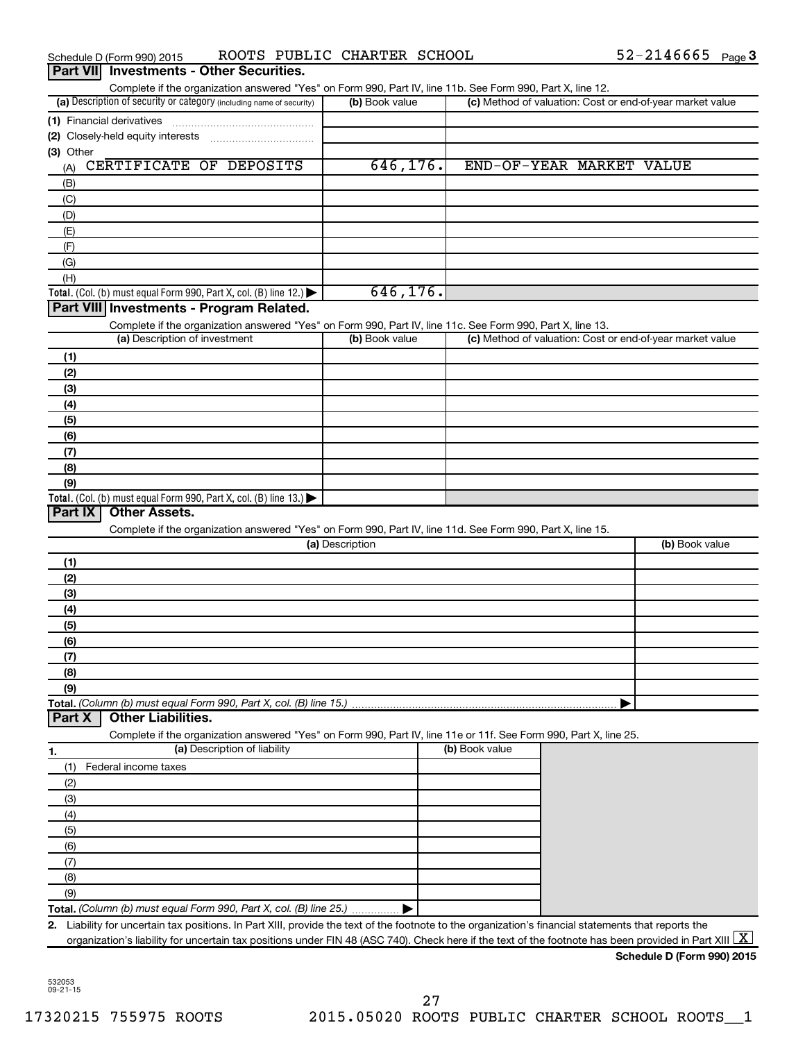| ROOTS PUBLIC CHARTER SCHOOL<br>Schedule D (Form 990) 2015                                                                                                                                                                                                                                                     |                 |                |                          | $52 - 2146665$ Page 3                                     |
|---------------------------------------------------------------------------------------------------------------------------------------------------------------------------------------------------------------------------------------------------------------------------------------------------------------|-----------------|----------------|--------------------------|-----------------------------------------------------------|
| <b>Investments - Other Securities.</b><br><b>Part VIII</b>                                                                                                                                                                                                                                                    |                 |                |                          |                                                           |
| Complete if the organization answered "Yes" on Form 990, Part IV, line 11b. See Form 990, Part X, line 12.<br>(a) Description of security or category (including name of security)                                                                                                                            | (b) Book value  |                |                          | (c) Method of valuation: Cost or end-of-year market value |
|                                                                                                                                                                                                                                                                                                               |                 |                |                          |                                                           |
| (1) Financial derivatives<br>(2) Closely-held equity interests                                                                                                                                                                                                                                                |                 |                |                          |                                                           |
| (3) Other                                                                                                                                                                                                                                                                                                     |                 |                |                          |                                                           |
| CERTIFICATE OF DEPOSITS<br>(A)                                                                                                                                                                                                                                                                                | 646, 176.       |                | END-OF-YEAR MARKET VALUE |                                                           |
| (B)                                                                                                                                                                                                                                                                                                           |                 |                |                          |                                                           |
| (C)                                                                                                                                                                                                                                                                                                           |                 |                |                          |                                                           |
| (D)                                                                                                                                                                                                                                                                                                           |                 |                |                          |                                                           |
| (E)                                                                                                                                                                                                                                                                                                           |                 |                |                          |                                                           |
| (F)                                                                                                                                                                                                                                                                                                           |                 |                |                          |                                                           |
| (G)                                                                                                                                                                                                                                                                                                           |                 |                |                          |                                                           |
| (H)                                                                                                                                                                                                                                                                                                           |                 |                |                          |                                                           |
| Total. (Col. (b) must equal Form 990, Part X, col. (B) line 12.) $\blacktriangleright$                                                                                                                                                                                                                        | 646, 176.       |                |                          |                                                           |
| Part VIII Investments - Program Related.                                                                                                                                                                                                                                                                      |                 |                |                          |                                                           |
| Complete if the organization answered "Yes" on Form 990, Part IV, line 11c. See Form 990, Part X, line 13.<br>(a) Description of investment                                                                                                                                                                   | (b) Book value  |                |                          | (c) Method of valuation: Cost or end-of-year market value |
| (1)                                                                                                                                                                                                                                                                                                           |                 |                |                          |                                                           |
| (2)                                                                                                                                                                                                                                                                                                           |                 |                |                          |                                                           |
| (3)                                                                                                                                                                                                                                                                                                           |                 |                |                          |                                                           |
| (4)                                                                                                                                                                                                                                                                                                           |                 |                |                          |                                                           |
| (5)                                                                                                                                                                                                                                                                                                           |                 |                |                          |                                                           |
| (6)                                                                                                                                                                                                                                                                                                           |                 |                |                          |                                                           |
| (7)                                                                                                                                                                                                                                                                                                           |                 |                |                          |                                                           |
| (8)                                                                                                                                                                                                                                                                                                           |                 |                |                          |                                                           |
| (9)                                                                                                                                                                                                                                                                                                           |                 |                |                          |                                                           |
| Total. (Col. (b) must equal Form 990, Part X, col. (B) line 13.) $\blacktriangleright$                                                                                                                                                                                                                        |                 |                |                          |                                                           |
| <b>Other Assets.</b><br>Part IX<br>Complete if the organization answered "Yes" on Form 990, Part IV, line 11d. See Form 990, Part X, line 15.                                                                                                                                                                 |                 |                |                          |                                                           |
|                                                                                                                                                                                                                                                                                                               | (a) Description |                |                          | (b) Book value                                            |
| (1)                                                                                                                                                                                                                                                                                                           |                 |                |                          |                                                           |
| (2)                                                                                                                                                                                                                                                                                                           |                 |                |                          |                                                           |
| (3)                                                                                                                                                                                                                                                                                                           |                 |                |                          |                                                           |
| (4)                                                                                                                                                                                                                                                                                                           |                 |                |                          |                                                           |
| (5)                                                                                                                                                                                                                                                                                                           |                 |                |                          |                                                           |
| (6)                                                                                                                                                                                                                                                                                                           |                 |                |                          |                                                           |
| (7)                                                                                                                                                                                                                                                                                                           |                 |                |                          |                                                           |
| (8)                                                                                                                                                                                                                                                                                                           |                 |                |                          |                                                           |
| (9)                                                                                                                                                                                                                                                                                                           |                 |                |                          |                                                           |
| Total. (Column (b) must equal Form 990, Part X, col. (B) line 15.)<br><b>Other Liabilities.</b><br>Part X                                                                                                                                                                                                     |                 |                |                          |                                                           |
| Complete if the organization answered "Yes" on Form 990, Part IV, line 11e or 11f. See Form 990, Part X, line 25.                                                                                                                                                                                             |                 |                |                          |                                                           |
| (a) Description of liability<br>1.                                                                                                                                                                                                                                                                            |                 | (b) Book value |                          |                                                           |
| (1)<br>Federal income taxes                                                                                                                                                                                                                                                                                   |                 |                |                          |                                                           |
| (2)                                                                                                                                                                                                                                                                                                           |                 |                |                          |                                                           |
| (3)                                                                                                                                                                                                                                                                                                           |                 |                |                          |                                                           |
| (4)                                                                                                                                                                                                                                                                                                           |                 |                |                          |                                                           |
| (5)                                                                                                                                                                                                                                                                                                           |                 |                |                          |                                                           |
| (6)                                                                                                                                                                                                                                                                                                           |                 |                |                          |                                                           |
| (7)                                                                                                                                                                                                                                                                                                           |                 |                |                          |                                                           |
| (8)                                                                                                                                                                                                                                                                                                           |                 |                |                          |                                                           |
| (9)                                                                                                                                                                                                                                                                                                           |                 |                |                          |                                                           |
| Total. (Column (b) must equal Form 990, Part X, col. (B) line 25.)                                                                                                                                                                                                                                            |                 |                |                          |                                                           |
| Liability for uncertain tax positions. In Part XIII, provide the text of the footnote to the organization's financial statements that reports the<br>2.<br>organization's liability for uncertain tax positions under FIN 48 (ASC 740). Check here if the text of the footnote has been provided in Part XIII |                 |                |                          | X.                                                        |
|                                                                                                                                                                                                                                                                                                               |                 |                |                          | Schedule D (Form 990) 2015                                |
|                                                                                                                                                                                                                                                                                                               |                 |                |                          |                                                           |

532053 09-21-15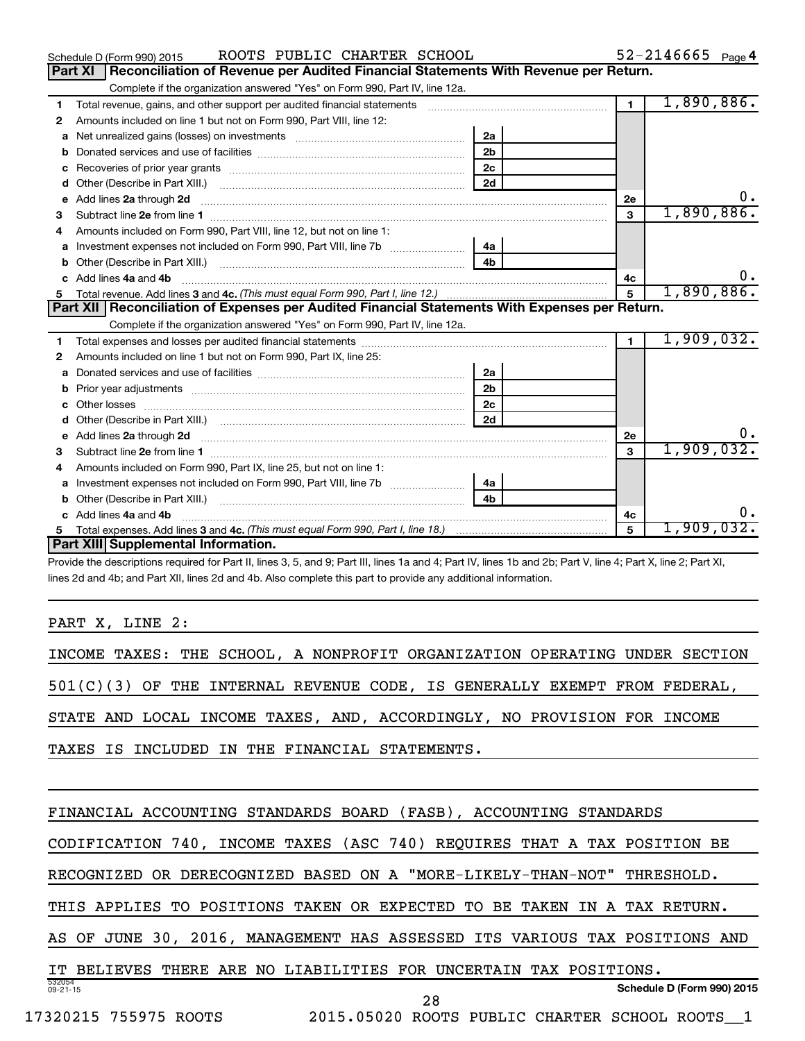|    | ROOTS PUBLIC CHARTER SCHOOL<br>Schedule D (Form 990) 2015                                                                                                                                                                           |                | $52 - 2146665$ Page 4 |            |
|----|-------------------------------------------------------------------------------------------------------------------------------------------------------------------------------------------------------------------------------------|----------------|-----------------------|------------|
|    | Reconciliation of Revenue per Audited Financial Statements With Revenue per Return.<br><b>Part XI</b>                                                                                                                               |                |                       |            |
|    | Complete if the organization answered "Yes" on Form 990, Part IV, line 12a.                                                                                                                                                         |                |                       |            |
| 1  |                                                                                                                                                                                                                                     |                | $\blacksquare$        | 1,890,886. |
| 2  | Amounts included on line 1 but not on Form 990, Part VIII, line 12:                                                                                                                                                                 |                |                       |            |
| a  |                                                                                                                                                                                                                                     | 2a             |                       |            |
| b  |                                                                                                                                                                                                                                     | 2 <sub>b</sub> |                       |            |
| c  |                                                                                                                                                                                                                                     | 2c             |                       |            |
| d  |                                                                                                                                                                                                                                     | 2d             |                       |            |
| e  | Add lines 2a through 2d <b>contained a contained a contained a contained a</b> contained a contact the contact of the contact of the contact of the contact of the contact of the contact of the contact of the contact of the cont |                | <b>2e</b>             | υ.         |
| 3  |                                                                                                                                                                                                                                     |                | 3                     | 1,890,886. |
|    | Amounts included on Form 990, Part VIII, line 12, but not on line 1:                                                                                                                                                                |                |                       |            |
| a  | Investment expenses not included on Form 990, Part VIII, line 7b                                                                                                                                                                    | 4a             |                       |            |
|    |                                                                                                                                                                                                                                     | 4 <sub>b</sub> |                       |            |
|    | Add lines 4a and 4b                                                                                                                                                                                                                 |                | 4c                    | 0.         |
| 5  |                                                                                                                                                                                                                                     |                | $5^{\circ}$           | 1,890,886. |
|    | Part XII   Reconciliation of Expenses per Audited Financial Statements With Expenses per Return.                                                                                                                                    |                |                       |            |
|    | Complete if the organization answered "Yes" on Form 990, Part IV, line 12a.                                                                                                                                                         |                |                       |            |
| 1. |                                                                                                                                                                                                                                     |                | $\mathbf{1}$          | 1,909,032. |
| 2  | Amounts included on line 1 but not on Form 990, Part IX, line 25:                                                                                                                                                                   |                |                       |            |
| a  |                                                                                                                                                                                                                                     | 2a             |                       |            |
|    | <b>b</b> Prior year adjustments <i>manually contained and a contained a prior year</i> adjustments                                                                                                                                  | 2 <sub>b</sub> |                       |            |
| c  |                                                                                                                                                                                                                                     | 2 <sub>c</sub> |                       |            |
|    |                                                                                                                                                                                                                                     | 2d             |                       |            |
|    |                                                                                                                                                                                                                                     |                | 2e                    |            |
| 3  |                                                                                                                                                                                                                                     |                | 3                     | 1,909,032. |
| 4  |                                                                                                                                                                                                                                     |                |                       |            |
|    | Amounts included on Form 990, Part IX, line 25, but not on line 1:                                                                                                                                                                  |                |                       |            |
| a  | Investment expenses not included on Form 990, Part VIII, line 7b [                                                                                                                                                                  | 4a             |                       |            |
|    |                                                                                                                                                                                                                                     | 4 <sub>h</sub> |                       |            |
|    | c Add lines 4a and 4b                                                                                                                                                                                                               |                | 4c                    |            |
|    | Part XIII Supplemental Information.                                                                                                                                                                                                 |                | 5                     | 1,909,032. |

Provide the descriptions required for Part II, lines 3, 5, and 9; Part III, lines 1a and 4; Part IV, lines 1b and 2b; Part V, line 4; Part X, line 2; Part XI, lines 2d and 4b; and Part XII, lines 2d and 4b. Also complete this part to provide any additional information.

#### PART X, LINE 2:

| INCOME TAXES: THE SCHOOL, A NONPROFIT ORGANIZATION OPERATING UNDER SECTION  |
|-----------------------------------------------------------------------------|
| $501(C)(3)$ OF THE INTERNAL REVENUE CODE, IS GENERALLY EXEMPT FROM FEDERAL, |
| STATE AND LOCAL INCOME TAXES, AND, ACCORDINGLY, NO PROVISION FOR INCOME     |
| TAXES IS INCLUDED IN THE FINANCIAL STATEMENTS.                              |
|                                                                             |
| FINANCIAL ACCOUNTING STANDARDS BOARD (FASB), ACCOUNTING STANDARDS           |
| CODIFICATION 740, INCOME TAXES (ASC 740) REQUIRES THAT A TAX POSITION BE    |
| RECOGNIZED OR DERECOGNIZED BASED ON A "MORE-LIKELY-THAN-NOT" THRESHOLD.     |
| THIS APPLIES TO POSITIONS TAKEN OR EXPECTED TO BE TAKEN IN A TAX RETURN.    |
| AS OF JUNE 30, 2016, MANAGEMENT HAS ASSESSED ITS VARIOUS TAX POSITIONS AND  |
| IT BELIEVES THERE ARE NO LIABILITIES FOR UNCERTAIN TAX POSITIONS.           |
| 532054<br>Schedule D (Form 990) 2015<br>$09 - 21 - 15$                      |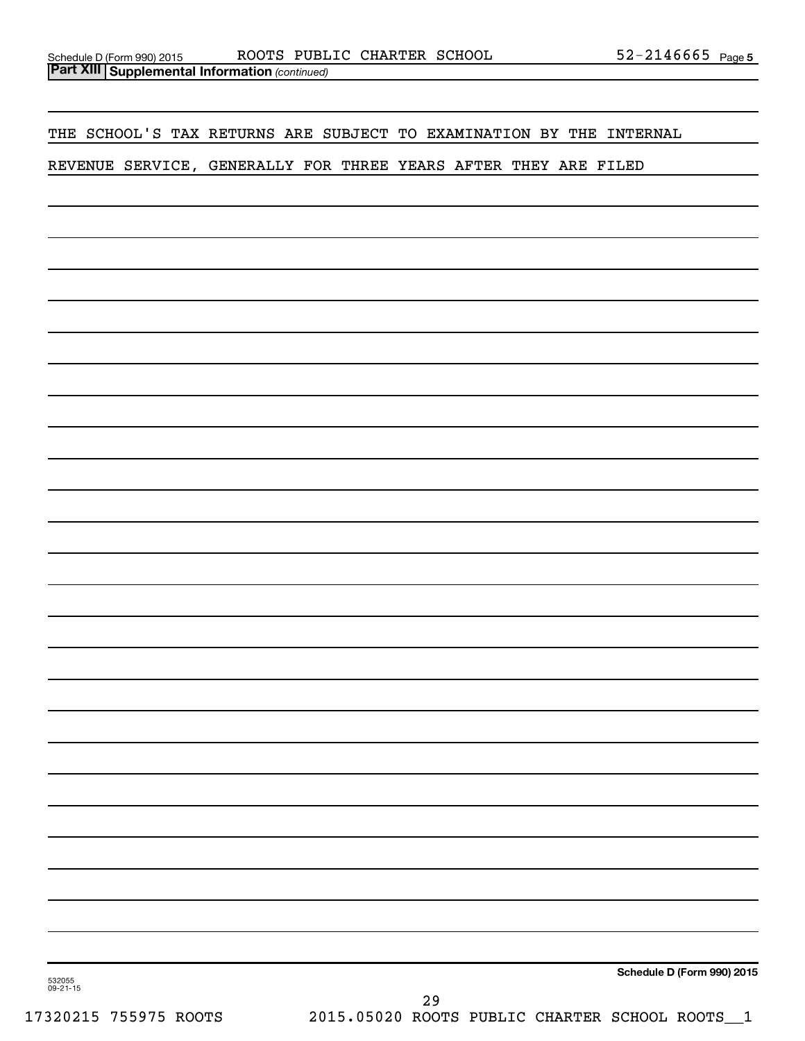THE SCHOOL'S TAX RETURNS ARE SUBJECT TO EXAMINATION BY THE INTERNAL

REVENUE SERVICE, GENERALLY FOR THREE YEARS AFTER THEY ARE FILED

**Schedule D (Form 990) 2015**

532055 09-21-15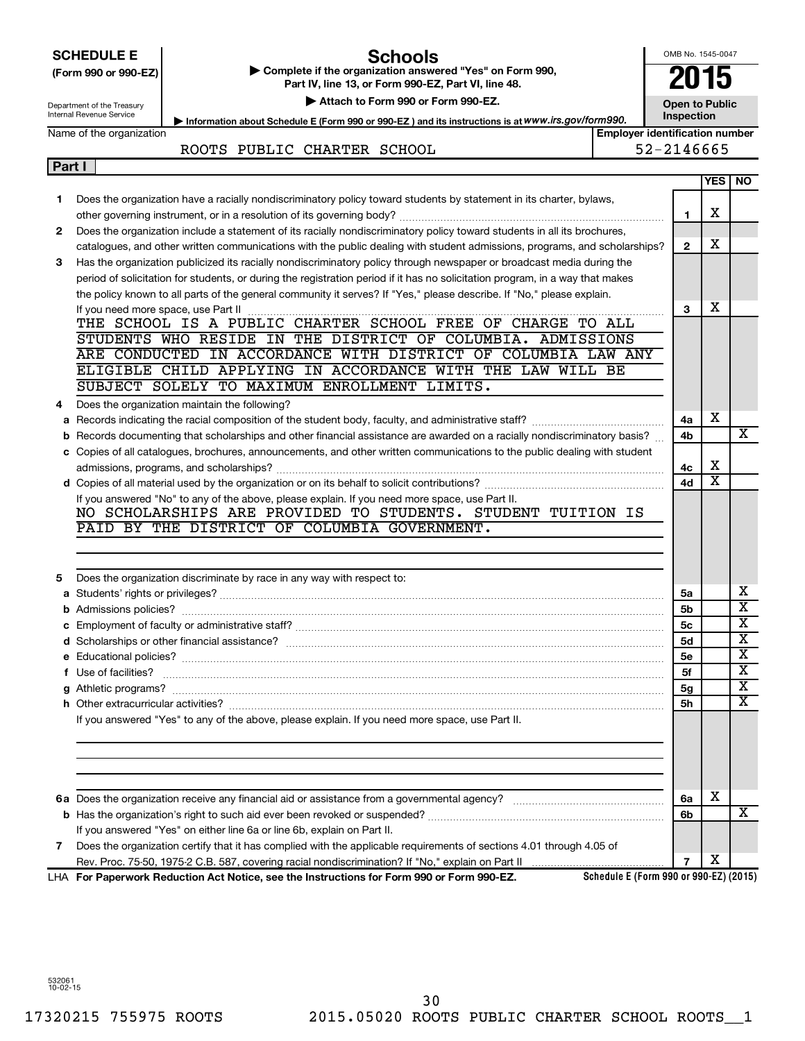|        | OMB No. 1545-0047<br><b>SCHEDULE E</b><br>Schools<br>Complete if the organization answered "Yes" on Form 990,<br>(Form 990 or 990-EZ)<br>Part IV, line 13, or Form 990-EZ, Part VI, line 48.<br>Attach to Form 990 or Form 990-EZ.<br><b>Open to Public</b><br>Department of the Treasury<br>Internal Revenue Service |            |                                                     |                         |                              |  |  |
|--------|-----------------------------------------------------------------------------------------------------------------------------------------------------------------------------------------------------------------------------------------------------------------------------------------------------------------------|------------|-----------------------------------------------------|-------------------------|------------------------------|--|--|
|        | Information about Schedule E (Form 990 or 990-EZ) and its instructions is at WWW.irs.gov/form990.<br>Name of the organization                                                                                                                                                                                         |            | Inspection<br><b>Employer identification number</b> |                         |                              |  |  |
|        | ROOTS PUBLIC CHARTER SCHOOL                                                                                                                                                                                                                                                                                           | 52-2146665 |                                                     |                         |                              |  |  |
| Part I |                                                                                                                                                                                                                                                                                                                       |            |                                                     |                         |                              |  |  |
|        |                                                                                                                                                                                                                                                                                                                       |            |                                                     | <b>YES</b>              | <b>NO</b>                    |  |  |
| 1      | Does the organization have a racially nondiscriminatory policy toward students by statement in its charter, bylaws,                                                                                                                                                                                                   |            |                                                     |                         |                              |  |  |
|        |                                                                                                                                                                                                                                                                                                                       |            | 1                                                   | х                       |                              |  |  |
| 2      | Does the organization include a statement of its racially nondiscriminatory policy toward students in all its brochures,                                                                                                                                                                                              |            |                                                     |                         |                              |  |  |
|        | catalogues, and other written communications with the public dealing with student admissions, programs, and scholarships?                                                                                                                                                                                             |            | $\mathbf{2}$                                        | х                       |                              |  |  |
| 3      | Has the organization publicized its racially nondiscriminatory policy through newspaper or broadcast media during the                                                                                                                                                                                                 |            |                                                     |                         |                              |  |  |
|        | period of solicitation for students, or during the registration period if it has no solicitation program, in a way that makes                                                                                                                                                                                         |            |                                                     |                         |                              |  |  |
|        | the policy known to all parts of the general community it serves? If "Yes," please describe. If "No," please explain.<br>If you need more space, use Part II                                                                                                                                                          |            | З                                                   | х                       |                              |  |  |
|        | THE SCHOOL IS A PUBLIC CHARTER SCHOOL FREE OF CHARGE TO ALL                                                                                                                                                                                                                                                           |            |                                                     |                         |                              |  |  |
|        | STUDENTS WHO RESIDE IN THE DISTRICT OF COLUMBIA. ADMISSIONS                                                                                                                                                                                                                                                           |            |                                                     |                         |                              |  |  |
|        | ARE CONDUCTED IN ACCORDANCE WITH DISTRICT OF COLUMBIA LAW ANY                                                                                                                                                                                                                                                         |            |                                                     |                         |                              |  |  |
|        | ELIGIBLE CHILD APPLYING IN ACCORDANCE WITH THE LAW WILL BE                                                                                                                                                                                                                                                            |            |                                                     |                         |                              |  |  |
|        | SUBJECT SOLELY TO MAXIMUM ENROLLMENT LIMITS.                                                                                                                                                                                                                                                                          |            |                                                     |                         |                              |  |  |
| 4      | Does the organization maintain the following?                                                                                                                                                                                                                                                                         |            |                                                     |                         |                              |  |  |
| а      |                                                                                                                                                                                                                                                                                                                       |            | 4a                                                  | х                       |                              |  |  |
| b      | Records documenting that scholarships and other financial assistance are awarded on a racially nondiscriminatory basis?                                                                                                                                                                                               |            | 4b                                                  |                         | X                            |  |  |
|        | c Copies of all catalogues, brochures, announcements, and other written communications to the public dealing with student                                                                                                                                                                                             |            |                                                     |                         |                              |  |  |
|        |                                                                                                                                                                                                                                                                                                                       |            | 4c                                                  | х                       |                              |  |  |
|        |                                                                                                                                                                                                                                                                                                                       |            | 4d                                                  | $\overline{\textbf{x}}$ |                              |  |  |
|        | If you answered "No" to any of the above, please explain. If you need more space, use Part II.<br>NO SCHOLARSHIPS ARE PROVIDED TO STUDENTS. STUDENT TUITION IS                                                                                                                                                        |            |                                                     |                         |                              |  |  |
|        | PAID BY THE DISTRICT OF COLUMBIA GOVERNMENT.                                                                                                                                                                                                                                                                          |            |                                                     |                         |                              |  |  |
|        |                                                                                                                                                                                                                                                                                                                       |            |                                                     |                         |                              |  |  |
|        |                                                                                                                                                                                                                                                                                                                       |            |                                                     |                         |                              |  |  |
| 5      | Does the organization discriminate by race in any way with respect to:                                                                                                                                                                                                                                                |            |                                                     |                         |                              |  |  |
|        |                                                                                                                                                                                                                                                                                                                       |            | 5a                                                  |                         | х                            |  |  |
|        |                                                                                                                                                                                                                                                                                                                       |            | 5b                                                  |                         | $\overline{\textbf{x}}$      |  |  |
|        |                                                                                                                                                                                                                                                                                                                       |            | 5 <sub>c</sub>                                      |                         | $\overline{\texttt{x}}$      |  |  |
|        |                                                                                                                                                                                                                                                                                                                       |            | <b>5d</b>                                           |                         | $\overline{\textbf{x}}$      |  |  |
|        |                                                                                                                                                                                                                                                                                                                       |            | 5е                                                  |                         | X                            |  |  |
|        |                                                                                                                                                                                                                                                                                                                       |            | 5f                                                  |                         | $\overline{\mathbf{X}}$      |  |  |
|        |                                                                                                                                                                                                                                                                                                                       |            | 5 <sub>g</sub>                                      |                         | X<br>$\overline{\textbf{X}}$ |  |  |
|        |                                                                                                                                                                                                                                                                                                                       |            | <b>5h</b>                                           |                         |                              |  |  |
|        | If you answered "Yes" to any of the above, please explain. If you need more space, use Part II.                                                                                                                                                                                                                       |            |                                                     |                         |                              |  |  |
|        |                                                                                                                                                                                                                                                                                                                       |            |                                                     |                         |                              |  |  |
|        |                                                                                                                                                                                                                                                                                                                       |            |                                                     |                         |                              |  |  |
|        |                                                                                                                                                                                                                                                                                                                       |            |                                                     |                         |                              |  |  |
|        |                                                                                                                                                                                                                                                                                                                       |            | 6a                                                  | х                       |                              |  |  |
|        |                                                                                                                                                                                                                                                                                                                       |            | 6b                                                  |                         | X                            |  |  |
|        | If you answered "Yes" on either line 6a or line 6b, explain on Part II.                                                                                                                                                                                                                                               |            |                                                     |                         |                              |  |  |
| 7      | Does the organization certify that it has complied with the applicable requirements of sections 4.01 through 4.05 of                                                                                                                                                                                                  |            |                                                     |                         |                              |  |  |
|        |                                                                                                                                                                                                                                                                                                                       |            | $\overline{7}$                                      | X                       |                              |  |  |
|        | Schedule E (Form 990 or 990-EZ) (2015)<br>LHA For Paperwork Reduction Act Notice, see the Instructions for Form 990 or Form 990-EZ.                                                                                                                                                                                   |            |                                                     |                         |                              |  |  |

532061 10-02-15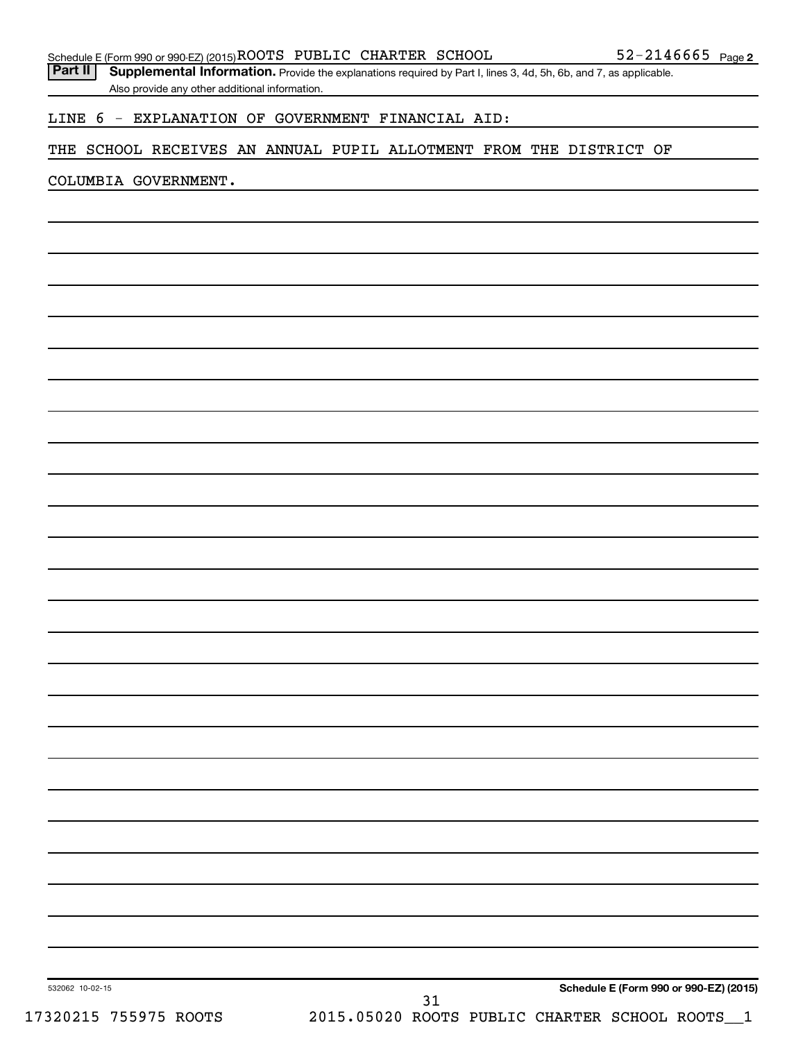Part II | Supplemental Information. Provide the explanations required by Part I, lines 3, 4d, 5h, 6b, and 7, as applicable. Also provide any other additional information.

#### LINE 6 - EXPLANATION OF GOVERNMENT FINANCIAL AID:

#### THE SCHOOL RECEIVES AN ANNUAL PUPIL ALLOTMENT FROM THE DISTRICT OF

#### COLUMBIA GOVERNMENT.

**Schedule E (Form 990 or 990-EZ) (2015)**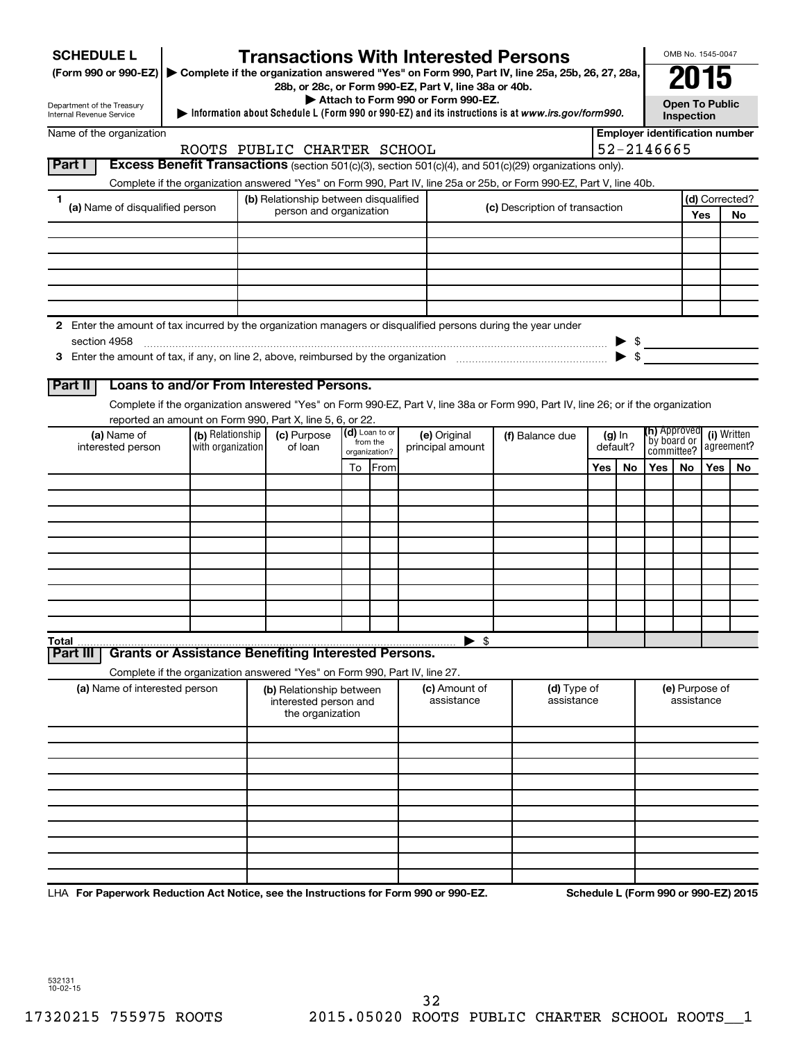| <b>SCHEDULE L</b>                                                                                                                                           |                  |                              | <b>Transactions With Interested Persons</b>                                |    |                           |                  |                                    |  |                                                                                                                                    |          |                                     |                                       | OMB No. 1545-0047 |            |                   |
|-------------------------------------------------------------------------------------------------------------------------------------------------------------|------------------|------------------------------|----------------------------------------------------------------------------|----|---------------------------|------------------|------------------------------------|--|------------------------------------------------------------------------------------------------------------------------------------|----------|-------------------------------------|---------------------------------------|-------------------|------------|-------------------|
| (Form 990 or 990-EZ) > Complete if the organization answered "Yes" on Form 990, Part IV, line 25a, 25b, 26, 27, 28a,                                        |                  |                              |                                                                            |    |                           |                  |                                    |  |                                                                                                                                    |          |                                     |                                       |                   |            |                   |
|                                                                                                                                                             |                  |                              | 28b, or 28c, or Form 990-EZ, Part V, line 38a or 40b.                      |    |                           |                  | Attach to Form 990 or Form 990-EZ. |  |                                                                                                                                    |          |                                     |                                       |                   |            |                   |
| Department of the Treasury<br>Information about Schedule L (Form 990 or 990-EZ) and its instructions is at www.irs.gov/form990.<br>Internal Revenue Service |                  |                              |                                                                            |    |                           |                  |                                    |  |                                                                                                                                    |          | <b>Open To Public</b><br>Inspection |                                       |                   |            |                   |
| Name of the organization                                                                                                                                    |                  |                              |                                                                            |    |                           |                  |                                    |  |                                                                                                                                    |          |                                     | <b>Employer identification number</b> |                   |            |                   |
|                                                                                                                                                             |                  |                              | ROOTS PUBLIC CHARTER SCHOOL                                                |    |                           |                  |                                    |  |                                                                                                                                    |          |                                     | 52-2146665                            |                   |            |                   |
| Part I                                                                                                                                                      |                  |                              |                                                                            |    |                           |                  |                                    |  | Excess Benefit Transactions (section 501(c)(3), section 501(c)(4), and 501(c)(29) organizations only).                             |          |                                     |                                       |                   |            |                   |
| 1.                                                                                                                                                          |                  |                              | (b) Relationship between disqualified                                      |    |                           |                  |                                    |  | Complete if the organization answered "Yes" on Form 990, Part IV, line 25a or 25b, or Form 990-EZ, Part V, line 40b.               |          |                                     |                                       |                   |            | (d) Corrected?    |
| (a) Name of disqualified person                                                                                                                             |                  |                              | person and organization                                                    |    |                           |                  |                                    |  | (c) Description of transaction                                                                                                     |          |                                     |                                       |                   | <b>Yes</b> | No                |
|                                                                                                                                                             |                  |                              |                                                                            |    |                           |                  |                                    |  |                                                                                                                                    |          |                                     |                                       |                   |            |                   |
|                                                                                                                                                             |                  |                              |                                                                            |    |                           |                  |                                    |  |                                                                                                                                    |          |                                     |                                       |                   |            |                   |
|                                                                                                                                                             |                  |                              |                                                                            |    |                           |                  |                                    |  |                                                                                                                                    |          |                                     |                                       |                   |            |                   |
|                                                                                                                                                             |                  |                              |                                                                            |    |                           |                  |                                    |  |                                                                                                                                    |          |                                     |                                       |                   |            |                   |
|                                                                                                                                                             |                  |                              |                                                                            |    |                           |                  |                                    |  |                                                                                                                                    |          |                                     |                                       |                   |            |                   |
| 2 Enter the amount of tax incurred by the organization managers or disqualified persons during the year under                                               |                  |                              |                                                                            |    |                           |                  |                                    |  |                                                                                                                                    |          |                                     |                                       |                   |            |                   |
| section 4958                                                                                                                                                |                  |                              |                                                                            |    |                           |                  |                                    |  |                                                                                                                                    |          | $\triangleright$ \$                 |                                       |                   |            |                   |
|                                                                                                                                                             |                  |                              |                                                                            |    |                           |                  |                                    |  |                                                                                                                                    |          |                                     |                                       |                   |            |                   |
|                                                                                                                                                             |                  |                              | Loans to and/or From Interested Persons.                                   |    |                           |                  |                                    |  |                                                                                                                                    |          |                                     |                                       |                   |            |                   |
| Part II                                                                                                                                                     |                  |                              |                                                                            |    |                           |                  |                                    |  |                                                                                                                                    |          |                                     |                                       |                   |            |                   |
|                                                                                                                                                             |                  |                              | reported an amount on Form 990, Part X, line 5, 6, or 22.                  |    |                           |                  |                                    |  | Complete if the organization answered "Yes" on Form 990-EZ, Part V, line 38a or Form 990, Part IV, line 26; or if the organization |          |                                     |                                       |                   |            |                   |
| (a) Name of                                                                                                                                                 | (b) Relationship |                              | (c) Purpose                                                                |    | (d) Loan to or            |                  | (e) Original                       |  | (f) Balance due                                                                                                                    |          | $(g)$ In                            | <b>(h)</b> Approved                   |                   |            | (i) Written       |
| interested person                                                                                                                                           |                  | with organization<br>of loan |                                                                            |    | from the<br>organization? | principal amount |                                    |  |                                                                                                                                    | default? |                                     | by board or<br>committee?             |                   | agreement? |                   |
|                                                                                                                                                             |                  |                              |                                                                            | To | From                      |                  |                                    |  |                                                                                                                                    |          | Yes<br>No                           |                                       | No                | Yes        | No                |
|                                                                                                                                                             |                  |                              |                                                                            |    |                           |                  |                                    |  |                                                                                                                                    |          |                                     |                                       |                   |            |                   |
|                                                                                                                                                             |                  |                              |                                                                            |    |                           |                  |                                    |  |                                                                                                                                    |          |                                     |                                       |                   |            |                   |
|                                                                                                                                                             |                  |                              |                                                                            |    |                           |                  |                                    |  |                                                                                                                                    |          |                                     |                                       |                   |            |                   |
|                                                                                                                                                             |                  |                              |                                                                            |    |                           |                  |                                    |  |                                                                                                                                    |          |                                     |                                       |                   |            |                   |
|                                                                                                                                                             |                  |                              |                                                                            |    |                           |                  |                                    |  |                                                                                                                                    |          |                                     |                                       |                   |            |                   |
|                                                                                                                                                             |                  |                              |                                                                            |    |                           |                  |                                    |  |                                                                                                                                    |          |                                     |                                       |                   |            |                   |
|                                                                                                                                                             |                  |                              |                                                                            |    |                           |                  |                                    |  |                                                                                                                                    |          |                                     |                                       |                   |            |                   |
|                                                                                                                                                             |                  |                              |                                                                            |    |                           |                  |                                    |  |                                                                                                                                    |          |                                     |                                       |                   |            |                   |
|                                                                                                                                                             |                  |                              |                                                                            |    |                           |                  |                                    |  |                                                                                                                                    |          |                                     |                                       |                   |            |                   |
| Total<br>Part III                                                                                                                                           |                  |                              | <b>Grants or Assistance Benefiting Interested Persons.</b>                 |    |                           |                  | $\blacktriangleright$ \$           |  |                                                                                                                                    |          |                                     |                                       |                   |            |                   |
|                                                                                                                                                             |                  |                              |                                                                            |    |                           |                  |                                    |  |                                                                                                                                    |          |                                     |                                       |                   |            |                   |
| (a) Name of interested person                                                                                                                               |                  |                              | Complete if the organization answered "Yes" on Form 990, Part IV, line 27. |    |                           |                  | (c) Amount of                      |  | (d) Type of                                                                                                                        |          |                                     |                                       | (e) Purpose of    |            |                   |
|                                                                                                                                                             |                  |                              | (b) Relationship between<br>interested person and<br>the organization      |    |                           |                  | assistance                         |  | assistance                                                                                                                         |          |                                     |                                       | assistance        |            |                   |
|                                                                                                                                                             |                  |                              |                                                                            |    |                           |                  |                                    |  |                                                                                                                                    |          |                                     |                                       |                   |            |                   |
|                                                                                                                                                             |                  |                              |                                                                            |    |                           |                  |                                    |  |                                                                                                                                    |          |                                     |                                       |                   |            |                   |
|                                                                                                                                                             |                  |                              |                                                                            |    |                           |                  |                                    |  |                                                                                                                                    |          |                                     |                                       |                   |            |                   |
|                                                                                                                                                             |                  |                              |                                                                            |    |                           |                  |                                    |  |                                                                                                                                    |          |                                     |                                       |                   |            |                   |
|                                                                                                                                                             |                  |                              |                                                                            |    |                           |                  |                                    |  |                                                                                                                                    |          |                                     |                                       |                   |            |                   |
|                                                                                                                                                             |                  |                              |                                                                            |    |                           |                  |                                    |  |                                                                                                                                    |          |                                     |                                       |                   |            |                   |
|                                                                                                                                                             |                  |                              |                                                                            |    |                           |                  |                                    |  |                                                                                                                                    |          |                                     |                                       |                   |            |                   |
|                                                                                                                                                             |                  |                              |                                                                            |    |                           |                  |                                    |  |                                                                                                                                    |          |                                     |                                       |                   |            |                   |
|                                                                                                                                                             |                  |                              |                                                                            |    |                           |                  |                                    |  |                                                                                                                                    |          |                                     |                                       |                   |            |                   |
|                                                                                                                                                             |                  |                              |                                                                            |    |                           |                  | $000 - 000 = 7$                    |  |                                                                                                                                    |          |                                     |                                       |                   |            | $000 - 000 - 200$ |

LHA For Paperwork Reduction Act Notice, see the Instructions for Form 990 or 990-EZ. Schedule L (Form 990 or 990-EZ) 2015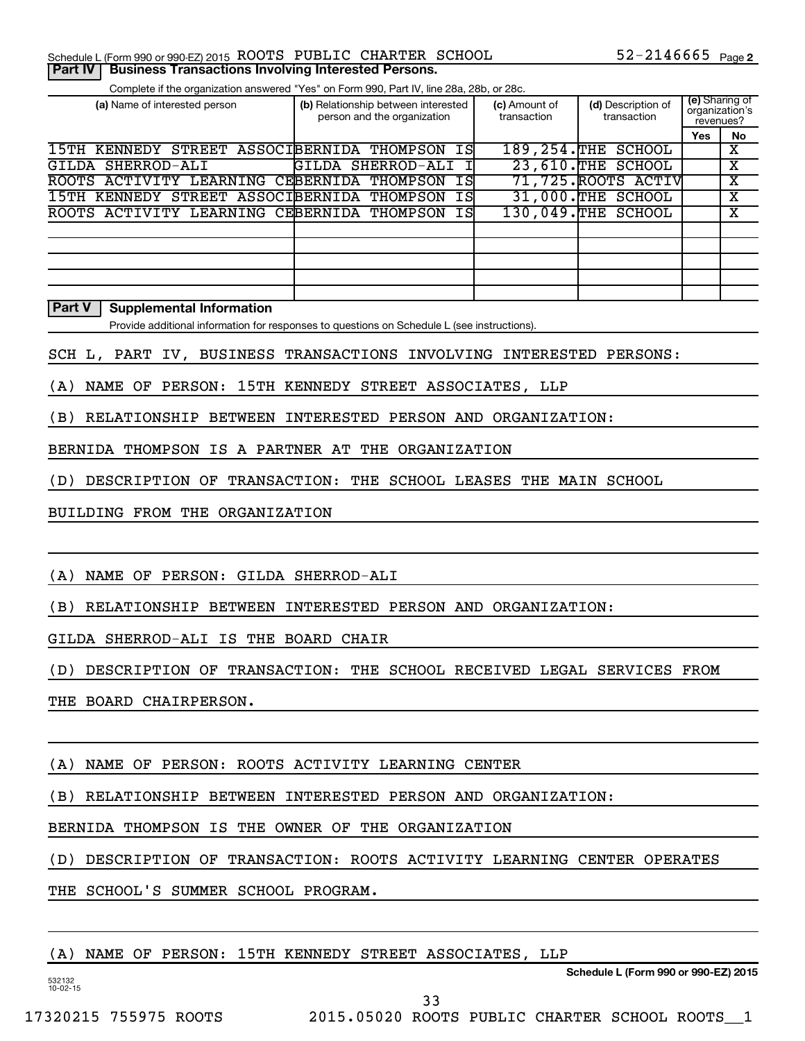#### Schedule L (Form 990 or 990-EZ) 2015  $\,$  ROOTS PUBLIC CHARTER SCHOOL  $\,$  52-2146665  $\,$  Page

#### **Part IV Business Transactions Involving Interested Persons.**

Complete if the organization answered "Yes" on Form 990, Part IV, line 28a, 28b, or 28c.

| (a) Name of interested person                      | (b) Relationship between interested<br>person and the organization | (c) Amount of<br>transaction | (d) Description of<br>transaction | (e) Sharing of<br>organization's<br>revenues? |    |
|----------------------------------------------------|--------------------------------------------------------------------|------------------------------|-----------------------------------|-----------------------------------------------|----|
|                                                    |                                                                    |                              |                                   | Yes                                           | No |
| 15TH<br>STREET<br>KENNEDY                          | ASSOCIBERNIDA<br>ΙSΙ<br>THOMPSON                                   | $189, 254.$ THE              | <b>SCHOOL</b>                     |                                               | х  |
| SHERROD-ALI<br>GILDA                               | SHERROD-ALI<br>I<br>GILDA                                          | 23,610.THE                   | <b>SCHOOL</b>                     |                                               | х  |
| <b>LEARNING</b><br><b>ACTIVITY</b><br><b>ROOTS</b> | CEBERNIDA<br>ΙSΙ<br>THOMPSON                                       | 71,725.ROOTS                 | ACTIV                             |                                               | х  |
| 15TH<br><b>KENNEDY</b><br>STREET                   | <b>ASSOCIBERNIDA</b><br>ΙSΙ<br>THOMPSON                            | 31,000                       | <b>SCHOOL</b><br>.THE             |                                               | х  |
| ACTIVITY LEARNING<br>ROOTS                         | CEBERNIDA THOMPSON<br>ΙSΙ                                          | 130,049.THE                  | <b>SCHOOL</b>                     |                                               | x  |
|                                                    |                                                                    |                              |                                   |                                               |    |
|                                                    |                                                                    |                              |                                   |                                               |    |
|                                                    |                                                                    |                              |                                   |                                               |    |
|                                                    |                                                                    |                              |                                   |                                               |    |
|                                                    |                                                                    |                              |                                   |                                               |    |

#### **Part V Supplemental Information**

Provide additional information for responses to questions on Schedule L (see instructions).

SCH L, PART IV, BUSINESS TRANSACTIONS INVOLVING INTERESTED PERSONS:

(A) NAME OF PERSON: 15TH KENNEDY STREET ASSOCIATES, LLP

(B) RELATIONSHIP BETWEEN INTERESTED PERSON AND ORGANIZATION:

BERNIDA THOMPSON IS A PARTNER AT THE ORGANIZATION

(D) DESCRIPTION OF TRANSACTION: THE SCHOOL LEASES THE MAIN SCHOOL

BUILDING FROM THE ORGANIZATION

(A) NAME OF PERSON: GILDA SHERROD-ALI

(B) RELATIONSHIP BETWEEN INTERESTED PERSON AND ORGANIZATION:

GILDA SHERROD-ALI IS THE BOARD CHAIR

(D) DESCRIPTION OF TRANSACTION: THE SCHOOL RECEIVED LEGAL SERVICES FROM

THE BOARD CHAIRPERSON.

(A) NAME OF PERSON: ROOTS ACTIVITY LEARNING CENTER

(B) RELATIONSHIP BETWEEN INTERESTED PERSON AND ORGANIZATION:

BERNIDA THOMPSON IS THE OWNER OF THE ORGANIZATION

(D) DESCRIPTION OF TRANSACTION: ROOTS ACTIVITY LEARNING CENTER OPERATES

33

THE SCHOOL'S SUMMER SCHOOL PROGRAM.

(A) NAME OF PERSON: 15TH KENNEDY STREET ASSOCIATES, LLP

**Schedule L (Form 990 or 990-EZ) 2015**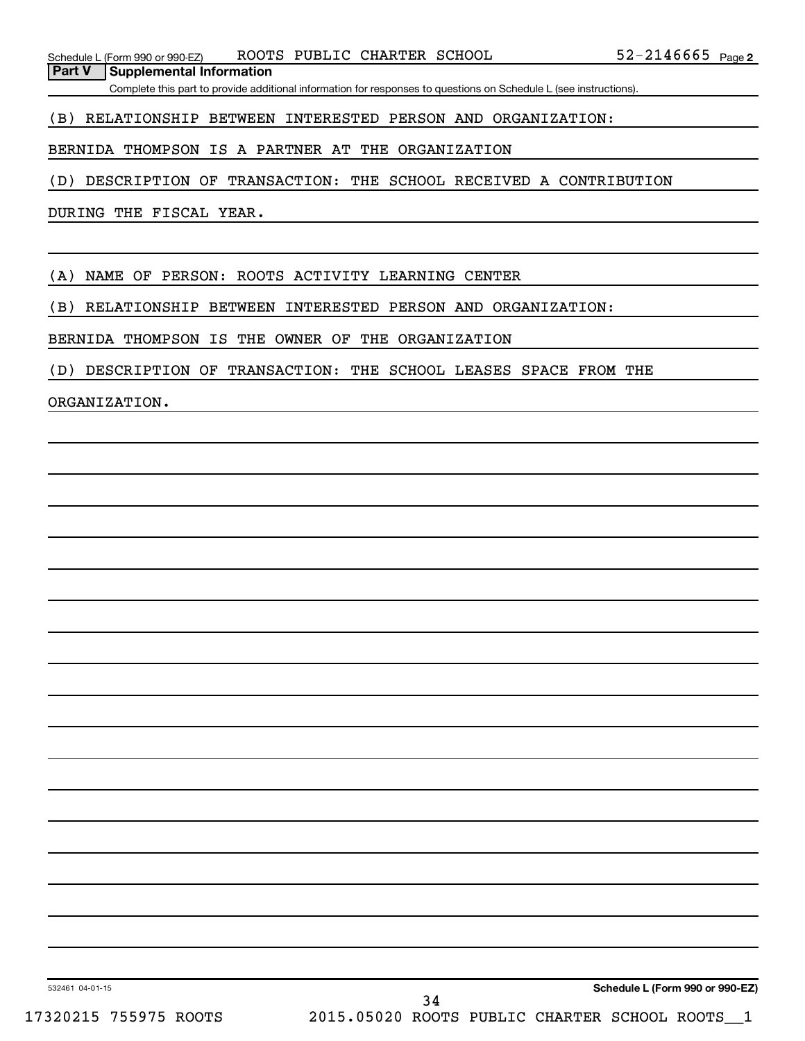Complete this part to provide additional information for responses to questions on Schedule L (see instructions).

#### (B) RELATIONSHIP BETWEEN INTERESTED PERSON AND ORGANIZATION:

BERNIDA THOMPSON IS A PARTNER AT THE ORGANIZATION

(D) DESCRIPTION OF TRANSACTION: THE SCHOOL RECEIVED A CONTRIBUTION

DURING THE FISCAL YEAR.

(A) NAME OF PERSON: ROOTS ACTIVITY LEARNING CENTER

(B) RELATIONSHIP BETWEEN INTERESTED PERSON AND ORGANIZATION:

BERNIDA THOMPSON IS THE OWNER OF THE ORGANIZATION

(D) DESCRIPTION OF TRANSACTION: THE SCHOOL LEASES SPACE FROM THE

ORGANIZATION.

532461 04-01-15

34